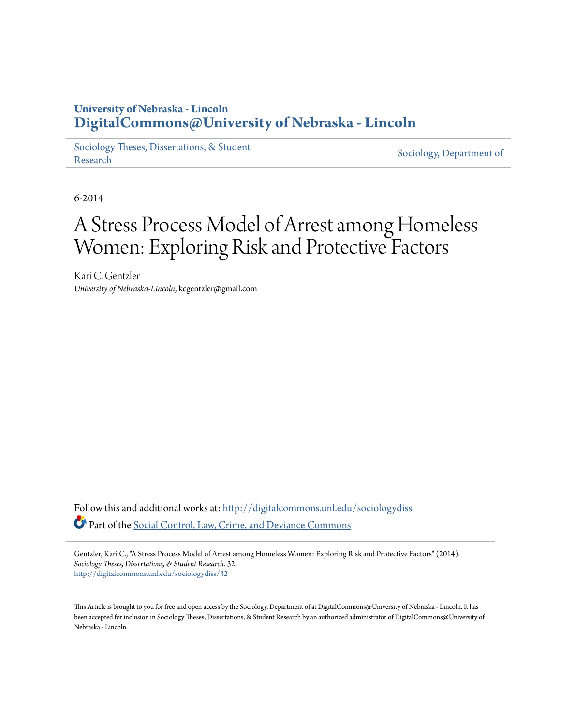# **University of Nebraska - Lincoln [DigitalCommons@University of Nebraska - Lincoln](http://digitalcommons.unl.edu?utm_source=digitalcommons.unl.edu%2Fsociologydiss%2F32&utm_medium=PDF&utm_campaign=PDFCoverPages)**

[Sociology Theses, Dissertations, & Student](http://digitalcommons.unl.edu/sociologydiss?utm_source=digitalcommons.unl.edu%2Fsociologydiss%2F32&utm_medium=PDF&utm_campaign=PDFCoverPages) [Research](http://digitalcommons.unl.edu/sociologydiss?utm_source=digitalcommons.unl.edu%2Fsociologydiss%2F32&utm_medium=PDF&utm_campaign=PDFCoverPages) Sociology, Dissertations, & Student [Sociology, Department of](http://digitalcommons.unl.edu/sociology?utm_source=digitalcommons.unl.edu%2Fsociologydiss%2F32&utm_medium=PDF&utm_campaign=PDFCoverPages)

6-2014

# A Stress Process Model of Arrest among Homeless Women: Exploring Risk and Protective Factors

Kari C. Gentzler *University of Nebraska-Lincoln*, kcgentzler@gmail.com

Follow this and additional works at: [http://digitalcommons.unl.edu/sociologydiss](http://digitalcommons.unl.edu/sociologydiss?utm_source=digitalcommons.unl.edu%2Fsociologydiss%2F32&utm_medium=PDF&utm_campaign=PDFCoverPages) Part of the [Social Control, Law, Crime, and Deviance Commons](http://network.bepress.com/hgg/discipline/429?utm_source=digitalcommons.unl.edu%2Fsociologydiss%2F32&utm_medium=PDF&utm_campaign=PDFCoverPages)

Gentzler, Kari C., "A Stress Process Model of Arrest among Homeless Women: Exploring Risk and Protective Factors" (2014). *Sociology Theses, Dissertations, & Student Research*. 32. [http://digitalcommons.unl.edu/sociologydiss/32](http://digitalcommons.unl.edu/sociologydiss/32?utm_source=digitalcommons.unl.edu%2Fsociologydiss%2F32&utm_medium=PDF&utm_campaign=PDFCoverPages)

This Article is brought to you for free and open access by the Sociology, Department of at DigitalCommons@University of Nebraska - Lincoln. It has been accepted for inclusion in Sociology Theses, Dissertations, & Student Research by an authorized administrator of DigitalCommons@University of Nebraska - Lincoln.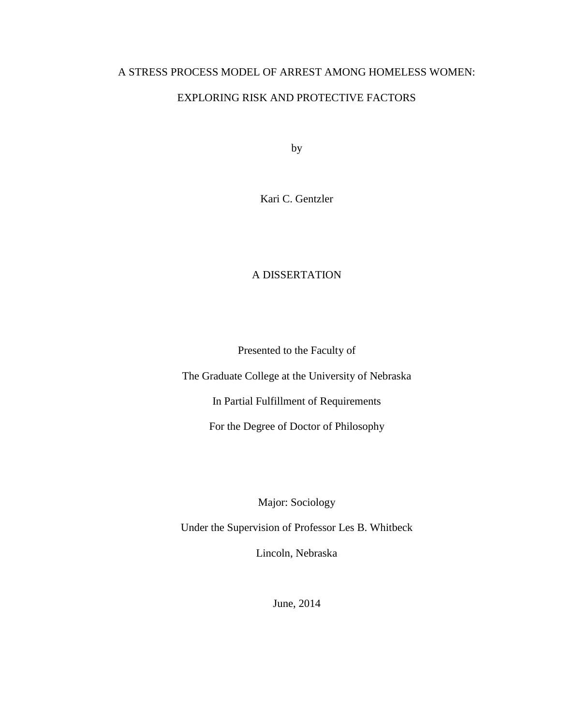# A STRESS PROCESS MODEL OF ARREST AMONG HOMELESS WOMEN:

# EXPLORING RISK AND PROTECTIVE FACTORS

by

Kari C. Gentzler

# A DISSERTATION

Presented to the Faculty of

The Graduate College at the University of Nebraska

In Partial Fulfillment of Requirements

For the Degree of Doctor of Philosophy

Major: Sociology

Under the Supervision of Professor Les B. Whitbeck

Lincoln, Nebraska

June, 2014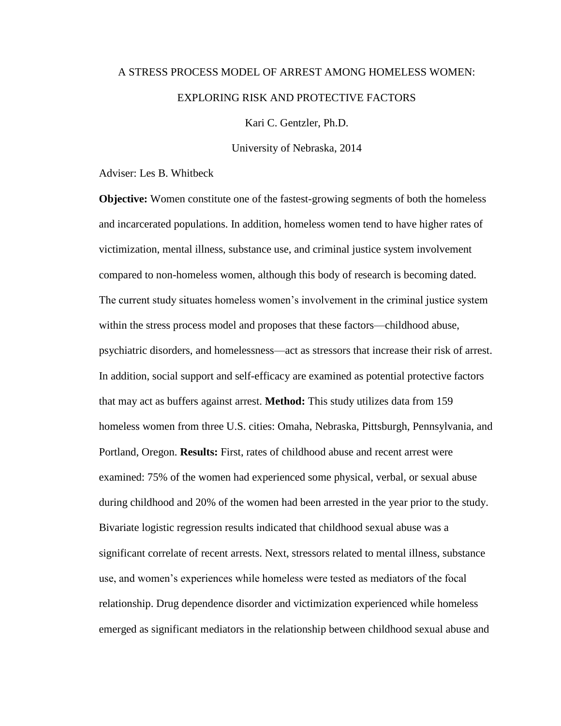# A STRESS PROCESS MODEL OF ARREST AMONG HOMELESS WOMEN: EXPLORING RISK AND PROTECTIVE FACTORS

Kari C. Gentzler, Ph.D.

University of Nebraska, 2014

Adviser: Les B. Whitbeck

**Objective:** Women constitute one of the fastest-growing segments of both the homeless and incarcerated populations. In addition, homeless women tend to have higher rates of victimization, mental illness, substance use, and criminal justice system involvement compared to non-homeless women, although this body of research is becoming dated. The current study situates homeless women's involvement in the criminal justice system within the stress process model and proposes that these factors—childhood abuse, psychiatric disorders, and homelessness—act as stressors that increase their risk of arrest. In addition, social support and self-efficacy are examined as potential protective factors that may act as buffers against arrest. **Method:** This study utilizes data from 159 homeless women from three U.S. cities: Omaha, Nebraska, Pittsburgh, Pennsylvania, and Portland, Oregon. **Results:** First, rates of childhood abuse and recent arrest were examined: 75% of the women had experienced some physical, verbal, or sexual abuse during childhood and 20% of the women had been arrested in the year prior to the study. Bivariate logistic regression results indicated that childhood sexual abuse was a significant correlate of recent arrests. Next, stressors related to mental illness, substance use, and women's experiences while homeless were tested as mediators of the focal relationship. Drug dependence disorder and victimization experienced while homeless emerged as significant mediators in the relationship between childhood sexual abuse and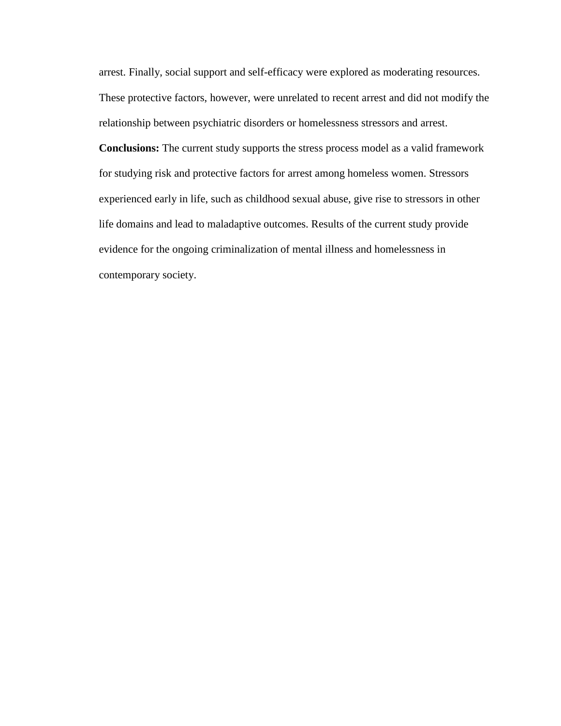arrest. Finally, social support and self-efficacy were explored as moderating resources. These protective factors, however, were unrelated to recent arrest and did not modify the relationship between psychiatric disorders or homelessness stressors and arrest. **Conclusions:** The current study supports the stress process model as a valid framework for studying risk and protective factors for arrest among homeless women. Stressors experienced early in life, such as childhood sexual abuse, give rise to stressors in other life domains and lead to maladaptive outcomes. Results of the current study provide evidence for the ongoing criminalization of mental illness and homelessness in contemporary society.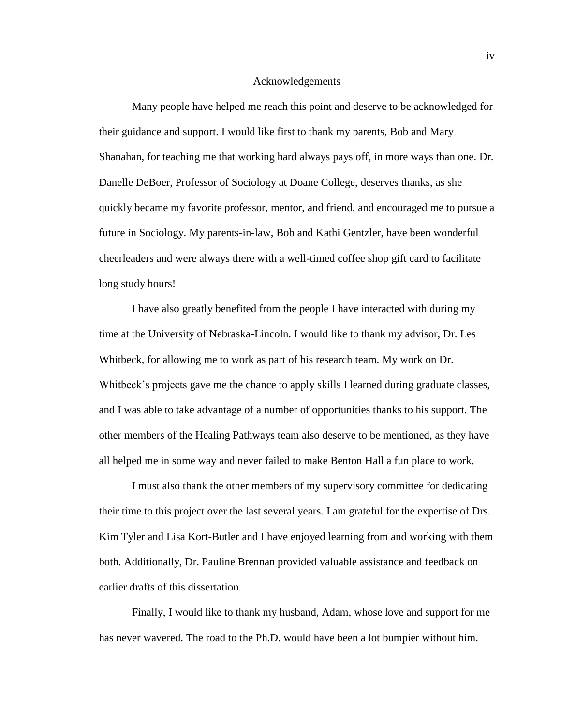#### Acknowledgements

Many people have helped me reach this point and deserve to be acknowledged for their guidance and support. I would like first to thank my parents, Bob and Mary Shanahan, for teaching me that working hard always pays off, in more ways than one. Dr. Danelle DeBoer, Professor of Sociology at Doane College, deserves thanks, as she quickly became my favorite professor, mentor, and friend, and encouraged me to pursue a future in Sociology. My parents-in-law, Bob and Kathi Gentzler, have been wonderful cheerleaders and were always there with a well-timed coffee shop gift card to facilitate long study hours!

I have also greatly benefited from the people I have interacted with during my time at the University of Nebraska-Lincoln. I would like to thank my advisor, Dr. Les Whitbeck, for allowing me to work as part of his research team. My work on Dr. Whitbeck's projects gave me the chance to apply skills I learned during graduate classes, and I was able to take advantage of a number of opportunities thanks to his support. The other members of the Healing Pathways team also deserve to be mentioned, as they have all helped me in some way and never failed to make Benton Hall a fun place to work.

I must also thank the other members of my supervisory committee for dedicating their time to this project over the last several years. I am grateful for the expertise of Drs. Kim Tyler and Lisa Kort-Butler and I have enjoyed learning from and working with them both. Additionally, Dr. Pauline Brennan provided valuable assistance and feedback on earlier drafts of this dissertation.

Finally, I would like to thank my husband, Adam, whose love and support for me has never wavered. The road to the Ph.D. would have been a lot bumpier without him.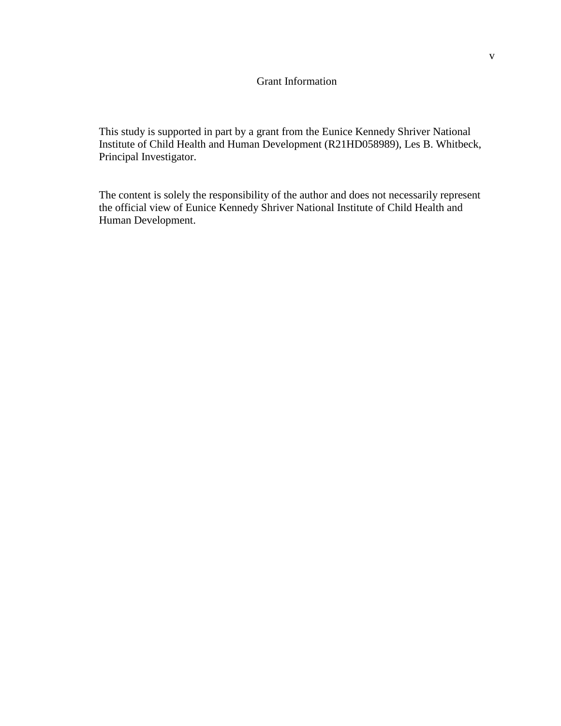#### Grant Information

This study is supported in part by a grant from the Eunice Kennedy Shriver National Institute of Child Health and Human Development (R21HD058989), Les B. Whitbeck, Principal Investigator.

The content is solely the responsibility of the author and does not necessarily represent the official view of Eunice Kennedy Shriver National Institute of Child Health and Human Development.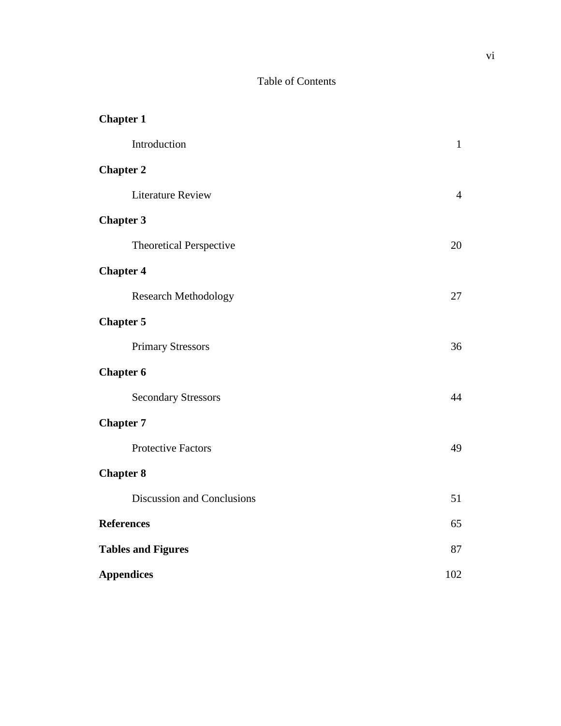# Table of Contents

| <b>Chapter 1</b>               |                |
|--------------------------------|----------------|
| Introduction                   | $\mathbf{1}$   |
| <b>Chapter 2</b>               |                |
| <b>Literature Review</b>       | $\overline{4}$ |
| <b>Chapter 3</b>               |                |
| <b>Theoretical Perspective</b> | 20             |
| <b>Chapter 4</b>               |                |
| <b>Research Methodology</b>    | 27             |
| <b>Chapter 5</b>               |                |
| <b>Primary Stressors</b>       | 36             |
| <b>Chapter 6</b>               |                |
| <b>Secondary Stressors</b>     | 44             |
| <b>Chapter 7</b>               |                |
| <b>Protective Factors</b>      | 49             |
| <b>Chapter 8</b>               |                |
| Discussion and Conclusions     | 51             |
| <b>References</b>              | 65             |
| <b>Tables and Figures</b>      | 87             |
| <b>Appendices</b>              | 102            |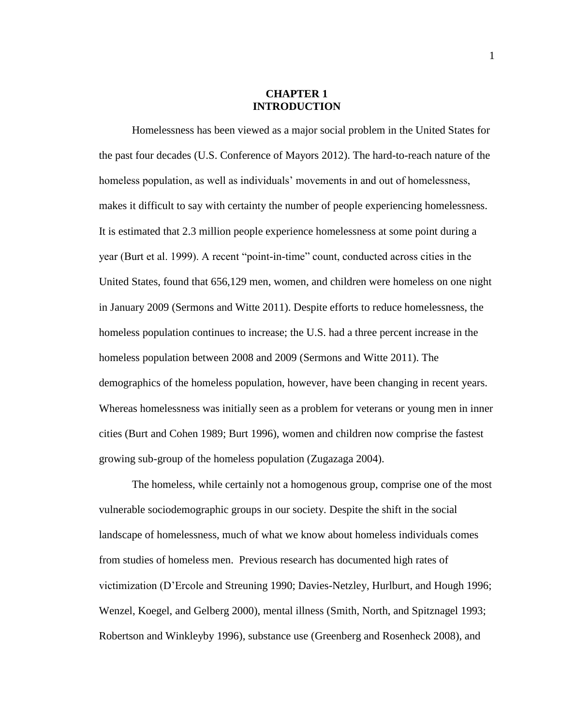#### **CHAPTER 1 INTRODUCTION**

Homelessness has been viewed as a major social problem in the United States for the past four decades (U.S. Conference of Mayors 2012). The hard-to-reach nature of the homeless population, as well as individuals' movements in and out of homelessness, makes it difficult to say with certainty the number of people experiencing homelessness. It is estimated that 2.3 million people experience homelessness at some point during a year (Burt et al. 1999). A recent "point-in-time" count, conducted across cities in the United States, found that 656,129 men, women, and children were homeless on one night in January 2009 (Sermons and Witte 2011). Despite efforts to reduce homelessness, the homeless population continues to increase; the U.S. had a three percent increase in the homeless population between 2008 and 2009 (Sermons and Witte 2011). The demographics of the homeless population, however, have been changing in recent years. Whereas homelessness was initially seen as a problem for veterans or young men in inner cities (Burt and Cohen 1989; Burt 1996), women and children now comprise the fastest growing sub-group of the homeless population (Zugazaga 2004).

The homeless, while certainly not a homogenous group, comprise one of the most vulnerable sociodemographic groups in our society. Despite the shift in the social landscape of homelessness, much of what we know about homeless individuals comes from studies of homeless men. Previous research has documented high rates of victimization (D'Ercole and Streuning 1990; Davies-Netzley, Hurlburt, and Hough 1996; Wenzel, Koegel, and Gelberg 2000), mental illness (Smith, North, and Spitznagel 1993; Robertson and Winkleyby 1996), substance use (Greenberg and Rosenheck 2008), and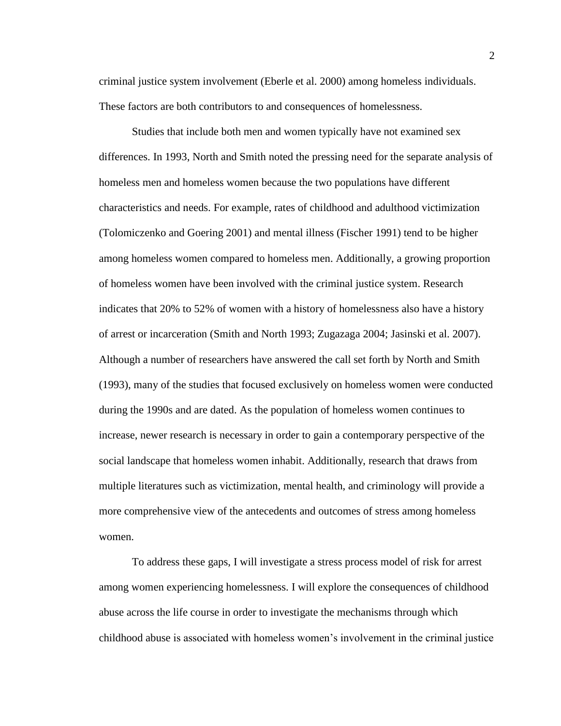criminal justice system involvement (Eberle et al. 2000) among homeless individuals. These factors are both contributors to and consequences of homelessness.

Studies that include both men and women typically have not examined sex differences. In 1993, North and Smith noted the pressing need for the separate analysis of homeless men and homeless women because the two populations have different characteristics and needs. For example, rates of childhood and adulthood victimization (Tolomiczenko and Goering 2001) and mental illness (Fischer 1991) tend to be higher among homeless women compared to homeless men. Additionally, a growing proportion of homeless women have been involved with the criminal justice system. Research indicates that 20% to 52% of women with a history of homelessness also have a history of arrest or incarceration (Smith and North 1993; Zugazaga 2004; Jasinski et al. 2007). Although a number of researchers have answered the call set forth by North and Smith (1993), many of the studies that focused exclusively on homeless women were conducted during the 1990s and are dated. As the population of homeless women continues to increase, newer research is necessary in order to gain a contemporary perspective of the social landscape that homeless women inhabit. Additionally, research that draws from multiple literatures such as victimization, mental health, and criminology will provide a more comprehensive view of the antecedents and outcomes of stress among homeless women.

To address these gaps, I will investigate a stress process model of risk for arrest among women experiencing homelessness. I will explore the consequences of childhood abuse across the life course in order to investigate the mechanisms through which childhood abuse is associated with homeless women's involvement in the criminal justice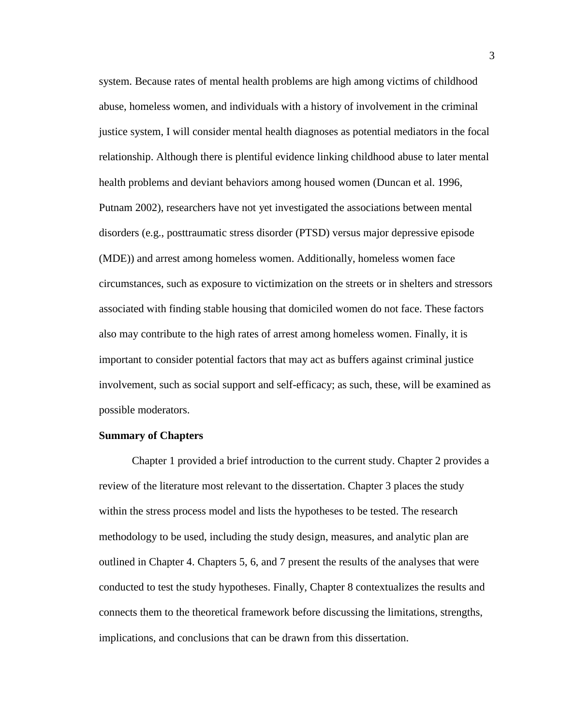system. Because rates of mental health problems are high among victims of childhood abuse, homeless women, and individuals with a history of involvement in the criminal justice system, I will consider mental health diagnoses as potential mediators in the focal relationship. Although there is plentiful evidence linking childhood abuse to later mental health problems and deviant behaviors among housed women (Duncan et al. 1996, Putnam 2002), researchers have not yet investigated the associations between mental disorders (e.g., posttraumatic stress disorder (PTSD) versus major depressive episode (MDE)) and arrest among homeless women. Additionally, homeless women face circumstances, such as exposure to victimization on the streets or in shelters and stressors associated with finding stable housing that domiciled women do not face. These factors also may contribute to the high rates of arrest among homeless women. Finally, it is important to consider potential factors that may act as buffers against criminal justice involvement, such as social support and self-efficacy; as such, these, will be examined as possible moderators.

#### **Summary of Chapters**

Chapter 1 provided a brief introduction to the current study. Chapter 2 provides a review of the literature most relevant to the dissertation. Chapter 3 places the study within the stress process model and lists the hypotheses to be tested. The research methodology to be used, including the study design, measures, and analytic plan are outlined in Chapter 4. Chapters 5, 6, and 7 present the results of the analyses that were conducted to test the study hypotheses. Finally, Chapter 8 contextualizes the results and connects them to the theoretical framework before discussing the limitations, strengths, implications, and conclusions that can be drawn from this dissertation.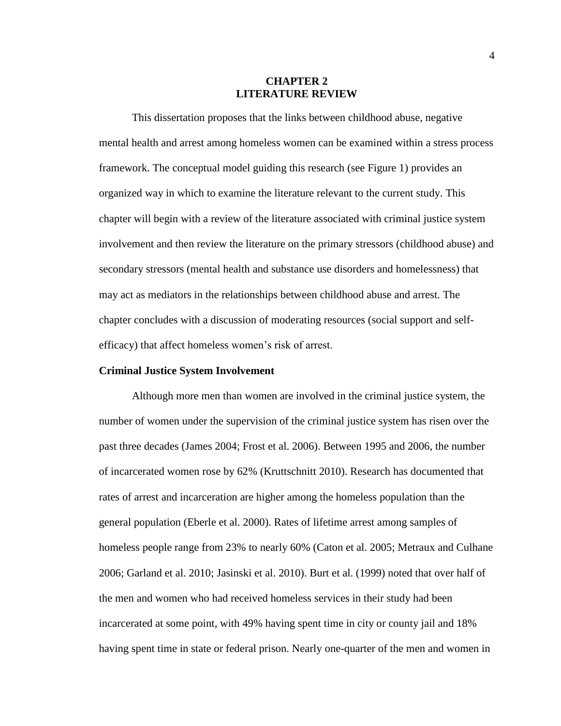#### **CHAPTER 2 LITERATURE REVIEW**

This dissertation proposes that the links between childhood abuse, negative mental health and arrest among homeless women can be examined within a stress process framework. The conceptual model guiding this research (see Figure 1) provides an organized way in which to examine the literature relevant to the current study. This chapter will begin with a review of the literature associated with criminal justice system involvement and then review the literature on the primary stressors (childhood abuse) and secondary stressors (mental health and substance use disorders and homelessness) that may act as mediators in the relationships between childhood abuse and arrest. The chapter concludes with a discussion of moderating resources (social support and selfefficacy) that affect homeless women's risk of arrest.

#### **Criminal Justice System Involvement**

Although more men than women are involved in the criminal justice system, the number of women under the supervision of the criminal justice system has risen over the past three decades (James 2004; Frost et al. 2006). Between 1995 and 2006, the number of incarcerated women rose by 62% (Kruttschnitt 2010). Research has documented that rates of arrest and incarceration are higher among the homeless population than the general population (Eberle et al. 2000). Rates of lifetime arrest among samples of homeless people range from 23% to nearly 60% (Caton et al. 2005; Metraux and Culhane 2006; Garland et al. 2010; Jasinski et al. 2010). Burt et al. (1999) noted that over half of the men and women who had received homeless services in their study had been incarcerated at some point, with 49% having spent time in city or county jail and 18% having spent time in state or federal prison. Nearly one-quarter of the men and women in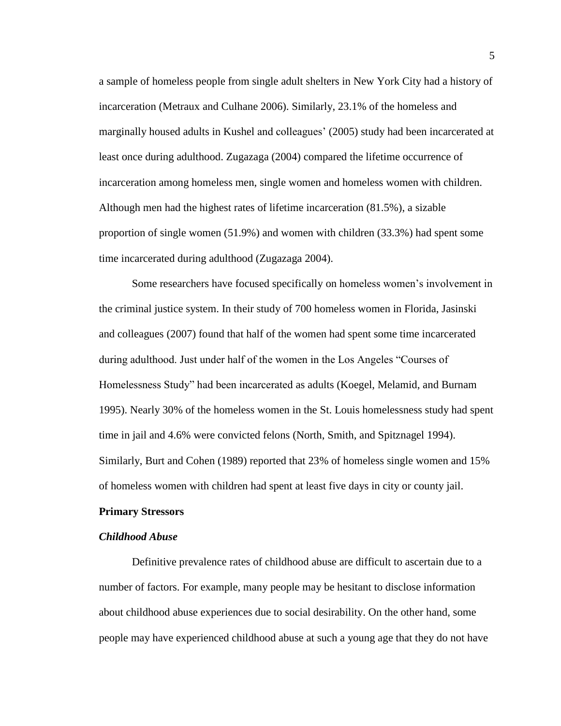a sample of homeless people from single adult shelters in New York City had a history of incarceration (Metraux and Culhane 2006). Similarly, 23.1% of the homeless and marginally housed adults in Kushel and colleagues' (2005) study had been incarcerated at least once during adulthood. Zugazaga (2004) compared the lifetime occurrence of incarceration among homeless men, single women and homeless women with children. Although men had the highest rates of lifetime incarceration (81.5%), a sizable proportion of single women (51.9%) and women with children (33.3%) had spent some time incarcerated during adulthood (Zugazaga 2004).

Some researchers have focused specifically on homeless women's involvement in the criminal justice system. In their study of 700 homeless women in Florida, Jasinski and colleagues (2007) found that half of the women had spent some time incarcerated during adulthood. Just under half of the women in the Los Angeles "Courses of Homelessness Study" had been incarcerated as adults (Koegel, Melamid, and Burnam 1995). Nearly 30% of the homeless women in the St. Louis homelessness study had spent time in jail and 4.6% were convicted felons (North, Smith, and Spitznagel 1994). Similarly, Burt and Cohen (1989) reported that 23% of homeless single women and 15% of homeless women with children had spent at least five days in city or county jail.

#### **Primary Stressors**

#### *Childhood Abuse*

Definitive prevalence rates of childhood abuse are difficult to ascertain due to a number of factors. For example, many people may be hesitant to disclose information about childhood abuse experiences due to social desirability. On the other hand, some people may have experienced childhood abuse at such a young age that they do not have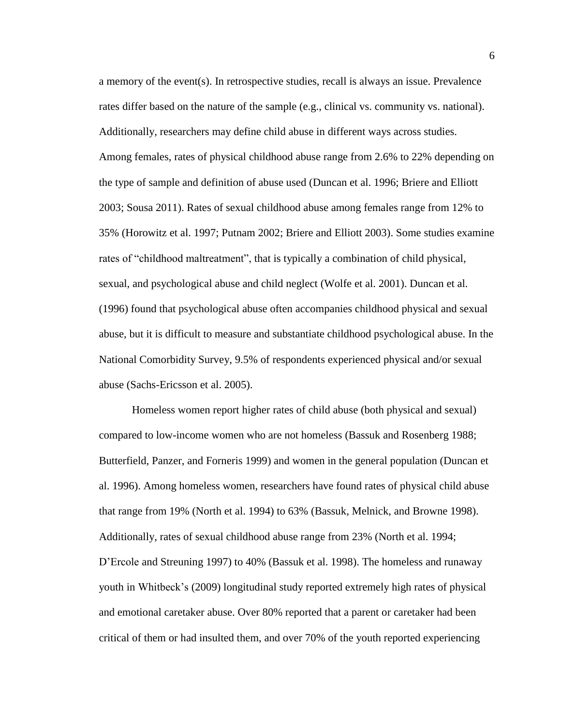a memory of the event(s). In retrospective studies, recall is always an issue. Prevalence rates differ based on the nature of the sample (e.g., clinical vs. community vs. national). Additionally, researchers may define child abuse in different ways across studies. Among females, rates of physical childhood abuse range from 2.6% to 22% depending on the type of sample and definition of abuse used (Duncan et al. 1996; Briere and Elliott 2003; Sousa 2011). Rates of sexual childhood abuse among females range from 12% to 35% (Horowitz et al. 1997; Putnam 2002; Briere and Elliott 2003). Some studies examine rates of "childhood maltreatment", that is typically a combination of child physical, sexual, and psychological abuse and child neglect (Wolfe et al. 2001). Duncan et al. (1996) found that psychological abuse often accompanies childhood physical and sexual abuse, but it is difficult to measure and substantiate childhood psychological abuse. In the National Comorbidity Survey, 9.5% of respondents experienced physical and/or sexual abuse (Sachs-Ericsson et al. 2005).

Homeless women report higher rates of child abuse (both physical and sexual) compared to low-income women who are not homeless (Bassuk and Rosenberg 1988; Butterfield, Panzer, and Forneris 1999) and women in the general population (Duncan et al. 1996). Among homeless women, researchers have found rates of physical child abuse that range from 19% (North et al. 1994) to 63% (Bassuk, Melnick, and Browne 1998). Additionally, rates of sexual childhood abuse range from 23% (North et al. 1994; D'Ercole and Streuning 1997) to 40% (Bassuk et al. 1998). The homeless and runaway youth in Whitbeck's (2009) longitudinal study reported extremely high rates of physical and emotional caretaker abuse. Over 80% reported that a parent or caretaker had been critical of them or had insulted them, and over 70% of the youth reported experiencing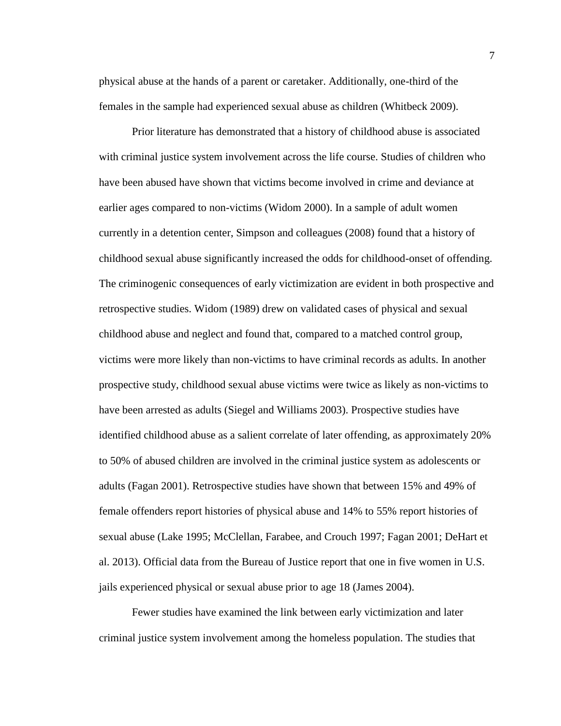physical abuse at the hands of a parent or caretaker. Additionally, one-third of the females in the sample had experienced sexual abuse as children (Whitbeck 2009).

Prior literature has demonstrated that a history of childhood abuse is associated with criminal justice system involvement across the life course. Studies of children who have been abused have shown that victims become involved in crime and deviance at earlier ages compared to non-victims (Widom 2000). In a sample of adult women currently in a detention center, Simpson and colleagues (2008) found that a history of childhood sexual abuse significantly increased the odds for childhood-onset of offending. The criminogenic consequences of early victimization are evident in both prospective and retrospective studies. Widom (1989) drew on validated cases of physical and sexual childhood abuse and neglect and found that, compared to a matched control group, victims were more likely than non-victims to have criminal records as adults. In another prospective study, childhood sexual abuse victims were twice as likely as non-victims to have been arrested as adults (Siegel and Williams 2003). Prospective studies have identified childhood abuse as a salient correlate of later offending, as approximately 20% to 50% of abused children are involved in the criminal justice system as adolescents or adults (Fagan 2001). Retrospective studies have shown that between 15% and 49% of female offenders report histories of physical abuse and 14% to 55% report histories of sexual abuse (Lake 1995; McClellan, Farabee, and Crouch 1997; Fagan 2001; DeHart et al. 2013). Official data from the Bureau of Justice report that one in five women in U.S. jails experienced physical or sexual abuse prior to age 18 (James 2004).

Fewer studies have examined the link between early victimization and later criminal justice system involvement among the homeless population. The studies that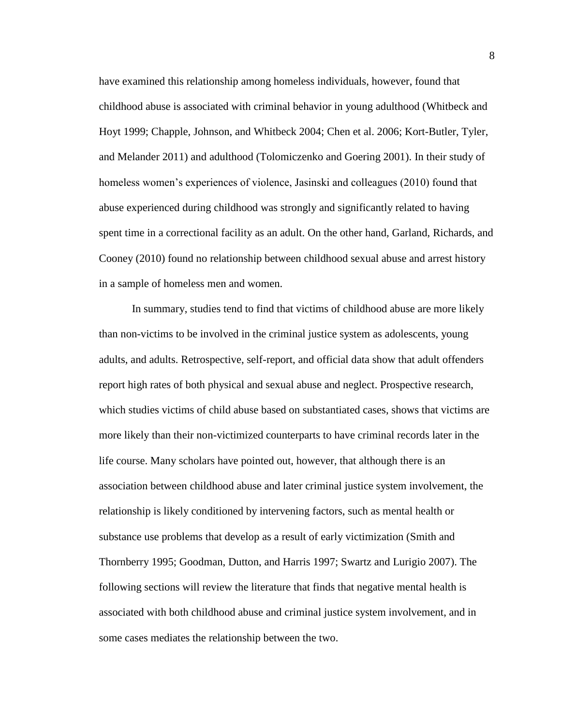have examined this relationship among homeless individuals, however, found that childhood abuse is associated with criminal behavior in young adulthood (Whitbeck and Hoyt 1999; Chapple, Johnson, and Whitbeck 2004; Chen et al. 2006; Kort-Butler, Tyler, and Melander 2011) and adulthood (Tolomiczenko and Goering 2001). In their study of homeless women's experiences of violence, Jasinski and colleagues (2010) found that abuse experienced during childhood was strongly and significantly related to having spent time in a correctional facility as an adult. On the other hand, Garland, Richards, and Cooney (2010) found no relationship between childhood sexual abuse and arrest history in a sample of homeless men and women.

In summary, studies tend to find that victims of childhood abuse are more likely than non-victims to be involved in the criminal justice system as adolescents, young adults, and adults. Retrospective, self-report, and official data show that adult offenders report high rates of both physical and sexual abuse and neglect. Prospective research, which studies victims of child abuse based on substantiated cases, shows that victims are more likely than their non-victimized counterparts to have criminal records later in the life course. Many scholars have pointed out, however, that although there is an association between childhood abuse and later criminal justice system involvement, the relationship is likely conditioned by intervening factors, such as mental health or substance use problems that develop as a result of early victimization (Smith and Thornberry 1995; Goodman, Dutton, and Harris 1997; Swartz and Lurigio 2007). The following sections will review the literature that finds that negative mental health is associated with both childhood abuse and criminal justice system involvement, and in some cases mediates the relationship between the two.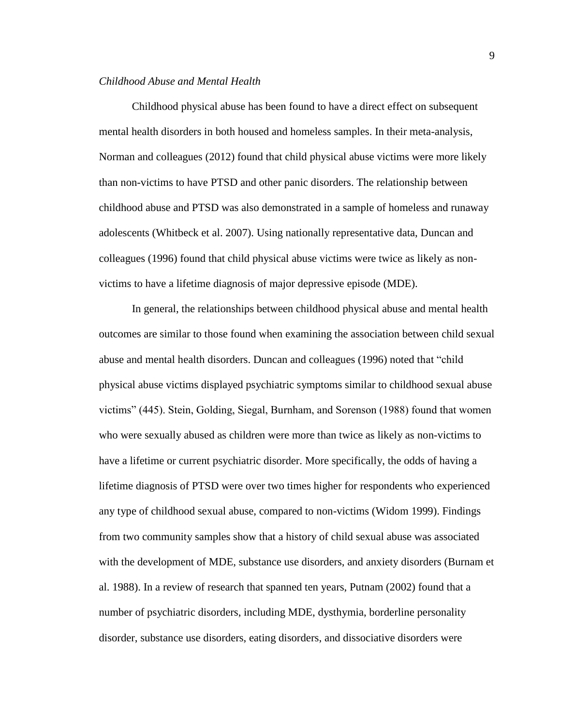#### *Childhood Abuse and Mental Health*

Childhood physical abuse has been found to have a direct effect on subsequent mental health disorders in both housed and homeless samples. In their meta-analysis, Norman and colleagues (2012) found that child physical abuse victims were more likely than non-victims to have PTSD and other panic disorders. The relationship between childhood abuse and PTSD was also demonstrated in a sample of homeless and runaway adolescents (Whitbeck et al. 2007). Using nationally representative data, Duncan and colleagues (1996) found that child physical abuse victims were twice as likely as nonvictims to have a lifetime diagnosis of major depressive episode (MDE).

In general, the relationships between childhood physical abuse and mental health outcomes are similar to those found when examining the association between child sexual abuse and mental health disorders. Duncan and colleagues (1996) noted that "child physical abuse victims displayed psychiatric symptoms similar to childhood sexual abuse victims" (445). Stein, Golding, Siegal, Burnham, and Sorenson (1988) found that women who were sexually abused as children were more than twice as likely as non-victims to have a lifetime or current psychiatric disorder. More specifically, the odds of having a lifetime diagnosis of PTSD were over two times higher for respondents who experienced any type of childhood sexual abuse, compared to non-victims (Widom 1999). Findings from two community samples show that a history of child sexual abuse was associated with the development of MDE, substance use disorders, and anxiety disorders (Burnam et al. 1988). In a review of research that spanned ten years, Putnam (2002) found that a number of psychiatric disorders, including MDE, dysthymia, borderline personality disorder, substance use disorders, eating disorders, and dissociative disorders were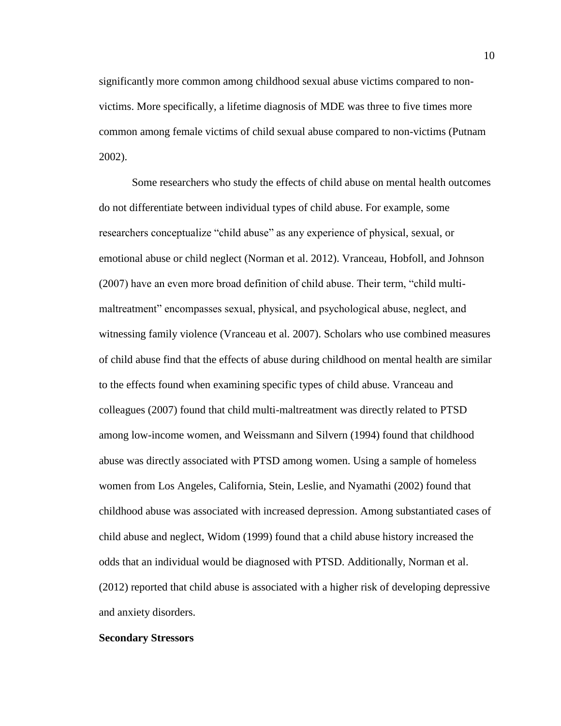significantly more common among childhood sexual abuse victims compared to nonvictims. More specifically, a lifetime diagnosis of MDE was three to five times more common among female victims of child sexual abuse compared to non-victims (Putnam 2002).

Some researchers who study the effects of child abuse on mental health outcomes do not differentiate between individual types of child abuse. For example, some researchers conceptualize "child abuse" as any experience of physical, sexual, or emotional abuse or child neglect (Norman et al. 2012). Vranceau, Hobfoll, and Johnson (2007) have an even more broad definition of child abuse. Their term, "child multimaltreatment" encompasses sexual, physical, and psychological abuse, neglect, and witnessing family violence (Vranceau et al. 2007). Scholars who use combined measures of child abuse find that the effects of abuse during childhood on mental health are similar to the effects found when examining specific types of child abuse. Vranceau and colleagues (2007) found that child multi-maltreatment was directly related to PTSD among low-income women, and Weissmann and Silvern (1994) found that childhood abuse was directly associated with PTSD among women. Using a sample of homeless women from Los Angeles, California, Stein, Leslie, and Nyamathi (2002) found that childhood abuse was associated with increased depression. Among substantiated cases of child abuse and neglect, Widom (1999) found that a child abuse history increased the odds that an individual would be diagnosed with PTSD. Additionally, Norman et al. (2012) reported that child abuse is associated with a higher risk of developing depressive and anxiety disorders.

#### **Secondary Stressors**

10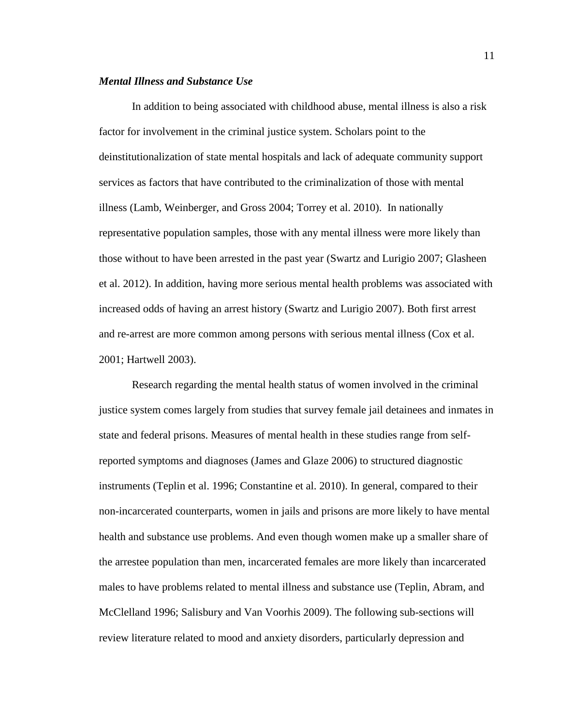#### *Mental Illness and Substance Use*

In addition to being associated with childhood abuse, mental illness is also a risk factor for involvement in the criminal justice system. Scholars point to the deinstitutionalization of state mental hospitals and lack of adequate community support services as factors that have contributed to the criminalization of those with mental illness (Lamb, Weinberger, and Gross 2004; Torrey et al. 2010). In nationally representative population samples, those with any mental illness were more likely than those without to have been arrested in the past year (Swartz and Lurigio 2007; Glasheen et al. 2012). In addition, having more serious mental health problems was associated with increased odds of having an arrest history (Swartz and Lurigio 2007). Both first arrest and re-arrest are more common among persons with serious mental illness (Cox et al. 2001; Hartwell 2003).

Research regarding the mental health status of women involved in the criminal justice system comes largely from studies that survey female jail detainees and inmates in state and federal prisons. Measures of mental health in these studies range from selfreported symptoms and diagnoses (James and Glaze 2006) to structured diagnostic instruments (Teplin et al. 1996; Constantine et al. 2010). In general, compared to their non-incarcerated counterparts, women in jails and prisons are more likely to have mental health and substance use problems. And even though women make up a smaller share of the arrestee population than men, incarcerated females are more likely than incarcerated males to have problems related to mental illness and substance use (Teplin, Abram, and McClelland 1996; Salisbury and Van Voorhis 2009). The following sub-sections will review literature related to mood and anxiety disorders, particularly depression and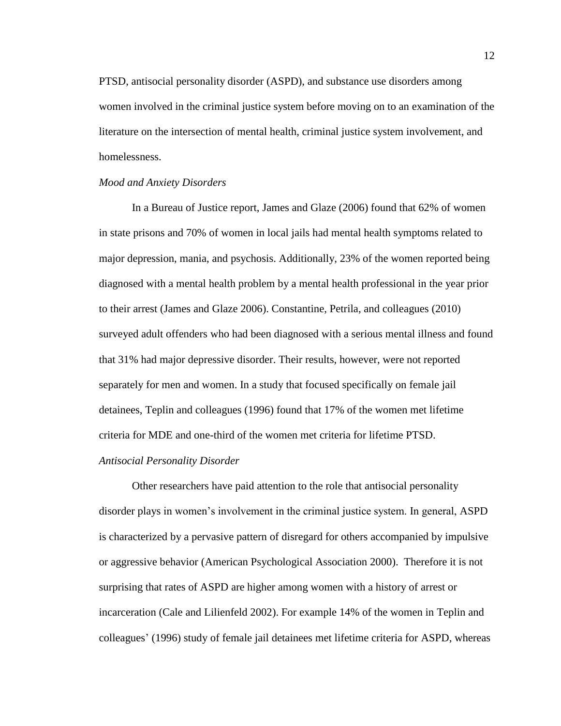PTSD, antisocial personality disorder (ASPD), and substance use disorders among women involved in the criminal justice system before moving on to an examination of the literature on the intersection of mental health, criminal justice system involvement, and homelessness.

#### *Mood and Anxiety Disorders*

In a Bureau of Justice report, James and Glaze (2006) found that 62% of women in state prisons and 70% of women in local jails had mental health symptoms related to major depression, mania, and psychosis. Additionally, 23% of the women reported being diagnosed with a mental health problem by a mental health professional in the year prior to their arrest (James and Glaze 2006). Constantine, Petrila, and colleagues (2010) surveyed adult offenders who had been diagnosed with a serious mental illness and found that 31% had major depressive disorder. Their results, however, were not reported separately for men and women. In a study that focused specifically on female jail detainees, Teplin and colleagues (1996) found that 17% of the women met lifetime criteria for MDE and one-third of the women met criteria for lifetime PTSD.

#### *Antisocial Personality Disorder*

Other researchers have paid attention to the role that antisocial personality disorder plays in women's involvement in the criminal justice system. In general, ASPD is characterized by a pervasive pattern of disregard for others accompanied by impulsive or aggressive behavior (American Psychological Association 2000). Therefore it is not surprising that rates of ASPD are higher among women with a history of arrest or incarceration (Cale and Lilienfeld 2002). For example 14% of the women in Teplin and colleagues' (1996) study of female jail detainees met lifetime criteria for ASPD, whereas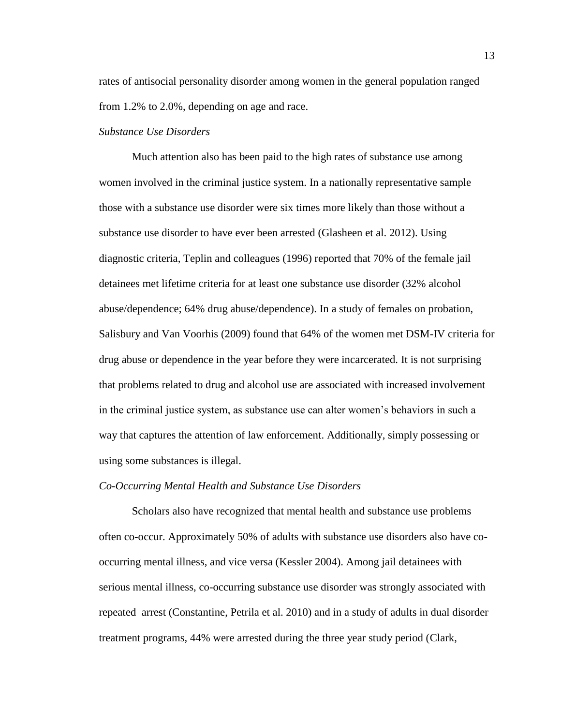rates of antisocial personality disorder among women in the general population ranged from 1.2% to 2.0%, depending on age and race.

#### *Substance Use Disorders*

Much attention also has been paid to the high rates of substance use among women involved in the criminal justice system. In a nationally representative sample those with a substance use disorder were six times more likely than those without a substance use disorder to have ever been arrested (Glasheen et al. 2012). Using diagnostic criteria, Teplin and colleagues (1996) reported that 70% of the female jail detainees met lifetime criteria for at least one substance use disorder (32% alcohol abuse/dependence; 64% drug abuse/dependence). In a study of females on probation, Salisbury and Van Voorhis (2009) found that 64% of the women met DSM-IV criteria for drug abuse or dependence in the year before they were incarcerated. It is not surprising that problems related to drug and alcohol use are associated with increased involvement in the criminal justice system, as substance use can alter women's behaviors in such a way that captures the attention of law enforcement. Additionally, simply possessing or using some substances is illegal.

#### *Co-Occurring Mental Health and Substance Use Disorders*

Scholars also have recognized that mental health and substance use problems often co-occur. Approximately 50% of adults with substance use disorders also have cooccurring mental illness, and vice versa (Kessler 2004). Among jail detainees with serious mental illness, co-occurring substance use disorder was strongly associated with repeated arrest (Constantine, Petrila et al. 2010) and in a study of adults in dual disorder treatment programs, 44% were arrested during the three year study period (Clark,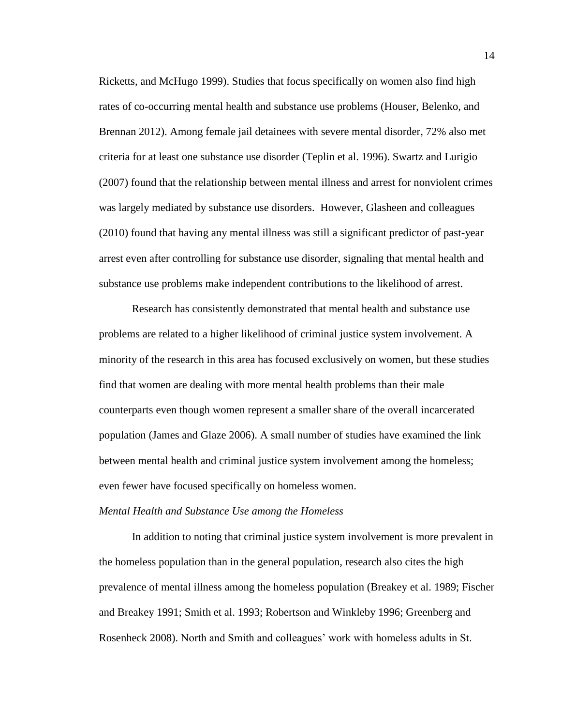Ricketts, and McHugo 1999). Studies that focus specifically on women also find high rates of co-occurring mental health and substance use problems (Houser, Belenko, and Brennan 2012). Among female jail detainees with severe mental disorder, 72% also met criteria for at least one substance use disorder (Teplin et al. 1996). Swartz and Lurigio (2007) found that the relationship between mental illness and arrest for nonviolent crimes was largely mediated by substance use disorders. However, Glasheen and colleagues (2010) found that having any mental illness was still a significant predictor of past-year arrest even after controlling for substance use disorder, signaling that mental health and substance use problems make independent contributions to the likelihood of arrest.

Research has consistently demonstrated that mental health and substance use problems are related to a higher likelihood of criminal justice system involvement. A minority of the research in this area has focused exclusively on women, but these studies find that women are dealing with more mental health problems than their male counterparts even though women represent a smaller share of the overall incarcerated population (James and Glaze 2006). A small number of studies have examined the link between mental health and criminal justice system involvement among the homeless; even fewer have focused specifically on homeless women.

#### *Mental Health and Substance Use among the Homeless*

In addition to noting that criminal justice system involvement is more prevalent in the homeless population than in the general population, research also cites the high prevalence of mental illness among the homeless population (Breakey et al. 1989; Fischer and Breakey 1991; Smith et al. 1993; Robertson and Winkleby 1996; Greenberg and Rosenheck 2008). North and Smith and colleagues' work with homeless adults in St.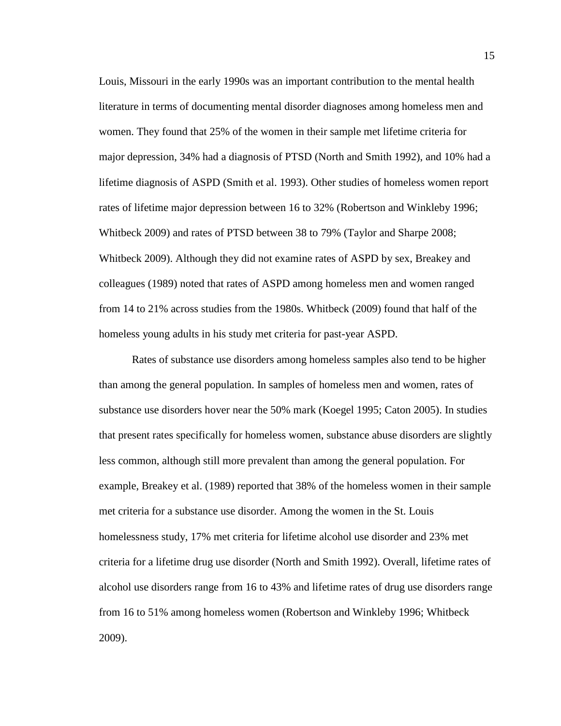Louis, Missouri in the early 1990s was an important contribution to the mental health literature in terms of documenting mental disorder diagnoses among homeless men and women. They found that 25% of the women in their sample met lifetime criteria for major depression, 34% had a diagnosis of PTSD (North and Smith 1992), and 10% had a lifetime diagnosis of ASPD (Smith et al. 1993). Other studies of homeless women report rates of lifetime major depression between 16 to 32% (Robertson and Winkleby 1996; Whitbeck 2009) and rates of PTSD between 38 to 79% (Taylor and Sharpe 2008; Whitbeck 2009). Although they did not examine rates of ASPD by sex, Breakey and colleagues (1989) noted that rates of ASPD among homeless men and women ranged from 14 to 21% across studies from the 1980s. Whitbeck (2009) found that half of the homeless young adults in his study met criteria for past-year ASPD.

Rates of substance use disorders among homeless samples also tend to be higher than among the general population. In samples of homeless men and women, rates of substance use disorders hover near the 50% mark (Koegel 1995; Caton 2005). In studies that present rates specifically for homeless women, substance abuse disorders are slightly less common, although still more prevalent than among the general population. For example, Breakey et al. (1989) reported that 38% of the homeless women in their sample met criteria for a substance use disorder. Among the women in the St. Louis homelessness study, 17% met criteria for lifetime alcohol use disorder and 23% met criteria for a lifetime drug use disorder (North and Smith 1992). Overall, lifetime rates of alcohol use disorders range from 16 to 43% and lifetime rates of drug use disorders range from 16 to 51% among homeless women (Robertson and Winkleby 1996; Whitbeck 2009).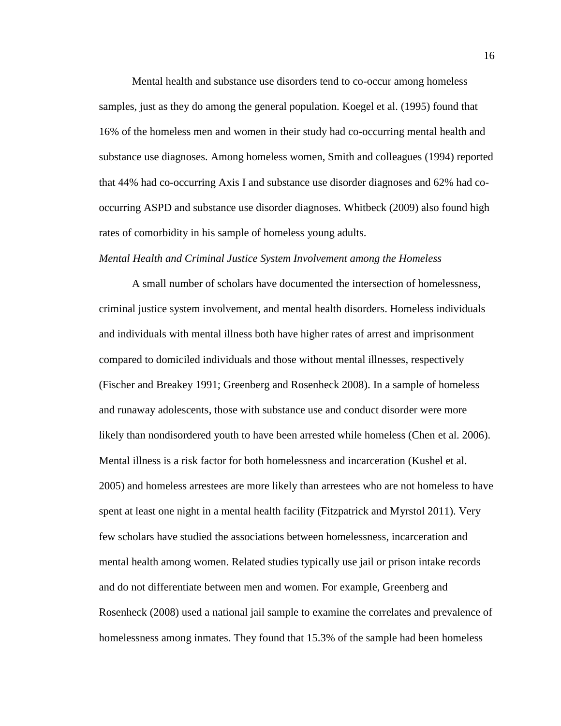Mental health and substance use disorders tend to co-occur among homeless samples, just as they do among the general population. Koegel et al. (1995) found that 16% of the homeless men and women in their study had co-occurring mental health and substance use diagnoses. Among homeless women, Smith and colleagues (1994) reported that 44% had co-occurring Axis I and substance use disorder diagnoses and 62% had cooccurring ASPD and substance use disorder diagnoses. Whitbeck (2009) also found high rates of comorbidity in his sample of homeless young adults.

#### *Mental Health and Criminal Justice System Involvement among the Homeless*

A small number of scholars have documented the intersection of homelessness, criminal justice system involvement, and mental health disorders. Homeless individuals and individuals with mental illness both have higher rates of arrest and imprisonment compared to domiciled individuals and those without mental illnesses, respectively (Fischer and Breakey 1991; Greenberg and Rosenheck 2008). In a sample of homeless and runaway adolescents, those with substance use and conduct disorder were more likely than nondisordered youth to have been arrested while homeless (Chen et al. 2006). Mental illness is a risk factor for both homelessness and incarceration (Kushel et al. 2005) and homeless arrestees are more likely than arrestees who are not homeless to have spent at least one night in a mental health facility (Fitzpatrick and Myrstol 2011). Very few scholars have studied the associations between homelessness, incarceration and mental health among women. Related studies typically use jail or prison intake records and do not differentiate between men and women. For example, Greenberg and Rosenheck (2008) used a national jail sample to examine the correlates and prevalence of homelessness among inmates. They found that 15.3% of the sample had been homeless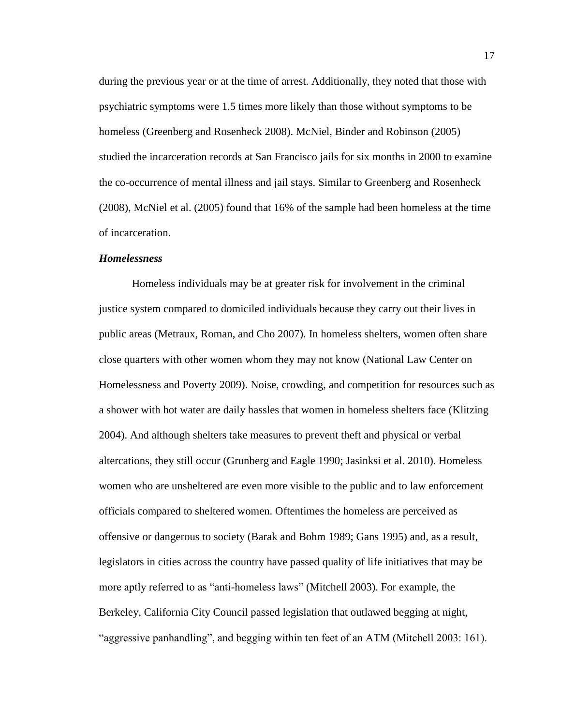during the previous year or at the time of arrest. Additionally, they noted that those with psychiatric symptoms were 1.5 times more likely than those without symptoms to be homeless (Greenberg and Rosenheck 2008). McNiel, Binder and Robinson (2005) studied the incarceration records at San Francisco jails for six months in 2000 to examine the co-occurrence of mental illness and jail stays. Similar to Greenberg and Rosenheck (2008), McNiel et al. (2005) found that 16% of the sample had been homeless at the time of incarceration.

#### *Homelessness*

Homeless individuals may be at greater risk for involvement in the criminal justice system compared to domiciled individuals because they carry out their lives in public areas (Metraux, Roman, and Cho 2007). In homeless shelters, women often share close quarters with other women whom they may not know (National Law Center on Homelessness and Poverty 2009). Noise, crowding, and competition for resources such as a shower with hot water are daily hassles that women in homeless shelters face (Klitzing 2004). And although shelters take measures to prevent theft and physical or verbal altercations, they still occur (Grunberg and Eagle 1990; Jasinksi et al. 2010). Homeless women who are unsheltered are even more visible to the public and to law enforcement officials compared to sheltered women. Oftentimes the homeless are perceived as offensive or dangerous to society (Barak and Bohm 1989; Gans 1995) and, as a result, legislators in cities across the country have passed quality of life initiatives that may be more aptly referred to as "anti-homeless laws" (Mitchell 2003). For example, the Berkeley, California City Council passed legislation that outlawed begging at night, "aggressive panhandling", and begging within ten feet of an ATM (Mitchell 2003: 161).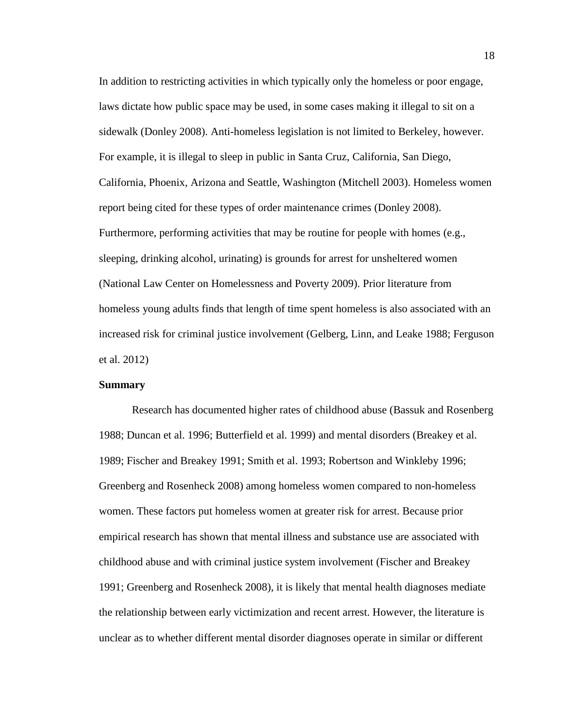In addition to restricting activities in which typically only the homeless or poor engage, laws dictate how public space may be used, in some cases making it illegal to sit on a sidewalk (Donley 2008). Anti-homeless legislation is not limited to Berkeley, however. For example, it is illegal to sleep in public in Santa Cruz, California, San Diego, California, Phoenix, Arizona and Seattle, Washington (Mitchell 2003). Homeless women report being cited for these types of order maintenance crimes (Donley 2008). Furthermore, performing activities that may be routine for people with homes (e.g., sleeping, drinking alcohol, urinating) is grounds for arrest for unsheltered women (National Law Center on Homelessness and Poverty 2009). Prior literature from homeless young adults finds that length of time spent homeless is also associated with an increased risk for criminal justice involvement (Gelberg, Linn, and Leake 1988; Ferguson et al. 2012)

#### **Summary**

Research has documented higher rates of childhood abuse (Bassuk and Rosenberg 1988; Duncan et al. 1996; Butterfield et al. 1999) and mental disorders (Breakey et al. 1989; Fischer and Breakey 1991; Smith et al. 1993; Robertson and Winkleby 1996; Greenberg and Rosenheck 2008) among homeless women compared to non-homeless women. These factors put homeless women at greater risk for arrest. Because prior empirical research has shown that mental illness and substance use are associated with childhood abuse and with criminal justice system involvement (Fischer and Breakey 1991; Greenberg and Rosenheck 2008), it is likely that mental health diagnoses mediate the relationship between early victimization and recent arrest. However, the literature is unclear as to whether different mental disorder diagnoses operate in similar or different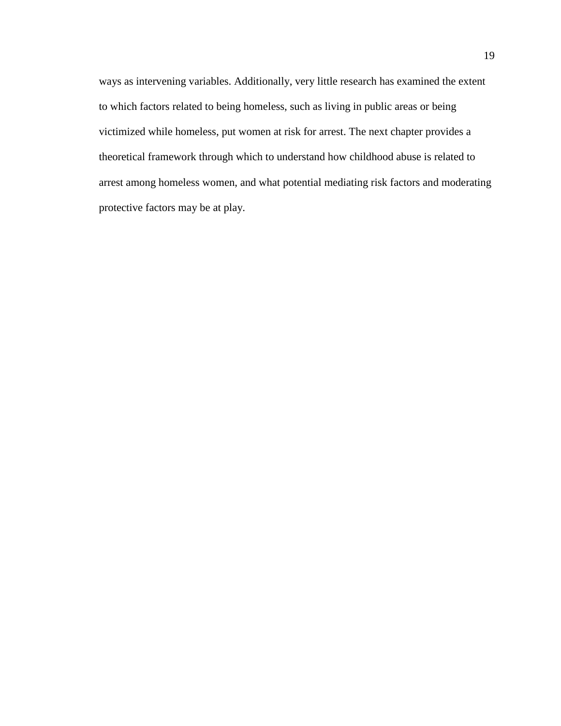ways as intervening variables. Additionally, very little research has examined the extent to which factors related to being homeless, such as living in public areas or being victimized while homeless, put women at risk for arrest. The next chapter provides a theoretical framework through which to understand how childhood abuse is related to arrest among homeless women, and what potential mediating risk factors and moderating protective factors may be at play.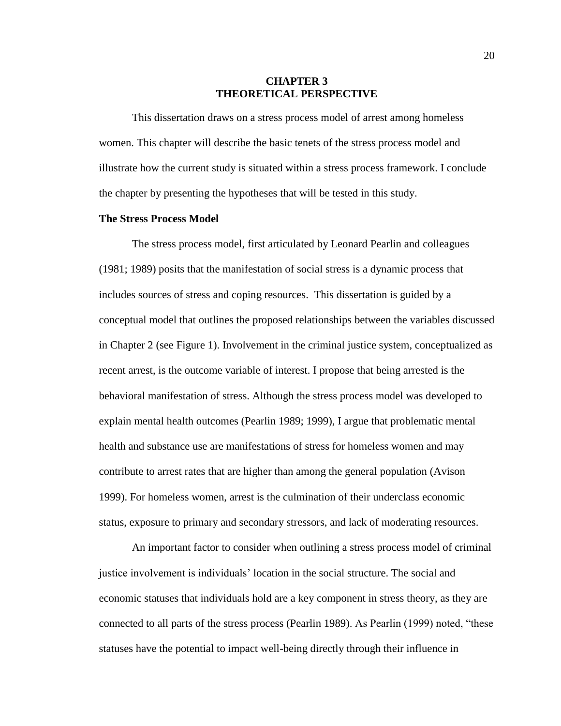#### **CHAPTER 3 THEORETICAL PERSPECTIVE**

This dissertation draws on a stress process model of arrest among homeless women. This chapter will describe the basic tenets of the stress process model and illustrate how the current study is situated within a stress process framework. I conclude the chapter by presenting the hypotheses that will be tested in this study.

### **The Stress Process Model**

The stress process model, first articulated by Leonard Pearlin and colleagues (1981; 1989) posits that the manifestation of social stress is a dynamic process that includes sources of stress and coping resources. This dissertation is guided by a conceptual model that outlines the proposed relationships between the variables discussed in Chapter 2 (see Figure 1). Involvement in the criminal justice system, conceptualized as recent arrest, is the outcome variable of interest. I propose that being arrested is the behavioral manifestation of stress. Although the stress process model was developed to explain mental health outcomes (Pearlin 1989; 1999), I argue that problematic mental health and substance use are manifestations of stress for homeless women and may contribute to arrest rates that are higher than among the general population (Avison 1999). For homeless women, arrest is the culmination of their underclass economic status, exposure to primary and secondary stressors, and lack of moderating resources.

An important factor to consider when outlining a stress process model of criminal justice involvement is individuals' location in the social structure. The social and economic statuses that individuals hold are a key component in stress theory, as they are connected to all parts of the stress process (Pearlin 1989). As Pearlin (1999) noted, "these statuses have the potential to impact well-being directly through their influence in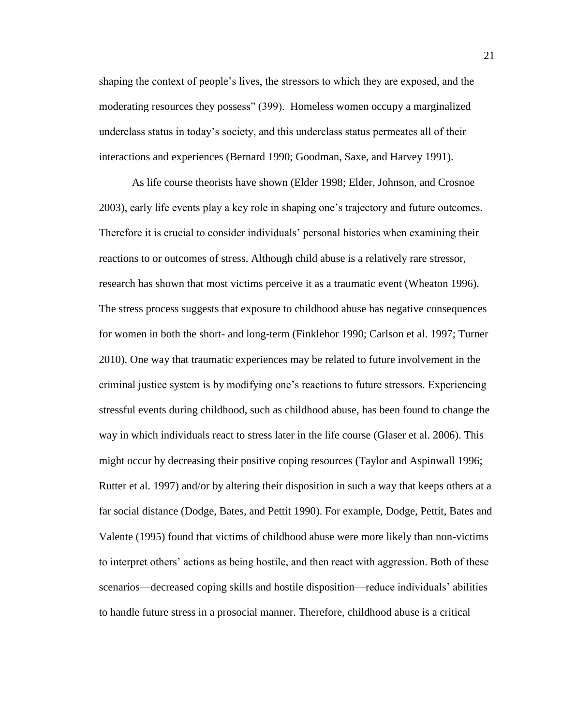shaping the context of people's lives, the stressors to which they are exposed, and the moderating resources they possess" (399). Homeless women occupy a marginalized underclass status in today's society, and this underclass status permeates all of their interactions and experiences (Bernard 1990; Goodman, Saxe, and Harvey 1991).

As life course theorists have shown (Elder 1998; Elder, Johnson, and Crosnoe 2003), early life events play a key role in shaping one's trajectory and future outcomes. Therefore it is crucial to consider individuals' personal histories when examining their reactions to or outcomes of stress. Although child abuse is a relatively rare stressor, research has shown that most victims perceive it as a traumatic event (Wheaton 1996). The stress process suggests that exposure to childhood abuse has negative consequences for women in both the short- and long-term (Finklehor 1990; Carlson et al. 1997; Turner 2010). One way that traumatic experiences may be related to future involvement in the criminal justice system is by modifying one's reactions to future stressors. Experiencing stressful events during childhood, such as childhood abuse, has been found to change the way in which individuals react to stress later in the life course (Glaser et al. 2006). This might occur by decreasing their positive coping resources (Taylor and Aspinwall 1996; Rutter et al. 1997) and/or by altering their disposition in such a way that keeps others at a far social distance (Dodge, Bates, and Pettit 1990). For example, Dodge, Pettit, Bates and Valente (1995) found that victims of childhood abuse were more likely than non-victims to interpret others' actions as being hostile, and then react with aggression. Both of these scenarios—decreased coping skills and hostile disposition—reduce individuals' abilities to handle future stress in a prosocial manner. Therefore, childhood abuse is a critical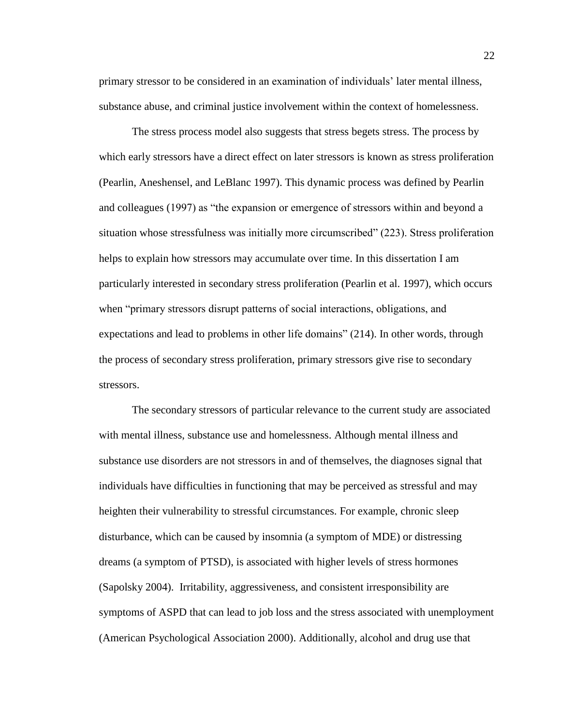primary stressor to be considered in an examination of individuals' later mental illness, substance abuse, and criminal justice involvement within the context of homelessness.

The stress process model also suggests that stress begets stress. The process by which early stressors have a direct effect on later stressors is known as stress proliferation (Pearlin, Aneshensel, and LeBlanc 1997). This dynamic process was defined by Pearlin and colleagues (1997) as "the expansion or emergence of stressors within and beyond a situation whose stressfulness was initially more circumscribed" (223). Stress proliferation helps to explain how stressors may accumulate over time. In this dissertation I am particularly interested in secondary stress proliferation (Pearlin et al. 1997), which occurs when "primary stressors disrupt patterns of social interactions, obligations, and expectations and lead to problems in other life domains" (214). In other words, through the process of secondary stress proliferation, primary stressors give rise to secondary stressors.

The secondary stressors of particular relevance to the current study are associated with mental illness, substance use and homelessness. Although mental illness and substance use disorders are not stressors in and of themselves, the diagnoses signal that individuals have difficulties in functioning that may be perceived as stressful and may heighten their vulnerability to stressful circumstances. For example, chronic sleep disturbance, which can be caused by insomnia (a symptom of MDE) or distressing dreams (a symptom of PTSD), is associated with higher levels of stress hormones (Sapolsky 2004). Irritability, aggressiveness, and consistent irresponsibility are symptoms of ASPD that can lead to job loss and the stress associated with unemployment (American Psychological Association 2000). Additionally, alcohol and drug use that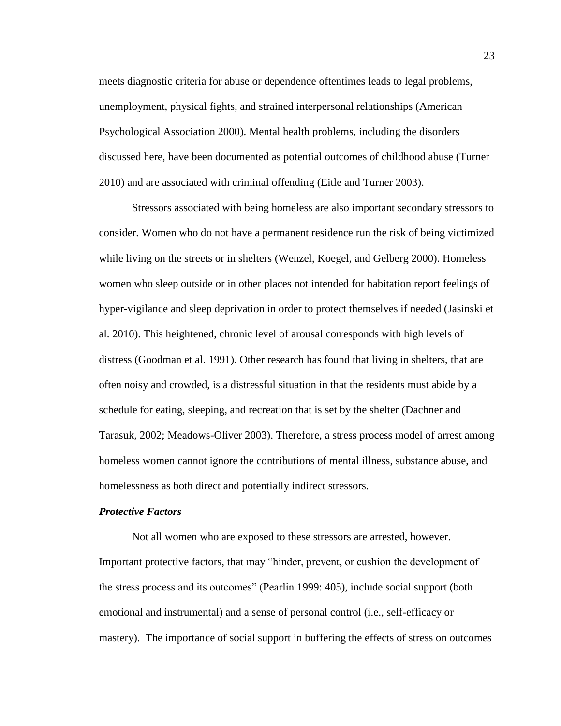meets diagnostic criteria for abuse or dependence oftentimes leads to legal problems, unemployment, physical fights, and strained interpersonal relationships (American Psychological Association 2000). Mental health problems, including the disorders discussed here, have been documented as potential outcomes of childhood abuse (Turner 2010) and are associated with criminal offending (Eitle and Turner 2003).

Stressors associated with being homeless are also important secondary stressors to consider. Women who do not have a permanent residence run the risk of being victimized while living on the streets or in shelters (Wenzel, Koegel, and Gelberg 2000). Homeless women who sleep outside or in other places not intended for habitation report feelings of hyper-vigilance and sleep deprivation in order to protect themselves if needed (Jasinski et al. 2010). This heightened, chronic level of arousal corresponds with high levels of distress (Goodman et al. 1991). Other research has found that living in shelters, that are often noisy and crowded, is a distressful situation in that the residents must abide by a schedule for eating, sleeping, and recreation that is set by the shelter (Dachner and Tarasuk, 2002; Meadows-Oliver 2003). Therefore, a stress process model of arrest among homeless women cannot ignore the contributions of mental illness, substance abuse, and homelessness as both direct and potentially indirect stressors.

#### *Protective Factors*

Not all women who are exposed to these stressors are arrested, however. Important protective factors, that may "hinder, prevent, or cushion the development of the stress process and its outcomes" (Pearlin 1999: 405), include social support (both emotional and instrumental) and a sense of personal control (i.e., self-efficacy or mastery). The importance of social support in buffering the effects of stress on outcomes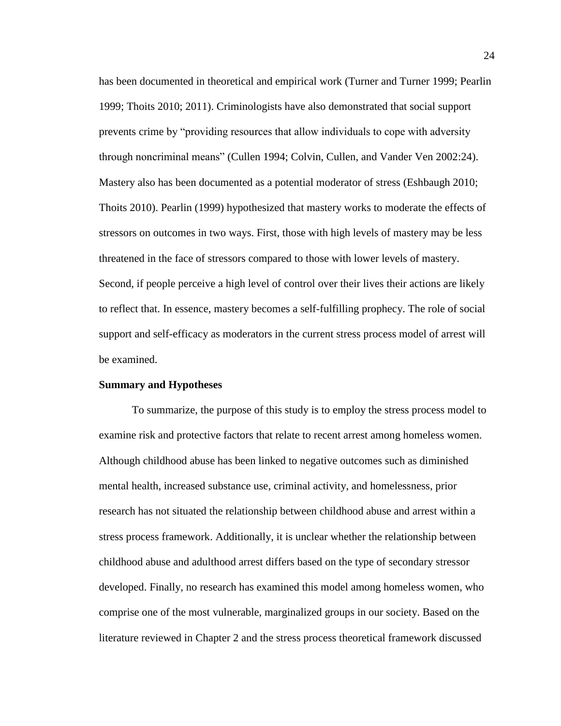has been documented in theoretical and empirical work (Turner and Turner 1999; Pearlin 1999; Thoits 2010; 2011). Criminologists have also demonstrated that social support prevents crime by "providing resources that allow individuals to cope with adversity through noncriminal means" (Cullen 1994; Colvin, Cullen, and Vander Ven 2002:24). Mastery also has been documented as a potential moderator of stress (Eshbaugh 2010; Thoits 2010). Pearlin (1999) hypothesized that mastery works to moderate the effects of stressors on outcomes in two ways. First, those with high levels of mastery may be less threatened in the face of stressors compared to those with lower levels of mastery. Second, if people perceive a high level of control over their lives their actions are likely to reflect that. In essence, mastery becomes a self-fulfilling prophecy. The role of social support and self-efficacy as moderators in the current stress process model of arrest will be examined.

#### **Summary and Hypotheses**

To summarize, the purpose of this study is to employ the stress process model to examine risk and protective factors that relate to recent arrest among homeless women. Although childhood abuse has been linked to negative outcomes such as diminished mental health, increased substance use, criminal activity, and homelessness, prior research has not situated the relationship between childhood abuse and arrest within a stress process framework. Additionally, it is unclear whether the relationship between childhood abuse and adulthood arrest differs based on the type of secondary stressor developed. Finally, no research has examined this model among homeless women, who comprise one of the most vulnerable, marginalized groups in our society. Based on the literature reviewed in Chapter 2 and the stress process theoretical framework discussed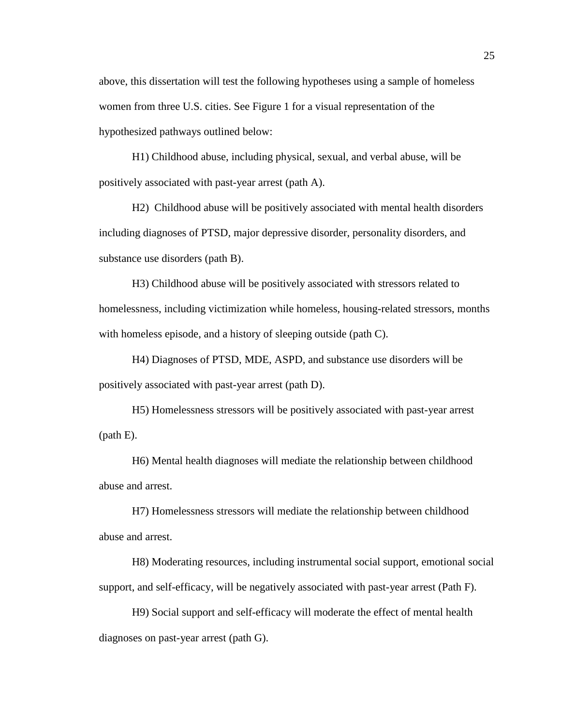above, this dissertation will test the following hypotheses using a sample of homeless women from three U.S. cities. See Figure 1 for a visual representation of the hypothesized pathways outlined below:

H1) Childhood abuse, including physical, sexual, and verbal abuse, will be positively associated with past-year arrest (path A).

H2) Childhood abuse will be positively associated with mental health disorders including diagnoses of PTSD, major depressive disorder, personality disorders, and substance use disorders (path B).

H3) Childhood abuse will be positively associated with stressors related to homelessness, including victimization while homeless, housing-related stressors, months with homeless episode, and a history of sleeping outside (path C).

H4) Diagnoses of PTSD, MDE, ASPD, and substance use disorders will be positively associated with past-year arrest (path D).

H5) Homelessness stressors will be positively associated with past-year arrest (path E).

H6) Mental health diagnoses will mediate the relationship between childhood abuse and arrest.

H7) Homelessness stressors will mediate the relationship between childhood abuse and arrest.

H8) Moderating resources, including instrumental social support, emotional social support, and self-efficacy, will be negatively associated with past-year arrest (Path F).

H9) Social support and self-efficacy will moderate the effect of mental health diagnoses on past-year arrest (path G).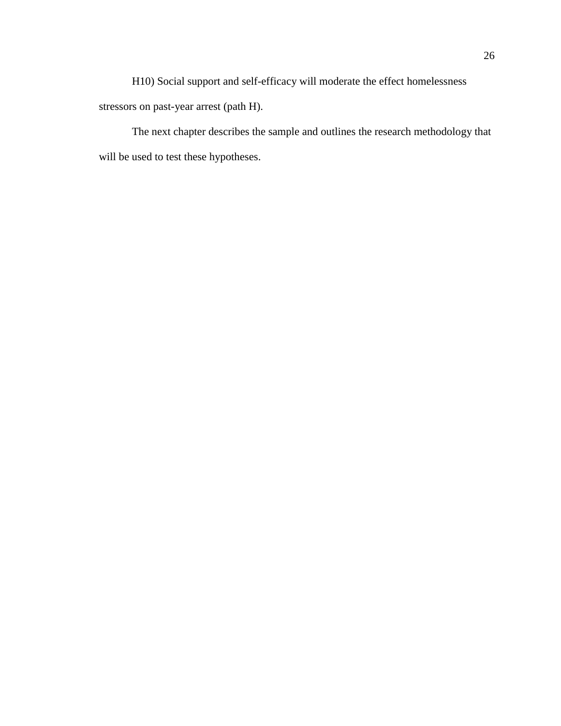H10) Social support and self-efficacy will moderate the effect homelessness stressors on past-year arrest (path H).

The next chapter describes the sample and outlines the research methodology that will be used to test these hypotheses.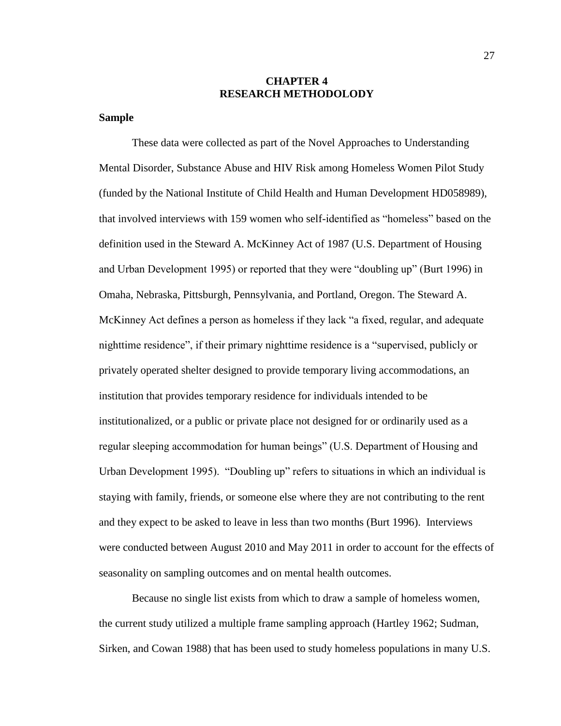#### **CHAPTER 4 RESEARCH METHODOLODY**

#### **Sample**

These data were collected as part of the Novel Approaches to Understanding Mental Disorder, Substance Abuse and HIV Risk among Homeless Women Pilot Study (funded by the National Institute of Child Health and Human Development HD058989), that involved interviews with 159 women who self-identified as "homeless" based on the definition used in the Steward A. McKinney Act of 1987 (U.S. Department of Housing and Urban Development 1995) or reported that they were "doubling up" (Burt 1996) in Omaha, Nebraska, Pittsburgh, Pennsylvania, and Portland, Oregon. The Steward A. McKinney Act defines a person as homeless if they lack "a fixed, regular, and adequate nighttime residence", if their primary nighttime residence is a "supervised, publicly or privately operated shelter designed to provide temporary living accommodations, an institution that provides temporary residence for individuals intended to be institutionalized, or a public or private place not designed for or ordinarily used as a regular sleeping accommodation for human beings" (U.S. Department of Housing and Urban Development 1995). "Doubling up" refers to situations in which an individual is staying with family, friends, or someone else where they are not contributing to the rent and they expect to be asked to leave in less than two months (Burt 1996). Interviews were conducted between August 2010 and May 2011 in order to account for the effects of seasonality on sampling outcomes and on mental health outcomes.

Because no single list exists from which to draw a sample of homeless women, the current study utilized a multiple frame sampling approach (Hartley 1962; Sudman, Sirken, and Cowan 1988) that has been used to study homeless populations in many U.S.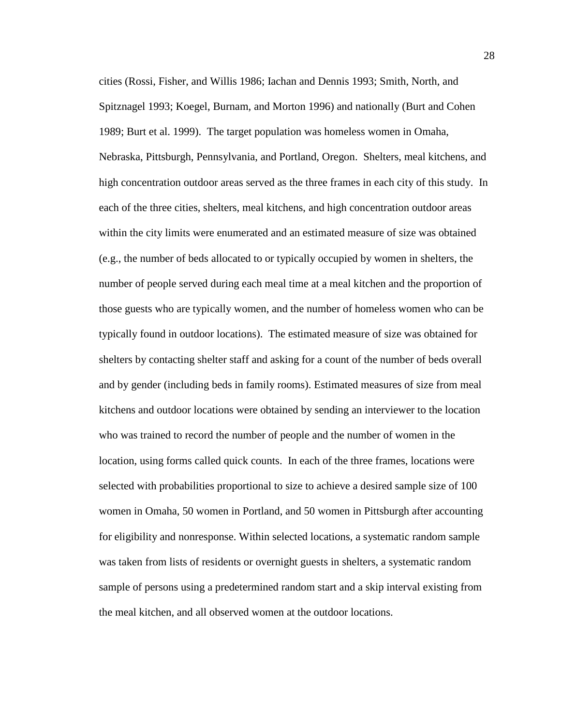cities (Rossi, Fisher, and Willis 1986; Iachan and Dennis 1993; Smith, North, and Spitznagel 1993; Koegel, Burnam, and Morton 1996) and nationally (Burt and Cohen 1989; Burt et al. 1999). The target population was homeless women in Omaha, Nebraska, Pittsburgh, Pennsylvania, and Portland, Oregon. Shelters, meal kitchens, and high concentration outdoor areas served as the three frames in each city of this study. In each of the three cities, shelters, meal kitchens, and high concentration outdoor areas within the city limits were enumerated and an estimated measure of size was obtained (e.g., the number of beds allocated to or typically occupied by women in shelters, the number of people served during each meal time at a meal kitchen and the proportion of those guests who are typically women, and the number of homeless women who can be typically found in outdoor locations). The estimated measure of size was obtained for shelters by contacting shelter staff and asking for a count of the number of beds overall and by gender (including beds in family rooms). Estimated measures of size from meal kitchens and outdoor locations were obtained by sending an interviewer to the location who was trained to record the number of people and the number of women in the location, using forms called quick counts. In each of the three frames, locations were selected with probabilities proportional to size to achieve a desired sample size of 100 women in Omaha, 50 women in Portland, and 50 women in Pittsburgh after accounting for eligibility and nonresponse. Within selected locations, a systematic random sample was taken from lists of residents or overnight guests in shelters, a systematic random sample of persons using a predetermined random start and a skip interval existing from the meal kitchen, and all observed women at the outdoor locations.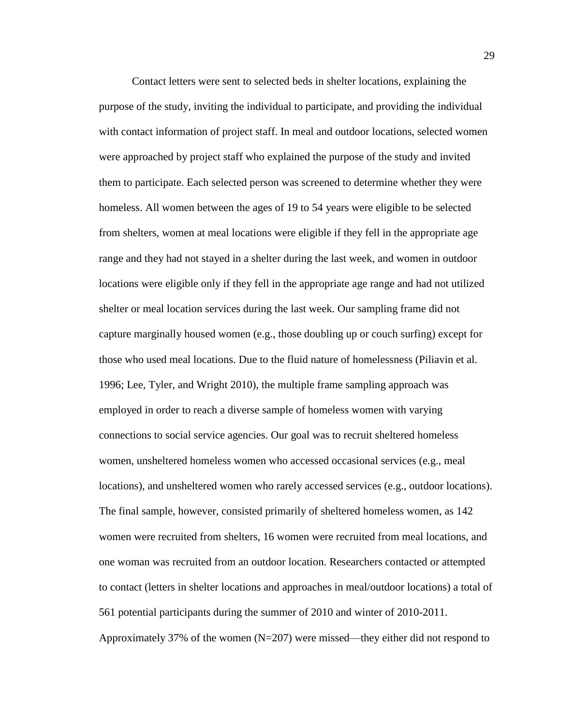Contact letters were sent to selected beds in shelter locations, explaining the purpose of the study, inviting the individual to participate, and providing the individual with contact information of project staff. In meal and outdoor locations, selected women were approached by project staff who explained the purpose of the study and invited them to participate. Each selected person was screened to determine whether they were homeless. All women between the ages of 19 to 54 years were eligible to be selected from shelters, women at meal locations were eligible if they fell in the appropriate age range and they had not stayed in a shelter during the last week, and women in outdoor locations were eligible only if they fell in the appropriate age range and had not utilized shelter or meal location services during the last week. Our sampling frame did not capture marginally housed women (e.g., those doubling up or couch surfing) except for those who used meal locations. Due to the fluid nature of homelessness (Piliavin et al. 1996; Lee, Tyler, and Wright 2010), the multiple frame sampling approach was employed in order to reach a diverse sample of homeless women with varying connections to social service agencies. Our goal was to recruit sheltered homeless women, unsheltered homeless women who accessed occasional services (e.g., meal locations), and unsheltered women who rarely accessed services (e.g., outdoor locations). The final sample, however, consisted primarily of sheltered homeless women, as 142 women were recruited from shelters, 16 women were recruited from meal locations, and one woman was recruited from an outdoor location. Researchers contacted or attempted to contact (letters in shelter locations and approaches in meal/outdoor locations) a total of 561 potential participants during the summer of 2010 and winter of 2010-2011. Approximately 37% of the women (N=207) were missed—they either did not respond to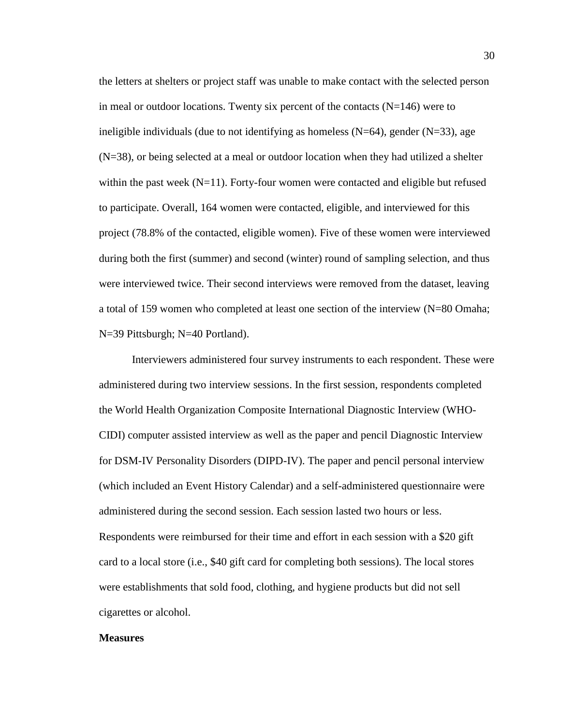the letters at shelters or project staff was unable to make contact with the selected person in meal or outdoor locations. Twenty six percent of the contacts  $(N=146)$  were to ineligible individuals (due to not identifying as homeless  $(N=64)$ , gender  $(N=33)$ , age (N=38), or being selected at a meal or outdoor location when they had utilized a shelter within the past week  $(N=11)$ . Forty-four women were contacted and eligible but refused to participate. Overall, 164 women were contacted, eligible, and interviewed for this project (78.8% of the contacted, eligible women). Five of these women were interviewed during both the first (summer) and second (winter) round of sampling selection, and thus were interviewed twice. Their second interviews were removed from the dataset, leaving a total of 159 women who completed at least one section of the interview (N=80 Omaha; N=39 Pittsburgh; N=40 Portland).

Interviewers administered four survey instruments to each respondent. These were administered during two interview sessions. In the first session, respondents completed the World Health Organization Composite International Diagnostic Interview (WHO-CIDI) computer assisted interview as well as the paper and pencil Diagnostic Interview for DSM-IV Personality Disorders (DIPD-IV). The paper and pencil personal interview (which included an Event History Calendar) and a self-administered questionnaire were administered during the second session. Each session lasted two hours or less. Respondents were reimbursed for their time and effort in each session with a \$20 gift card to a local store (i.e., \$40 gift card for completing both sessions). The local stores were establishments that sold food, clothing, and hygiene products but did not sell cigarettes or alcohol.

### **Measures**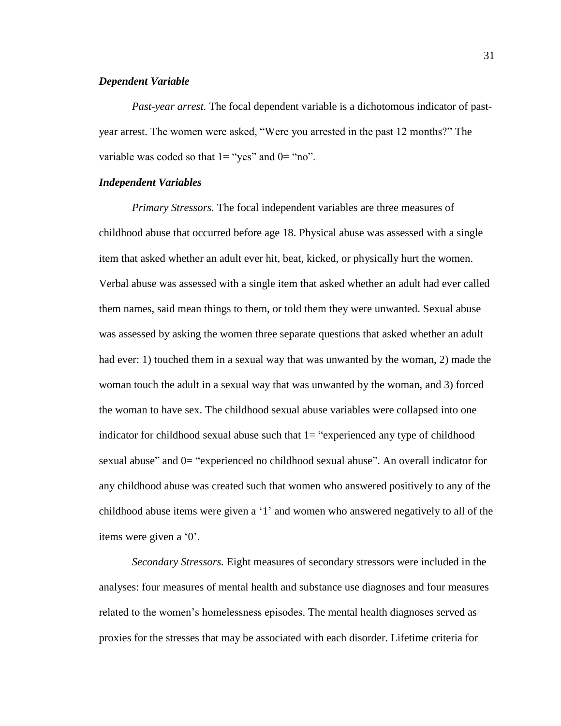### *Dependent Variable*

*Past-year arrest.* The focal dependent variable is a dichotomous indicator of pastyear arrest. The women were asked, "Were you arrested in the past 12 months?" The variable was coded so that  $1 =$  "yes" and  $0 =$  "no".

## *Independent Variables*

*Primary Stressors.* The focal independent variables are three measures of childhood abuse that occurred before age 18. Physical abuse was assessed with a single item that asked whether an adult ever hit, beat, kicked, or physically hurt the women. Verbal abuse was assessed with a single item that asked whether an adult had ever called them names, said mean things to them, or told them they were unwanted. Sexual abuse was assessed by asking the women three separate questions that asked whether an adult had ever: 1) touched them in a sexual way that was unwanted by the woman, 2) made the woman touch the adult in a sexual way that was unwanted by the woman, and 3) forced the woman to have sex. The childhood sexual abuse variables were collapsed into one indicator for childhood sexual abuse such that  $1=$  "experienced any type of childhood sexual abuse" and 0= "experienced no childhood sexual abuse". An overall indicator for any childhood abuse was created such that women who answered positively to any of the childhood abuse items were given a '1' and women who answered negatively to all of the items were given a '0'.

*Secondary Stressors.* Eight measures of secondary stressors were included in the analyses: four measures of mental health and substance use diagnoses and four measures related to the women's homelessness episodes. The mental health diagnoses served as proxies for the stresses that may be associated with each disorder. Lifetime criteria for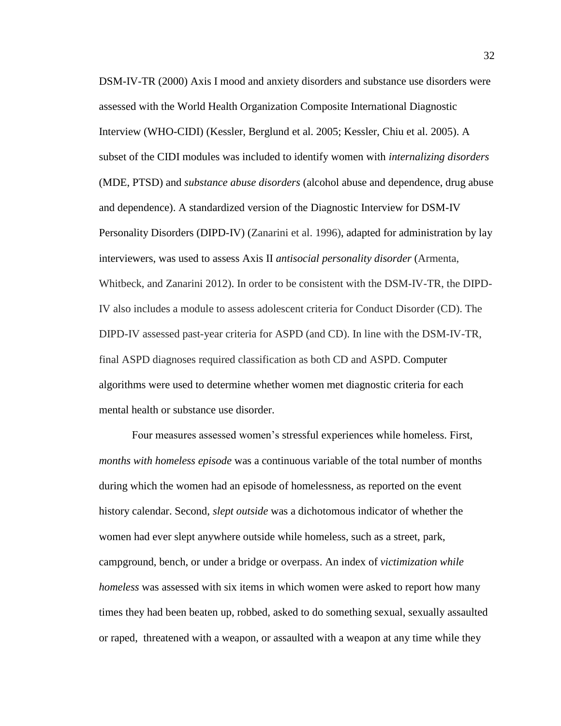DSM-IV-TR (2000) Axis I mood and anxiety disorders and substance use disorders were assessed with the World Health Organization Composite International Diagnostic Interview (WHO-CIDI) (Kessler, Berglund et al. 2005; Kessler, Chiu et al. 2005). A subset of the CIDI modules was included to identify women with *internalizing disorders*  (MDE, PTSD) and *substance abuse disorders* (alcohol abuse and dependence, drug abuse and dependence). A standardized version of the Diagnostic Interview for DSM-IV Personality Disorders (DIPD-IV) (Zanarini et al. 1996), adapted for administration by lay interviewers, was used to assess Axis II *antisocial personality disorder* (Armenta, Whitbeck, and Zanarini 2012). In order to be consistent with the DSM-IV-TR, the DIPD-IV also includes a module to assess adolescent criteria for Conduct Disorder (CD). The DIPD-IV assessed past-year criteria for ASPD (and CD). In line with the DSM-IV-TR, final ASPD diagnoses required classification as both CD and ASPD. Computer algorithms were used to determine whether women met diagnostic criteria for each mental health or substance use disorder.

Four measures assessed women's stressful experiences while homeless. First, *months with homeless episode* was a continuous variable of the total number of months during which the women had an episode of homelessness, as reported on the event history calendar. Second, *slept outside* was a dichotomous indicator of whether the women had ever slept anywhere outside while homeless, such as a street, park, campground, bench, or under a bridge or overpass. An index of *victimization while homeless* was assessed with six items in which women were asked to report how many times they had been beaten up, robbed, asked to do something sexual, sexually assaulted or raped, threatened with a weapon, or assaulted with a weapon at any time while they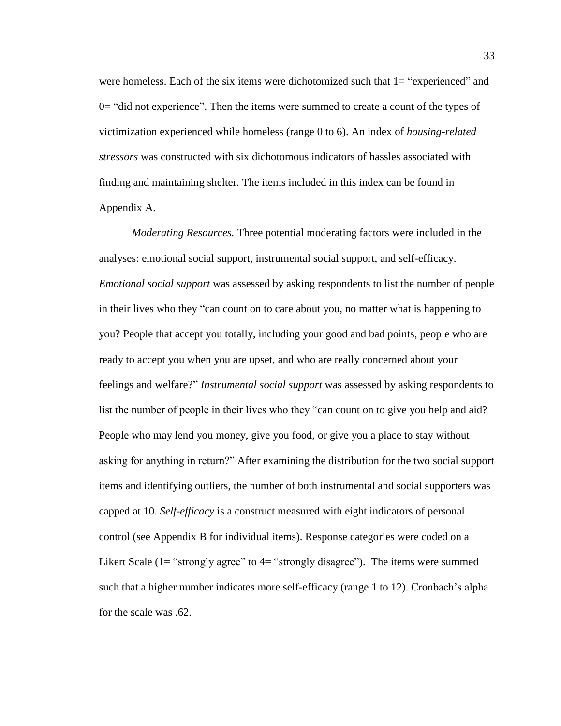were homeless. Each of the six items were dichotomized such that 1= "experienced" and 0= "did not experience". Then the items were summed to create a count of the types of victimization experienced while homeless (range 0 to 6). An index of *housing-related stressors* was constructed with six dichotomous indicators of hassles associated with finding and maintaining shelter. The items included in this index can be found in Appendix A.

*Moderating Resources.* Three potential moderating factors were included in the analyses: emotional social support, instrumental social support, and self-efficacy. *Emotional social support* was assessed by asking respondents to list the number of people in their lives who they "can count on to care about you, no matter what is happening to you? People that accept you totally, including your good and bad points, people who are ready to accept you when you are upset, and who are really concerned about your feelings and welfare?" *Instrumental social support* was assessed by asking respondents to list the number of people in their lives who they "can count on to give you help and aid? People who may lend you money, give you food, or give you a place to stay without asking for anything in return?" After examining the distribution for the two social support items and identifying outliers, the number of both instrumental and social supporters was capped at 10. *Self-efficacy* is a construct measured with eight indicators of personal control (see Appendix B for individual items). Response categories were coded on a Likert Scale (1= "strongly agree" to 4= "strongly disagree"). The items were summed such that a higher number indicates more self-efficacy (range 1 to 12). Cronbach's alpha for the scale was .62.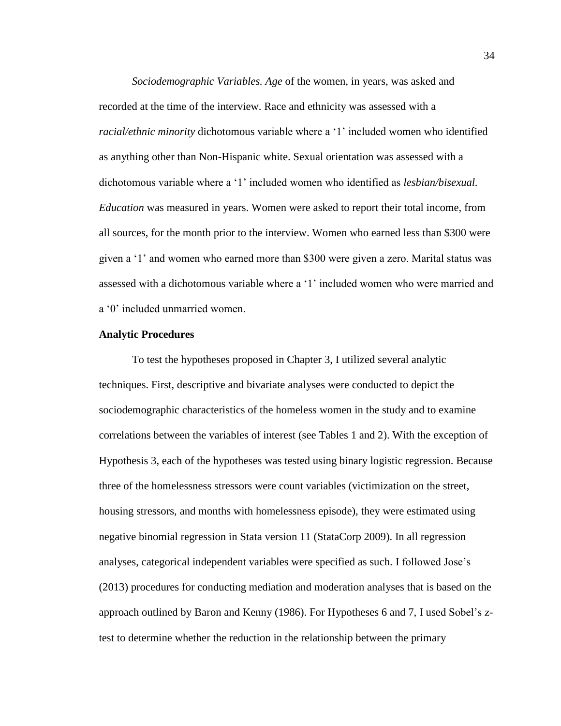*Sociodemographic Variables. Age* of the women, in years, was asked and recorded at the time of the interview. Race and ethnicity was assessed with a *racial/ethnic minority* dichotomous variable where a '1' included women who identified as anything other than Non-Hispanic white. Sexual orientation was assessed with a dichotomous variable where a '1' included women who identified as *lesbian/bisexual. Education* was measured in years. Women were asked to report their total income, from all sources, for the month prior to the interview. Women who earned less than \$300 were given a '1' and women who earned more than \$300 were given a zero. Marital status was assessed with a dichotomous variable where a '1' included women who were married and a '0' included unmarried women.

## **Analytic Procedures**

To test the hypotheses proposed in Chapter 3, I utilized several analytic techniques. First, descriptive and bivariate analyses were conducted to depict the sociodemographic characteristics of the homeless women in the study and to examine correlations between the variables of interest (see Tables 1 and 2). With the exception of Hypothesis 3, each of the hypotheses was tested using binary logistic regression. Because three of the homelessness stressors were count variables (victimization on the street, housing stressors, and months with homelessness episode), they were estimated using negative binomial regression in Stata version 11 (StataCorp 2009). In all regression analyses, categorical independent variables were specified as such. I followed Jose's (2013) procedures for conducting mediation and moderation analyses that is based on the approach outlined by Baron and Kenny (1986). For Hypotheses 6 and 7, I used Sobel's ztest to determine whether the reduction in the relationship between the primary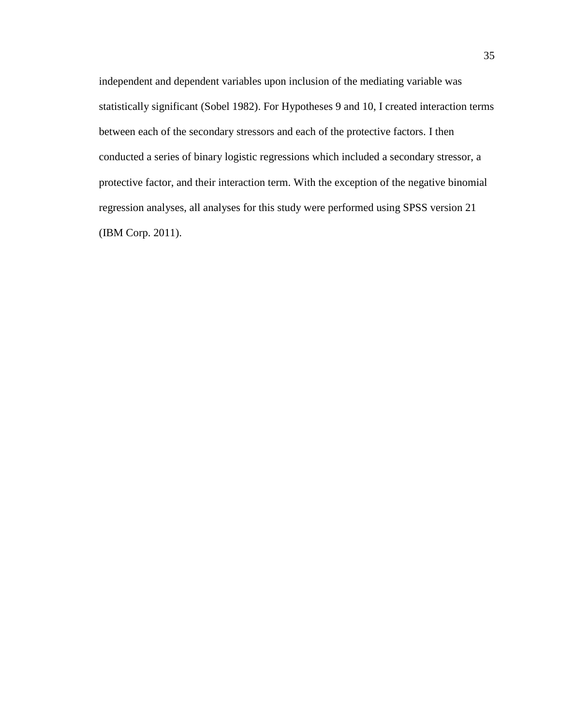independent and dependent variables upon inclusion of the mediating variable was statistically significant (Sobel 1982). For Hypotheses 9 and 10, I created interaction terms between each of the secondary stressors and each of the protective factors. I then conducted a series of binary logistic regressions which included a secondary stressor, a protective factor, and their interaction term. With the exception of the negative binomial regression analyses, all analyses for this study were performed using SPSS version 21 (IBM Corp. 2011).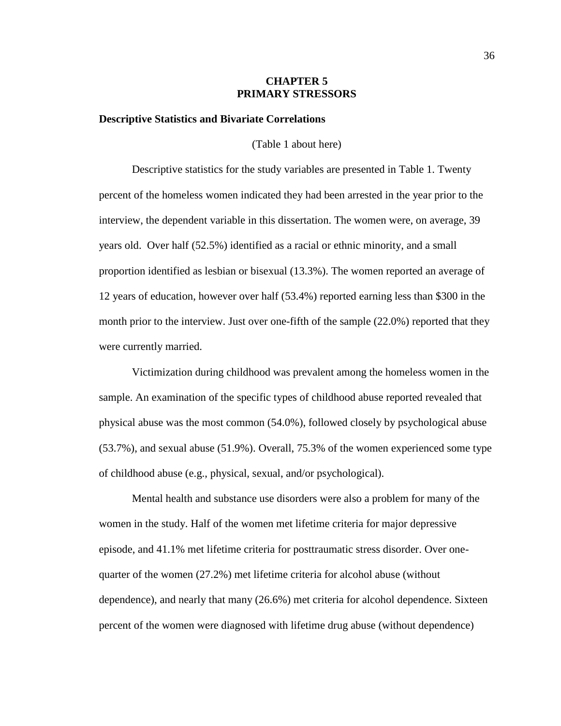## **CHAPTER 5 PRIMARY STRESSORS**

#### **Descriptive Statistics and Bivariate Correlations**

(Table 1 about here)

Descriptive statistics for the study variables are presented in Table 1. Twenty percent of the homeless women indicated they had been arrested in the year prior to the interview, the dependent variable in this dissertation. The women were, on average, 39 years old. Over half (52.5%) identified as a racial or ethnic minority, and a small proportion identified as lesbian or bisexual (13.3%). The women reported an average of 12 years of education, however over half (53.4%) reported earning less than \$300 in the month prior to the interview. Just over one-fifth of the sample (22.0%) reported that they were currently married.

Victimization during childhood was prevalent among the homeless women in the sample. An examination of the specific types of childhood abuse reported revealed that physical abuse was the most common (54.0%), followed closely by psychological abuse (53.7%), and sexual abuse (51.9%). Overall, 75.3% of the women experienced some type of childhood abuse (e.g., physical, sexual, and/or psychological).

Mental health and substance use disorders were also a problem for many of the women in the study. Half of the women met lifetime criteria for major depressive episode, and 41.1% met lifetime criteria for posttraumatic stress disorder. Over onequarter of the women (27.2%) met lifetime criteria for alcohol abuse (without dependence), and nearly that many (26.6%) met criteria for alcohol dependence. Sixteen percent of the women were diagnosed with lifetime drug abuse (without dependence)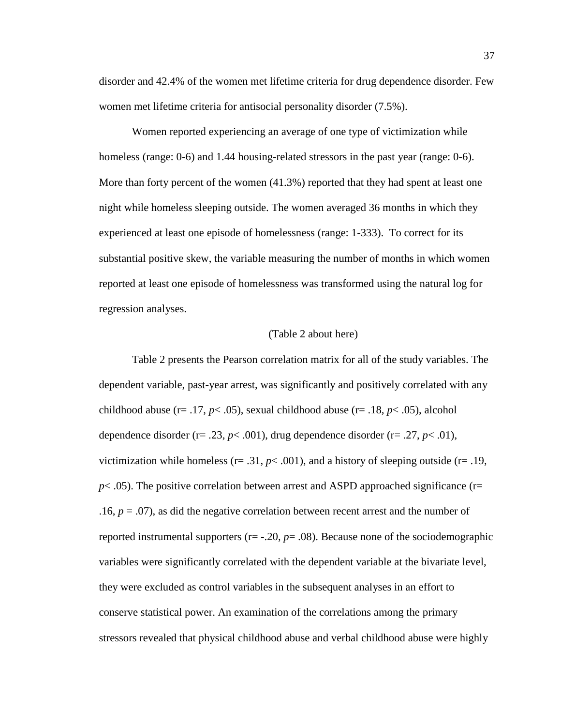disorder and 42.4% of the women met lifetime criteria for drug dependence disorder. Few women met lifetime criteria for antisocial personality disorder (7.5%).

Women reported experiencing an average of one type of victimization while homeless (range: 0-6) and 1.44 housing-related stressors in the past year (range: 0-6). More than forty percent of the women (41.3%) reported that they had spent at least one night while homeless sleeping outside. The women averaged 36 months in which they experienced at least one episode of homelessness (range: 1-333). To correct for its substantial positive skew, the variable measuring the number of months in which women reported at least one episode of homelessness was transformed using the natural log for regression analyses.

# (Table 2 about here)

Table 2 presents the Pearson correlation matrix for all of the study variables. The dependent variable, past-year arrest, was significantly and positively correlated with any childhood abuse (r= .17, *p*< .05), sexual childhood abuse (r= .18, *p*< .05), alcohol dependence disorder ( $r = .23$ ,  $p < .001$ ), drug dependence disorder ( $r = .27$ ,  $p < .01$ ), victimization while homeless ( $r = .31$ ,  $p < .001$ ), and a history of sleeping outside ( $r = .19$ ,  $p$ < .05). The positive correlation between arrest and ASPD approached significance ( $r=$ .16,  $p = .07$ ), as did the negative correlation between recent arrest and the number of reported instrumental supporters (r= -.20, *p*= .08). Because none of the sociodemographic variables were significantly correlated with the dependent variable at the bivariate level, they were excluded as control variables in the subsequent analyses in an effort to conserve statistical power. An examination of the correlations among the primary stressors revealed that physical childhood abuse and verbal childhood abuse were highly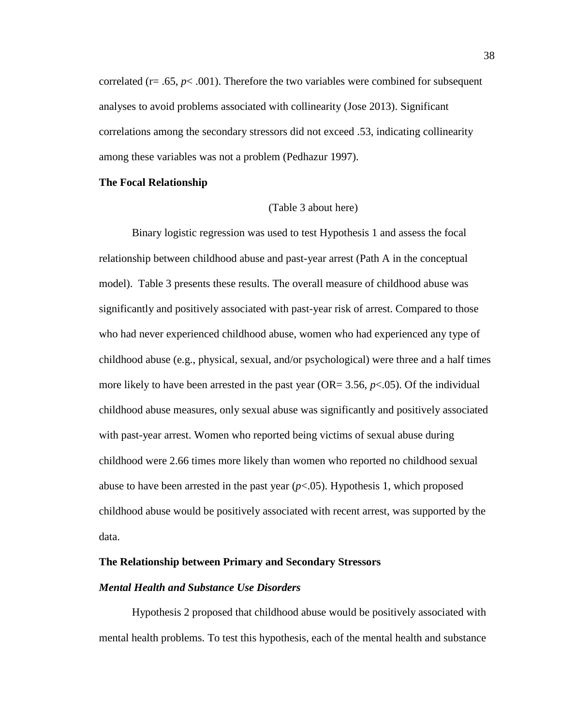correlated ( $r = .65$ ,  $p < .001$ ). Therefore the two variables were combined for subsequent analyses to avoid problems associated with collinearity (Jose 2013). Significant correlations among the secondary stressors did not exceed .53, indicating collinearity among these variables was not a problem (Pedhazur 1997).

### **The Focal Relationship**

#### (Table 3 about here)

Binary logistic regression was used to test Hypothesis 1 and assess the focal relationship between childhood abuse and past-year arrest (Path A in the conceptual model). Table 3 presents these results. The overall measure of childhood abuse was significantly and positively associated with past-year risk of arrest. Compared to those who had never experienced childhood abuse, women who had experienced any type of childhood abuse (e.g., physical, sexual, and/or psychological) were three and a half times more likely to have been arrested in the past year (OR=  $3.56$ ,  $p<0.05$ ). Of the individual childhood abuse measures, only sexual abuse was significantly and positively associated with past-year arrest. Women who reported being victims of sexual abuse during childhood were 2.66 times more likely than women who reported no childhood sexual abuse to have been arrested in the past year  $(p<0.05)$ . Hypothesis 1, which proposed childhood abuse would be positively associated with recent arrest, was supported by the data.

# **The Relationship between Primary and Secondary Stressors**

# *Mental Health and Substance Use Disorders*

Hypothesis 2 proposed that childhood abuse would be positively associated with mental health problems. To test this hypothesis, each of the mental health and substance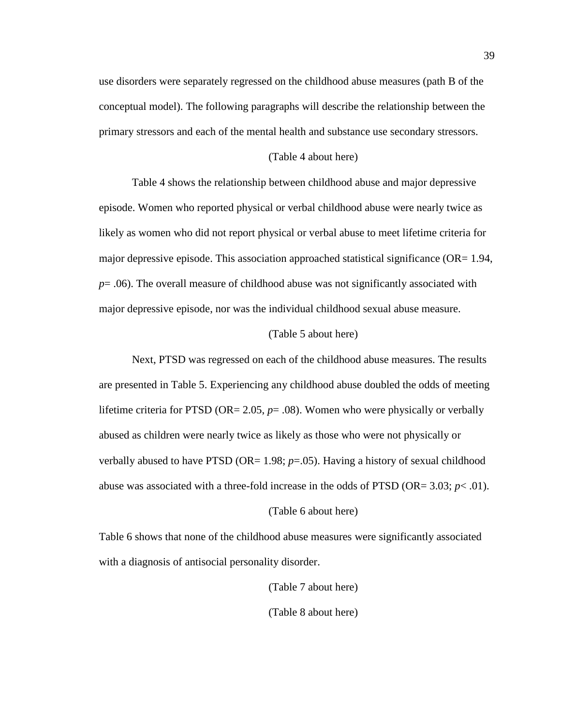use disorders were separately regressed on the childhood abuse measures (path B of the conceptual model). The following paragraphs will describe the relationship between the primary stressors and each of the mental health and substance use secondary stressors.

## (Table 4 about here)

Table 4 shows the relationship between childhood abuse and major depressive episode. Women who reported physical or verbal childhood abuse were nearly twice as likely as women who did not report physical or verbal abuse to meet lifetime criteria for major depressive episode. This association approached statistical significance ( $OR = 1.94$ , *p*= .06). The overall measure of childhood abuse was not significantly associated with major depressive episode, nor was the individual childhood sexual abuse measure.

#### (Table 5 about here)

Next, PTSD was regressed on each of the childhood abuse measures. The results are presented in Table 5. Experiencing any childhood abuse doubled the odds of meeting lifetime criteria for PTSD (OR= 2.05, *p*= .08). Women who were physically or verbally abused as children were nearly twice as likely as those who were not physically or verbally abused to have PTSD ( $OR = 1.98$ ;  $p = .05$ ). Having a history of sexual childhood abuse was associated with a three-fold increase in the odds of PTSD (OR=  $3.03$ ;  $p < .01$ ).

# (Table 6 about here)

Table 6 shows that none of the childhood abuse measures were significantly associated with a diagnosis of antisocial personality disorder.

> (Table 7 about here) (Table 8 about here)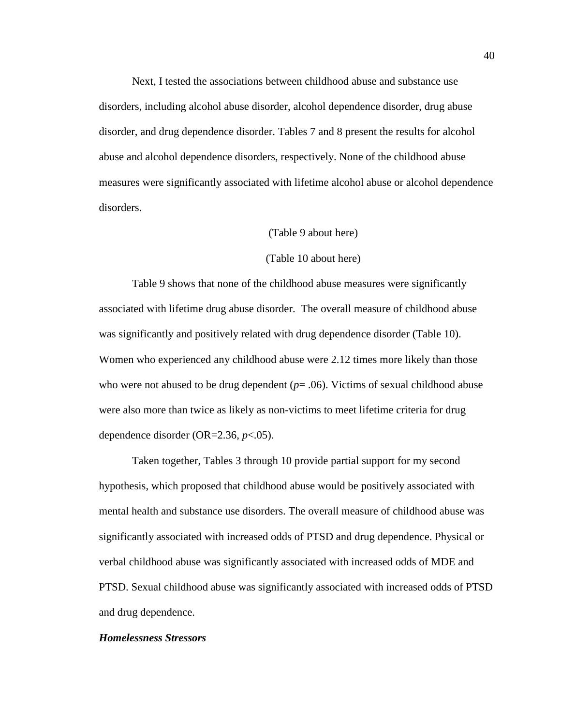Next, I tested the associations between childhood abuse and substance use disorders, including alcohol abuse disorder, alcohol dependence disorder, drug abuse disorder, and drug dependence disorder. Tables 7 and 8 present the results for alcohol abuse and alcohol dependence disorders, respectively. None of the childhood abuse measures were significantly associated with lifetime alcohol abuse or alcohol dependence disorders.

### (Table 9 about here)

### (Table 10 about here)

Table 9 shows that none of the childhood abuse measures were significantly associated with lifetime drug abuse disorder. The overall measure of childhood abuse was significantly and positively related with drug dependence disorder (Table 10). Women who experienced any childhood abuse were 2.12 times more likely than those who were not abused to be drug dependent  $(p=0.06)$ . Victims of sexual childhood abuse were also more than twice as likely as non-victims to meet lifetime criteria for drug dependence disorder (OR=2.36, *p*<.05).

Taken together, Tables 3 through 10 provide partial support for my second hypothesis, which proposed that childhood abuse would be positively associated with mental health and substance use disorders. The overall measure of childhood abuse was significantly associated with increased odds of PTSD and drug dependence. Physical or verbal childhood abuse was significantly associated with increased odds of MDE and PTSD. Sexual childhood abuse was significantly associated with increased odds of PTSD and drug dependence.

# *Homelessness Stressors*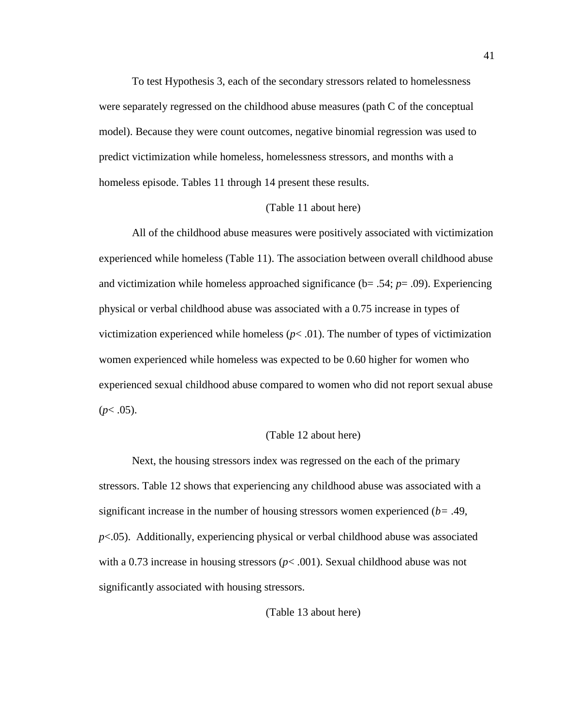To test Hypothesis 3, each of the secondary stressors related to homelessness were separately regressed on the childhood abuse measures (path C of the conceptual model). Because they were count outcomes, negative binomial regression was used to predict victimization while homeless, homelessness stressors, and months with a homeless episode. Tables 11 through 14 present these results.

#### (Table 11 about here)

All of the childhood abuse measures were positively associated with victimization experienced while homeless (Table 11). The association between overall childhood abuse and victimization while homeless approached significance (b= .54; *p*= .09). Experiencing physical or verbal childhood abuse was associated with a 0.75 increase in types of victimization experienced while homeless  $(p< .01)$ . The number of types of victimization women experienced while homeless was expected to be 0.60 higher for women who experienced sexual childhood abuse compared to women who did not report sexual abuse  $(p<.05)$ .

#### (Table 12 about here)

Next, the housing stressors index was regressed on the each of the primary stressors. Table 12 shows that experiencing any childhood abuse was associated with a significant increase in the number of housing stressors women experienced (*b=* .49, *p*<.05). Additionally, experiencing physical or verbal childhood abuse was associated with a 0.73 increase in housing stressors  $(p< .001)$ . Sexual childhood abuse was not significantly associated with housing stressors.

(Table 13 about here)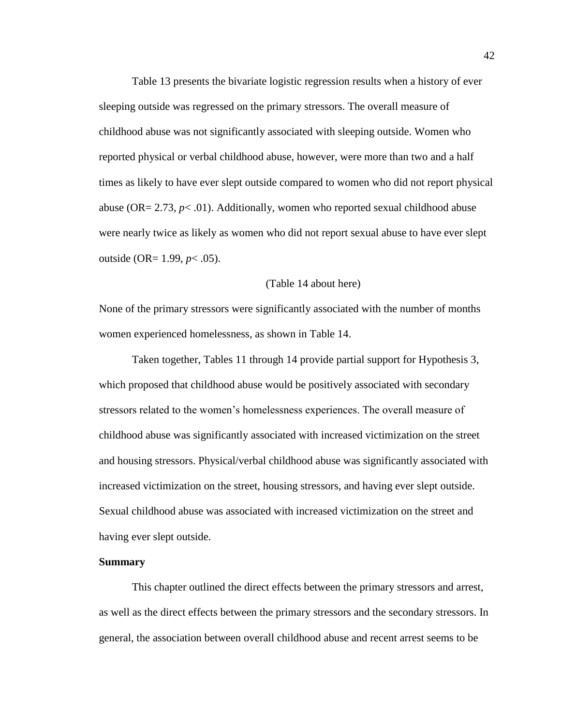Table 13 presents the bivariate logistic regression results when a history of ever sleeping outside was regressed on the primary stressors. The overall measure of childhood abuse was not significantly associated with sleeping outside. Women who reported physical or verbal childhood abuse, however, were more than two and a half times as likely to have ever slept outside compared to women who did not report physical abuse ( $OR = 2.73$ ,  $p < .01$ ). Additionally, women who reported sexual childhood abuse were nearly twice as likely as women who did not report sexual abuse to have ever slept outside (OR= 1.99, *p*< .05).

## (Table 14 about here)

None of the primary stressors were significantly associated with the number of months women experienced homelessness, as shown in Table 14.

Taken together, Tables 11 through 14 provide partial support for Hypothesis 3, which proposed that childhood abuse would be positively associated with secondary stressors related to the women's homelessness experiences. The overall measure of childhood abuse was significantly associated with increased victimization on the street and housing stressors. Physical/verbal childhood abuse was significantly associated with increased victimization on the street, housing stressors, and having ever slept outside. Sexual childhood abuse was associated with increased victimization on the street and having ever slept outside.

# **Summary**

This chapter outlined the direct effects between the primary stressors and arrest, as well as the direct effects between the primary stressors and the secondary stressors. In general, the association between overall childhood abuse and recent arrest seems to be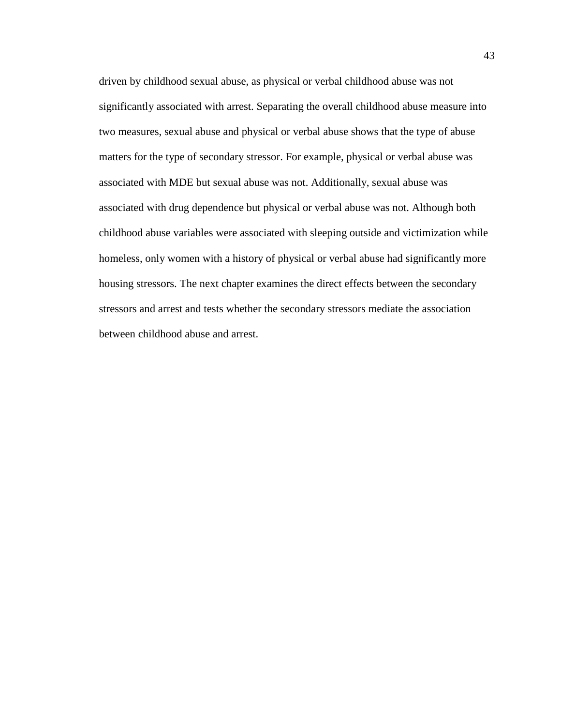driven by childhood sexual abuse, as physical or verbal childhood abuse was not significantly associated with arrest. Separating the overall childhood abuse measure into two measures, sexual abuse and physical or verbal abuse shows that the type of abuse matters for the type of secondary stressor. For example, physical or verbal abuse was associated with MDE but sexual abuse was not. Additionally, sexual abuse was associated with drug dependence but physical or verbal abuse was not. Although both childhood abuse variables were associated with sleeping outside and victimization while homeless, only women with a history of physical or verbal abuse had significantly more housing stressors. The next chapter examines the direct effects between the secondary stressors and arrest and tests whether the secondary stressors mediate the association between childhood abuse and arrest.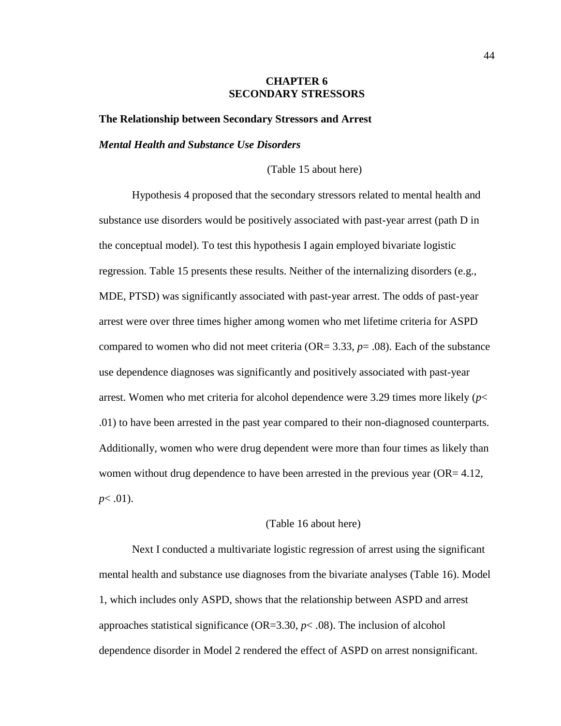## **CHAPTER 6 SECONDARY STRESSORS**

**The Relationship between Secondary Stressors and Arrest**

#### *Mental Health and Substance Use Disorders*

(Table 15 about here)

Hypothesis 4 proposed that the secondary stressors related to mental health and substance use disorders would be positively associated with past-year arrest (path D in the conceptual model). To test this hypothesis I again employed bivariate logistic regression. Table 15 presents these results. Neither of the internalizing disorders (e.g., MDE, PTSD) was significantly associated with past-year arrest. The odds of past-year arrest were over three times higher among women who met lifetime criteria for ASPD compared to women who did not meet criteria ( $OR = 3.33$ ,  $p = .08$ ). Each of the substance use dependence diagnoses was significantly and positively associated with past-year arrest. Women who met criteria for alcohol dependence were 3.29 times more likely (*p*< .01) to have been arrested in the past year compared to their non-diagnosed counterparts. Additionally, women who were drug dependent were more than four times as likely than women without drug dependence to have been arrested in the previous year  $(OR = 4.12,$ *p*< .01).

## (Table 16 about here)

Next I conducted a multivariate logistic regression of arrest using the significant mental health and substance use diagnoses from the bivariate analyses (Table 16). Model 1, which includes only ASPD, shows that the relationship between ASPD and arrest approaches statistical significance (OR=3.30, *p*< .08). The inclusion of alcohol dependence disorder in Model 2 rendered the effect of ASPD on arrest nonsignificant.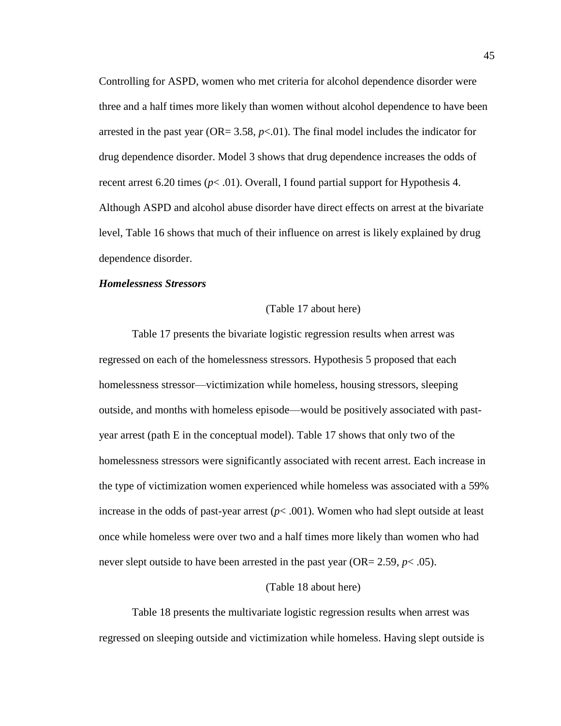Controlling for ASPD, women who met criteria for alcohol dependence disorder were three and a half times more likely than women without alcohol dependence to have been arrested in the past year (OR=  $3.58$ ,  $p<01$ ). The final model includes the indicator for drug dependence disorder. Model 3 shows that drug dependence increases the odds of recent arrest 6.20 times  $(p< .01)$ . Overall, I found partial support for Hypothesis 4. Although ASPD and alcohol abuse disorder have direct effects on arrest at the bivariate level, Table 16 shows that much of their influence on arrest is likely explained by drug dependence disorder.

### *Homelessness Stressors*

# (Table 17 about here)

Table 17 presents the bivariate logistic regression results when arrest was regressed on each of the homelessness stressors. Hypothesis 5 proposed that each homelessness stressor—victimization while homeless, housing stressors, sleeping outside, and months with homeless episode—would be positively associated with pastyear arrest (path E in the conceptual model). Table 17 shows that only two of the homelessness stressors were significantly associated with recent arrest. Each increase in the type of victimization women experienced while homeless was associated with a 59% increase in the odds of past-year arrest  $(p< .001)$ . Women who had slept outside at least once while homeless were over two and a half times more likely than women who had never slept outside to have been arrested in the past year ( $OR = 2.59$ ,  $p < .05$ ).

# (Table 18 about here)

Table 18 presents the multivariate logistic regression results when arrest was regressed on sleeping outside and victimization while homeless. Having slept outside is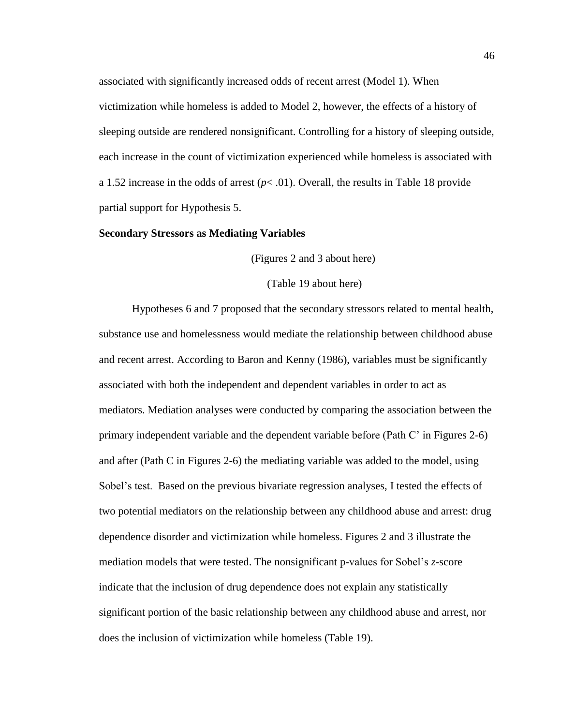associated with significantly increased odds of recent arrest (Model 1). When victimization while homeless is added to Model 2, however, the effects of a history of sleeping outside are rendered nonsignificant. Controlling for a history of sleeping outside, each increase in the count of victimization experienced while homeless is associated with a 1.52 increase in the odds of arrest  $(p<.01)$ . Overall, the results in Table 18 provide partial support for Hypothesis 5.

### **Secondary Stressors as Mediating Variables**

(Figures 2 and 3 about here)

(Table 19 about here)

Hypotheses 6 and 7 proposed that the secondary stressors related to mental health, substance use and homelessness would mediate the relationship between childhood abuse and recent arrest. According to Baron and Kenny (1986), variables must be significantly associated with both the independent and dependent variables in order to act as mediators. Mediation analyses were conducted by comparing the association between the primary independent variable and the dependent variable before (Path C' in Figures 2-6) and after (Path C in Figures 2-6) the mediating variable was added to the model, using Sobel's test. Based on the previous bivariate regression analyses, I tested the effects of two potential mediators on the relationship between any childhood abuse and arrest: drug dependence disorder and victimization while homeless. Figures 2 and 3 illustrate the mediation models that were tested. The nonsignificant p-values for Sobel's *z*-score indicate that the inclusion of drug dependence does not explain any statistically significant portion of the basic relationship between any childhood abuse and arrest, nor does the inclusion of victimization while homeless (Table 19).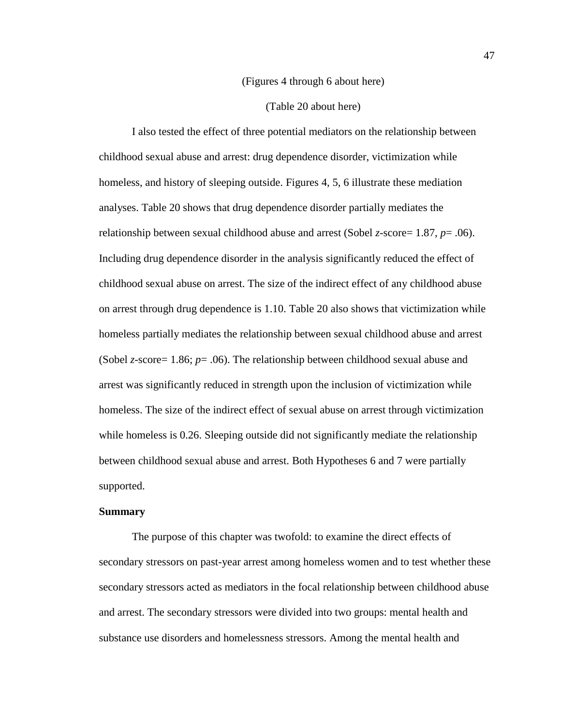### (Figures 4 through 6 about here)

(Table 20 about here)

I also tested the effect of three potential mediators on the relationship between childhood sexual abuse and arrest: drug dependence disorder, victimization while homeless, and history of sleeping outside. Figures 4, 5, 6 illustrate these mediation analyses. Table 20 shows that drug dependence disorder partially mediates the relationship between sexual childhood abuse and arrest (Sobel *z*-score= 1.87, *p*= .06). Including drug dependence disorder in the analysis significantly reduced the effect of childhood sexual abuse on arrest. The size of the indirect effect of any childhood abuse on arrest through drug dependence is 1.10. Table 20 also shows that victimization while homeless partially mediates the relationship between sexual childhood abuse and arrest (Sobel *z-*score= 1.86; *p*= .06). The relationship between childhood sexual abuse and arrest was significantly reduced in strength upon the inclusion of victimization while homeless. The size of the indirect effect of sexual abuse on arrest through victimization while homeless is 0.26. Sleeping outside did not significantly mediate the relationship between childhood sexual abuse and arrest. Both Hypotheses 6 and 7 were partially supported.

## **Summary**

The purpose of this chapter was twofold: to examine the direct effects of secondary stressors on past-year arrest among homeless women and to test whether these secondary stressors acted as mediators in the focal relationship between childhood abuse and arrest. The secondary stressors were divided into two groups: mental health and substance use disorders and homelessness stressors. Among the mental health and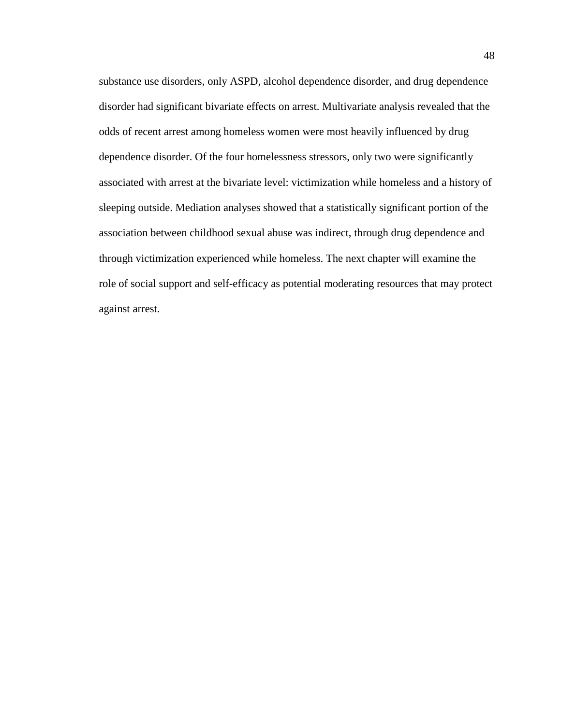substance use disorders, only ASPD, alcohol dependence disorder, and drug dependence disorder had significant bivariate effects on arrest. Multivariate analysis revealed that the odds of recent arrest among homeless women were most heavily influenced by drug dependence disorder. Of the four homelessness stressors, only two were significantly associated with arrest at the bivariate level: victimization while homeless and a history of sleeping outside. Mediation analyses showed that a statistically significant portion of the association between childhood sexual abuse was indirect, through drug dependence and through victimization experienced while homeless. The next chapter will examine the role of social support and self-efficacy as potential moderating resources that may protect against arrest.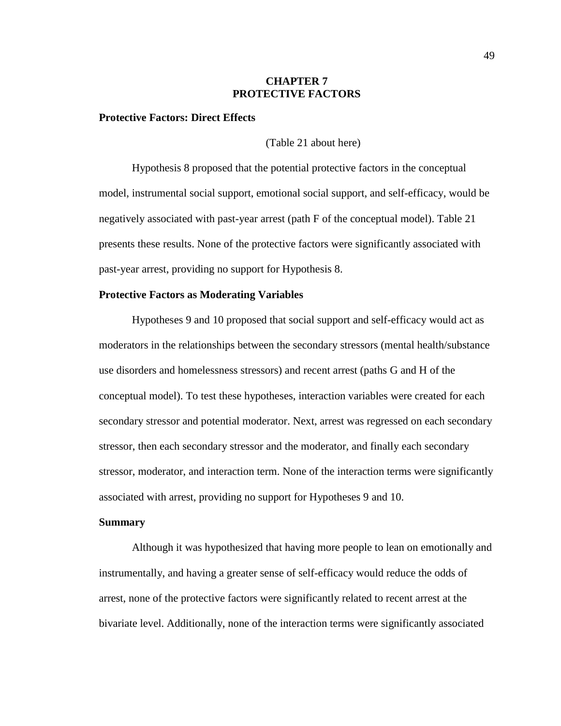### **CHAPTER 7 PROTECTIVE FACTORS**

### **Protective Factors: Direct Effects**

(Table 21 about here)

Hypothesis 8 proposed that the potential protective factors in the conceptual model, instrumental social support, emotional social support, and self-efficacy, would be negatively associated with past-year arrest (path F of the conceptual model). Table 21 presents these results. None of the protective factors were significantly associated with past-year arrest, providing no support for Hypothesis 8.

### **Protective Factors as Moderating Variables**

Hypotheses 9 and 10 proposed that social support and self-efficacy would act as moderators in the relationships between the secondary stressors (mental health/substance use disorders and homelessness stressors) and recent arrest (paths G and H of the conceptual model). To test these hypotheses, interaction variables were created for each secondary stressor and potential moderator. Next, arrest was regressed on each secondary stressor, then each secondary stressor and the moderator, and finally each secondary stressor, moderator, and interaction term. None of the interaction terms were significantly associated with arrest, providing no support for Hypotheses 9 and 10.

#### **Summary**

Although it was hypothesized that having more people to lean on emotionally and instrumentally, and having a greater sense of self-efficacy would reduce the odds of arrest, none of the protective factors were significantly related to recent arrest at the bivariate level. Additionally, none of the interaction terms were significantly associated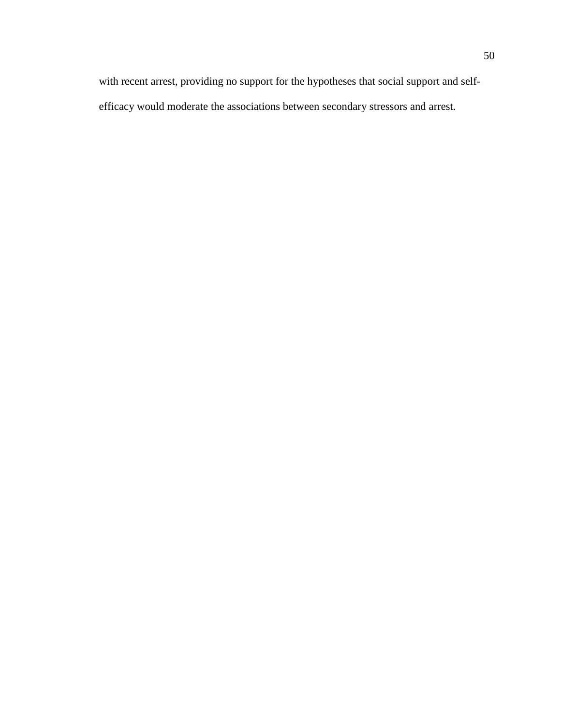with recent arrest, providing no support for the hypotheses that social support and selfefficacy would moderate the associations between secondary stressors and arrest.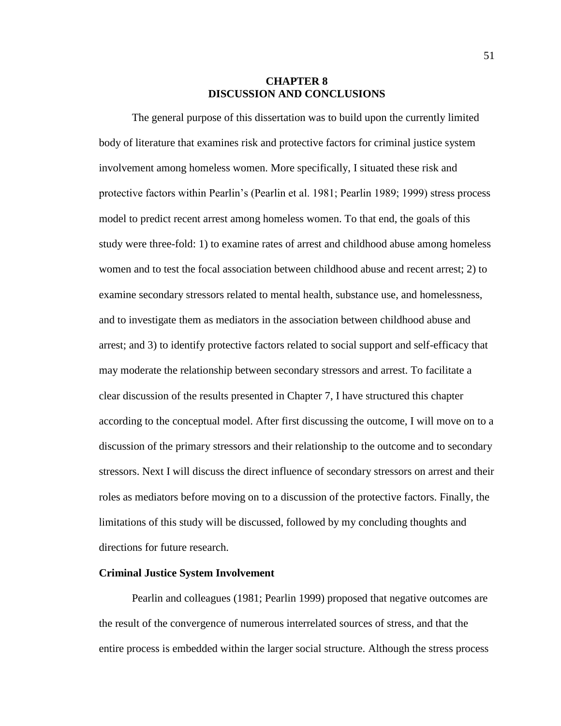# **CHAPTER 8 DISCUSSION AND CONCLUSIONS**

The general purpose of this dissertation was to build upon the currently limited body of literature that examines risk and protective factors for criminal justice system involvement among homeless women. More specifically, I situated these risk and protective factors within Pearlin's (Pearlin et al. 1981; Pearlin 1989; 1999) stress process model to predict recent arrest among homeless women. To that end, the goals of this study were three-fold: 1) to examine rates of arrest and childhood abuse among homeless women and to test the focal association between childhood abuse and recent arrest; 2) to examine secondary stressors related to mental health, substance use, and homelessness, and to investigate them as mediators in the association between childhood abuse and arrest; and 3) to identify protective factors related to social support and self-efficacy that may moderate the relationship between secondary stressors and arrest. To facilitate a clear discussion of the results presented in Chapter 7, I have structured this chapter according to the conceptual model. After first discussing the outcome, I will move on to a discussion of the primary stressors and their relationship to the outcome and to secondary stressors. Next I will discuss the direct influence of secondary stressors on arrest and their roles as mediators before moving on to a discussion of the protective factors. Finally, the limitations of this study will be discussed, followed by my concluding thoughts and directions for future research.

#### **Criminal Justice System Involvement**

Pearlin and colleagues (1981; Pearlin 1999) proposed that negative outcomes are the result of the convergence of numerous interrelated sources of stress, and that the entire process is embedded within the larger social structure. Although the stress process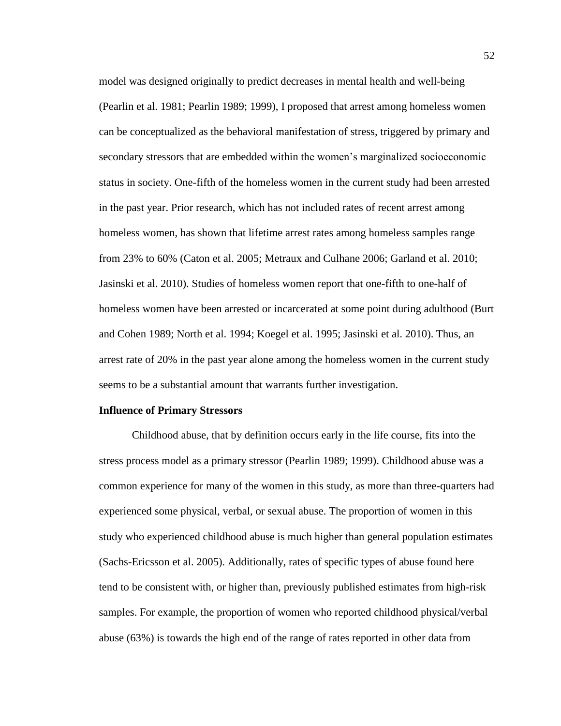model was designed originally to predict decreases in mental health and well-being (Pearlin et al. 1981; Pearlin 1989; 1999), I proposed that arrest among homeless women can be conceptualized as the behavioral manifestation of stress, triggered by primary and secondary stressors that are embedded within the women's marginalized socioeconomic status in society. One-fifth of the homeless women in the current study had been arrested in the past year. Prior research, which has not included rates of recent arrest among homeless women, has shown that lifetime arrest rates among homeless samples range from 23% to 60% (Caton et al. 2005; Metraux and Culhane 2006; Garland et al. 2010; Jasinski et al. 2010). Studies of homeless women report that one-fifth to one-half of homeless women have been arrested or incarcerated at some point during adulthood (Burt and Cohen 1989; North et al. 1994; Koegel et al. 1995; Jasinski et al. 2010). Thus, an arrest rate of 20% in the past year alone among the homeless women in the current study seems to be a substantial amount that warrants further investigation.

### **Influence of Primary Stressors**

Childhood abuse, that by definition occurs early in the life course, fits into the stress process model as a primary stressor (Pearlin 1989; 1999). Childhood abuse was a common experience for many of the women in this study, as more than three-quarters had experienced some physical, verbal, or sexual abuse. The proportion of women in this study who experienced childhood abuse is much higher than general population estimates (Sachs-Ericsson et al. 2005). Additionally, rates of specific types of abuse found here tend to be consistent with, or higher than, previously published estimates from high-risk samples. For example, the proportion of women who reported childhood physical/verbal abuse (63%) is towards the high end of the range of rates reported in other data from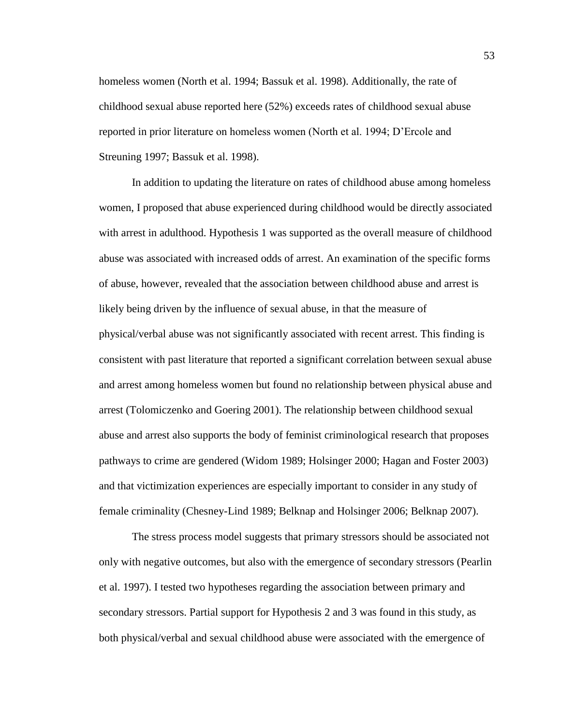homeless women (North et al. 1994; Bassuk et al. 1998). Additionally, the rate of childhood sexual abuse reported here (52%) exceeds rates of childhood sexual abuse reported in prior literature on homeless women (North et al. 1994; D'Ercole and Streuning 1997; Bassuk et al. 1998).

In addition to updating the literature on rates of childhood abuse among homeless women, I proposed that abuse experienced during childhood would be directly associated with arrest in adulthood. Hypothesis 1 was supported as the overall measure of childhood abuse was associated with increased odds of arrest. An examination of the specific forms of abuse, however, revealed that the association between childhood abuse and arrest is likely being driven by the influence of sexual abuse, in that the measure of physical/verbal abuse was not significantly associated with recent arrest. This finding is consistent with past literature that reported a significant correlation between sexual abuse and arrest among homeless women but found no relationship between physical abuse and arrest (Tolomiczenko and Goering 2001). The relationship between childhood sexual abuse and arrest also supports the body of feminist criminological research that proposes pathways to crime are gendered (Widom 1989; Holsinger 2000; Hagan and Foster 2003) and that victimization experiences are especially important to consider in any study of female criminality (Chesney-Lind 1989; Belknap and Holsinger 2006; Belknap 2007).

The stress process model suggests that primary stressors should be associated not only with negative outcomes, but also with the emergence of secondary stressors (Pearlin et al. 1997). I tested two hypotheses regarding the association between primary and secondary stressors. Partial support for Hypothesis 2 and 3 was found in this study, as both physical/verbal and sexual childhood abuse were associated with the emergence of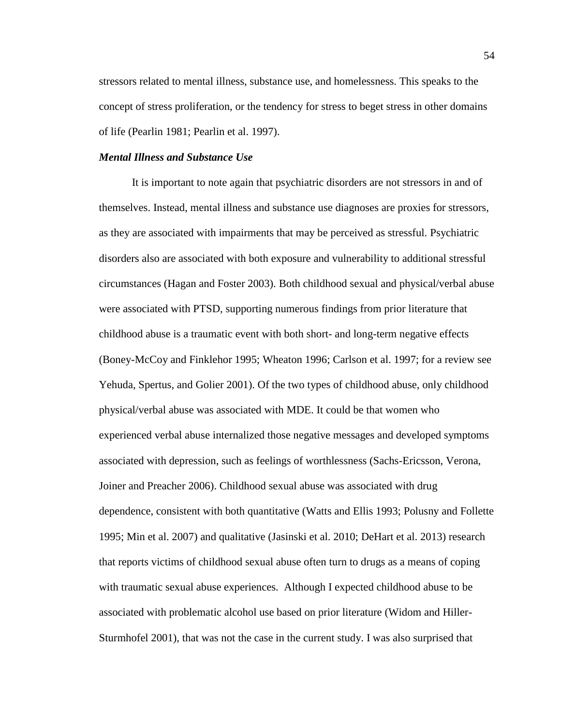stressors related to mental illness, substance use, and homelessness. This speaks to the concept of stress proliferation, or the tendency for stress to beget stress in other domains of life (Pearlin 1981; Pearlin et al. 1997).

### *Mental Illness and Substance Use*

It is important to note again that psychiatric disorders are not stressors in and of themselves. Instead, mental illness and substance use diagnoses are proxies for stressors, as they are associated with impairments that may be perceived as stressful. Psychiatric disorders also are associated with both exposure and vulnerability to additional stressful circumstances (Hagan and Foster 2003). Both childhood sexual and physical/verbal abuse were associated with PTSD, supporting numerous findings from prior literature that childhood abuse is a traumatic event with both short- and long-term negative effects (Boney-McCoy and Finklehor 1995; Wheaton 1996; Carlson et al. 1997; for a review see Yehuda, Spertus, and Golier 2001). Of the two types of childhood abuse, only childhood physical/verbal abuse was associated with MDE. It could be that women who experienced verbal abuse internalized those negative messages and developed symptoms associated with depression, such as feelings of worthlessness (Sachs-Ericsson, Verona, Joiner and Preacher 2006). Childhood sexual abuse was associated with drug dependence, consistent with both quantitative (Watts and Ellis 1993; Polusny and Follette 1995; Min et al. 2007) and qualitative (Jasinski et al. 2010; DeHart et al. 2013) research that reports victims of childhood sexual abuse often turn to drugs as a means of coping with traumatic sexual abuse experiences. Although I expected childhood abuse to be associated with problematic alcohol use based on prior literature (Widom and Hiller-Sturmhofel 2001), that was not the case in the current study. I was also surprised that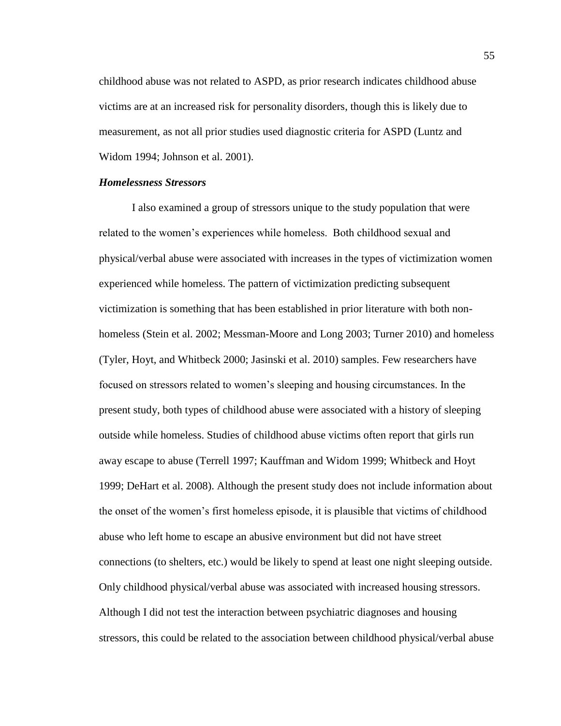childhood abuse was not related to ASPD, as prior research indicates childhood abuse victims are at an increased risk for personality disorders, though this is likely due to measurement, as not all prior studies used diagnostic criteria for ASPD (Luntz and Widom 1994; Johnson et al. 2001).

# *Homelessness Stressors*

I also examined a group of stressors unique to the study population that were related to the women's experiences while homeless. Both childhood sexual and physical/verbal abuse were associated with increases in the types of victimization women experienced while homeless. The pattern of victimization predicting subsequent victimization is something that has been established in prior literature with both nonhomeless (Stein et al. 2002; Messman-Moore and Long 2003; Turner 2010) and homeless (Tyler, Hoyt, and Whitbeck 2000; Jasinski et al. 2010) samples. Few researchers have focused on stressors related to women's sleeping and housing circumstances. In the present study, both types of childhood abuse were associated with a history of sleeping outside while homeless. Studies of childhood abuse victims often report that girls run away escape to abuse (Terrell 1997; Kauffman and Widom 1999; Whitbeck and Hoyt 1999; DeHart et al. 2008). Although the present study does not include information about the onset of the women's first homeless episode, it is plausible that victims of childhood abuse who left home to escape an abusive environment but did not have street connections (to shelters, etc.) would be likely to spend at least one night sleeping outside. Only childhood physical/verbal abuse was associated with increased housing stressors. Although I did not test the interaction between psychiatric diagnoses and housing stressors, this could be related to the association between childhood physical/verbal abuse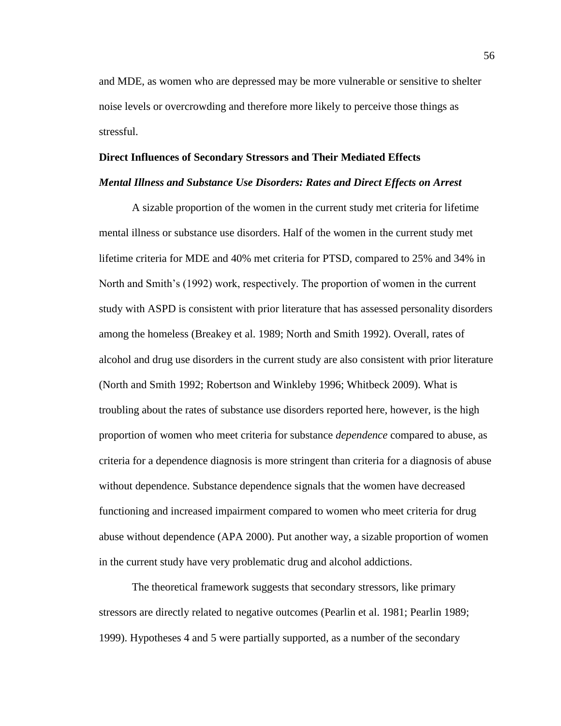and MDE, as women who are depressed may be more vulnerable or sensitive to shelter noise levels or overcrowding and therefore more likely to perceive those things as stressful.

#### **Direct Influences of Secondary Stressors and Their Mediated Effects**

#### *Mental Illness and Substance Use Disorders: Rates and Direct Effects on Arrest*

A sizable proportion of the women in the current study met criteria for lifetime mental illness or substance use disorders. Half of the women in the current study met lifetime criteria for MDE and 40% met criteria for PTSD, compared to 25% and 34% in North and Smith's (1992) work, respectively. The proportion of women in the current study with ASPD is consistent with prior literature that has assessed personality disorders among the homeless (Breakey et al. 1989; North and Smith 1992). Overall, rates of alcohol and drug use disorders in the current study are also consistent with prior literature (North and Smith 1992; Robertson and Winkleby 1996; Whitbeck 2009). What is troubling about the rates of substance use disorders reported here, however, is the high proportion of women who meet criteria for substance *dependence* compared to abuse, as criteria for a dependence diagnosis is more stringent than criteria for a diagnosis of abuse without dependence. Substance dependence signals that the women have decreased functioning and increased impairment compared to women who meet criteria for drug abuse without dependence (APA 2000). Put another way, a sizable proportion of women in the current study have very problematic drug and alcohol addictions.

The theoretical framework suggests that secondary stressors, like primary stressors are directly related to negative outcomes (Pearlin et al. 1981; Pearlin 1989; 1999). Hypotheses 4 and 5 were partially supported, as a number of the secondary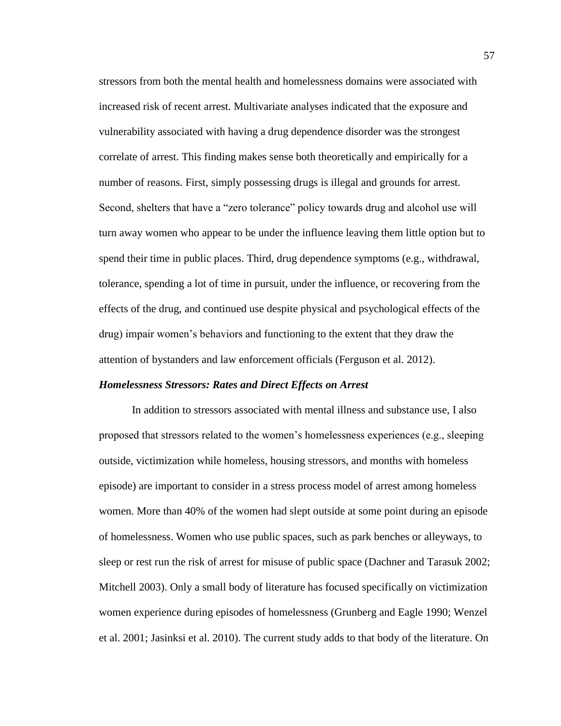stressors from both the mental health and homelessness domains were associated with increased risk of recent arrest. Multivariate analyses indicated that the exposure and vulnerability associated with having a drug dependence disorder was the strongest correlate of arrest. This finding makes sense both theoretically and empirically for a number of reasons. First, simply possessing drugs is illegal and grounds for arrest. Second, shelters that have a "zero tolerance" policy towards drug and alcohol use will turn away women who appear to be under the influence leaving them little option but to spend their time in public places. Third, drug dependence symptoms (e.g., withdrawal, tolerance, spending a lot of time in pursuit, under the influence, or recovering from the effects of the drug, and continued use despite physical and psychological effects of the drug) impair women's behaviors and functioning to the extent that they draw the attention of bystanders and law enforcement officials (Ferguson et al. 2012).

### *Homelessness Stressors: Rates and Direct Effects on Arrest*

In addition to stressors associated with mental illness and substance use, I also proposed that stressors related to the women's homelessness experiences (e.g., sleeping outside, victimization while homeless, housing stressors, and months with homeless episode) are important to consider in a stress process model of arrest among homeless women. More than 40% of the women had slept outside at some point during an episode of homelessness. Women who use public spaces, such as park benches or alleyways, to sleep or rest run the risk of arrest for misuse of public space (Dachner and Tarasuk 2002; Mitchell 2003). Only a small body of literature has focused specifically on victimization women experience during episodes of homelessness (Grunberg and Eagle 1990; Wenzel et al. 2001; Jasinksi et al. 2010). The current study adds to that body of the literature. On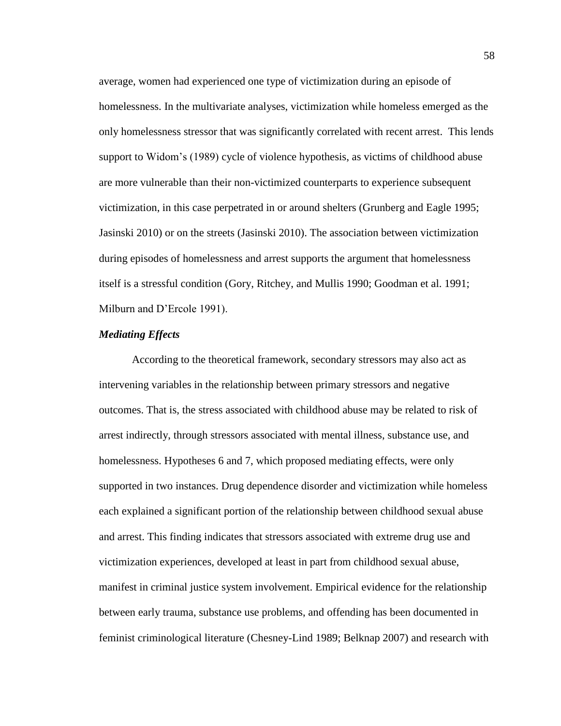average, women had experienced one type of victimization during an episode of homelessness. In the multivariate analyses, victimization while homeless emerged as the only homelessness stressor that was significantly correlated with recent arrest. This lends support to Widom's (1989) cycle of violence hypothesis, as victims of childhood abuse are more vulnerable than their non-victimized counterparts to experience subsequent victimization, in this case perpetrated in or around shelters (Grunberg and Eagle 1995; Jasinski 2010) or on the streets (Jasinski 2010). The association between victimization during episodes of homelessness and arrest supports the argument that homelessness itself is a stressful condition (Gory, Ritchey, and Mullis 1990; Goodman et al. 1991; Milburn and D'Ercole 1991).

# *Mediating Effects*

According to the theoretical framework, secondary stressors may also act as intervening variables in the relationship between primary stressors and negative outcomes. That is, the stress associated with childhood abuse may be related to risk of arrest indirectly, through stressors associated with mental illness, substance use, and homelessness. Hypotheses 6 and 7, which proposed mediating effects, were only supported in two instances. Drug dependence disorder and victimization while homeless each explained a significant portion of the relationship between childhood sexual abuse and arrest. This finding indicates that stressors associated with extreme drug use and victimization experiences, developed at least in part from childhood sexual abuse, manifest in criminal justice system involvement. Empirical evidence for the relationship between early trauma, substance use problems, and offending has been documented in feminist criminological literature (Chesney-Lind 1989; Belknap 2007) and research with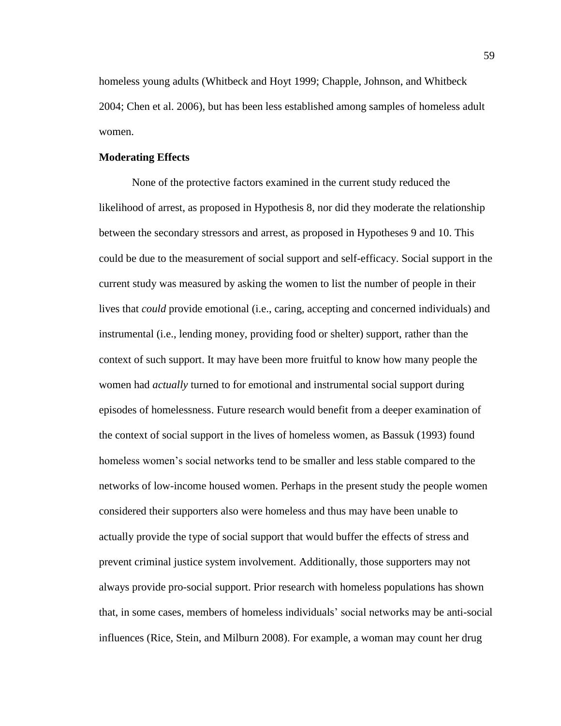homeless young adults (Whitbeck and Hoyt 1999; Chapple, Johnson, and Whitbeck 2004; Chen et al. 2006), but has been less established among samples of homeless adult women.

### **Moderating Effects**

None of the protective factors examined in the current study reduced the likelihood of arrest, as proposed in Hypothesis 8, nor did they moderate the relationship between the secondary stressors and arrest, as proposed in Hypotheses 9 and 10. This could be due to the measurement of social support and self-efficacy. Social support in the current study was measured by asking the women to list the number of people in their lives that *could* provide emotional (i.e., caring, accepting and concerned individuals) and instrumental (i.e., lending money, providing food or shelter) support, rather than the context of such support. It may have been more fruitful to know how many people the women had *actually* turned to for emotional and instrumental social support during episodes of homelessness. Future research would benefit from a deeper examination of the context of social support in the lives of homeless women, as Bassuk (1993) found homeless women's social networks tend to be smaller and less stable compared to the networks of low-income housed women. Perhaps in the present study the people women considered their supporters also were homeless and thus may have been unable to actually provide the type of social support that would buffer the effects of stress and prevent criminal justice system involvement. Additionally, those supporters may not always provide pro-social support. Prior research with homeless populations has shown that, in some cases, members of homeless individuals' social networks may be anti-social influences (Rice, Stein, and Milburn 2008). For example, a woman may count her drug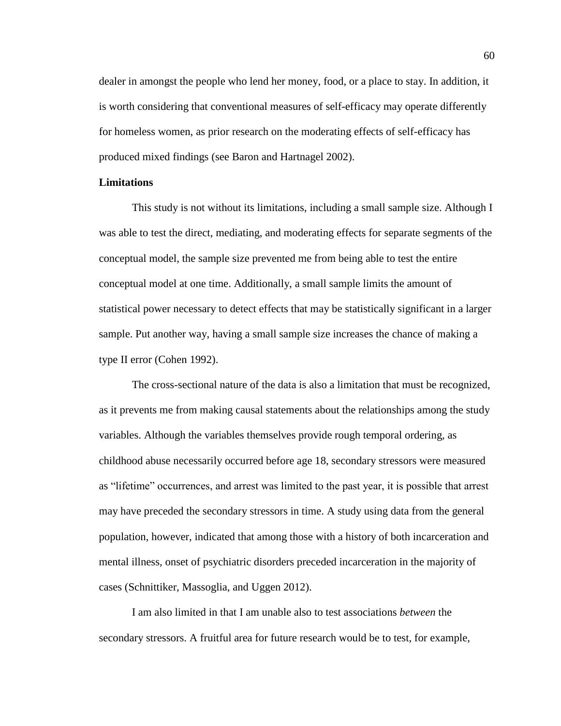dealer in amongst the people who lend her money, food, or a place to stay. In addition, it is worth considering that conventional measures of self-efficacy may operate differently for homeless women, as prior research on the moderating effects of self-efficacy has produced mixed findings (see Baron and Hartnagel 2002).

# **Limitations**

This study is not without its limitations, including a small sample size. Although I was able to test the direct, mediating, and moderating effects for separate segments of the conceptual model, the sample size prevented me from being able to test the entire conceptual model at one time. Additionally, a small sample limits the amount of statistical power necessary to detect effects that may be statistically significant in a larger sample. Put another way, having a small sample size increases the chance of making a type II error (Cohen 1992).

The cross-sectional nature of the data is also a limitation that must be recognized, as it prevents me from making causal statements about the relationships among the study variables. Although the variables themselves provide rough temporal ordering, as childhood abuse necessarily occurred before age 18, secondary stressors were measured as "lifetime" occurrences, and arrest was limited to the past year, it is possible that arrest may have preceded the secondary stressors in time. A study using data from the general population, however, indicated that among those with a history of both incarceration and mental illness, onset of psychiatric disorders preceded incarceration in the majority of cases (Schnittiker, Massoglia, and Uggen 2012).

I am also limited in that I am unable also to test associations *between* the secondary stressors. A fruitful area for future research would be to test, for example,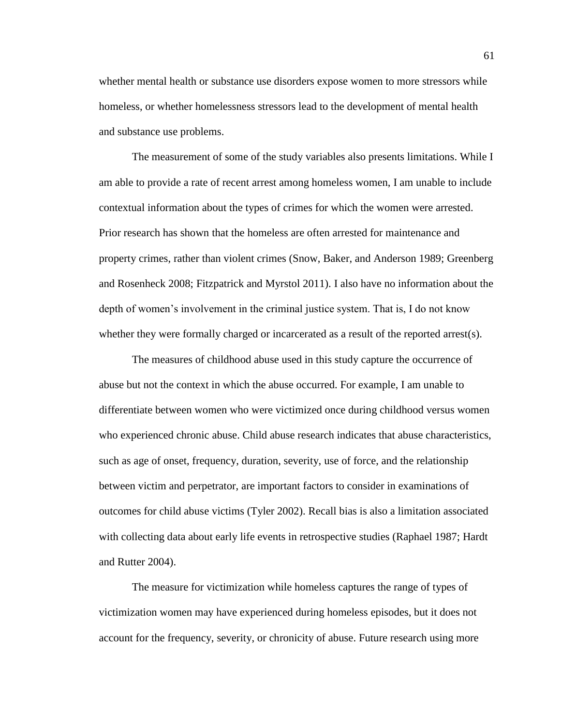whether mental health or substance use disorders expose women to more stressors while homeless, or whether homelessness stressors lead to the development of mental health and substance use problems.

The measurement of some of the study variables also presents limitations. While I am able to provide a rate of recent arrest among homeless women, I am unable to include contextual information about the types of crimes for which the women were arrested. Prior research has shown that the homeless are often arrested for maintenance and property crimes, rather than violent crimes (Snow, Baker, and Anderson 1989; Greenberg and Rosenheck 2008; Fitzpatrick and Myrstol 2011). I also have no information about the depth of women's involvement in the criminal justice system. That is, I do not know whether they were formally charged or incarcerated as a result of the reported arrest(s).

The measures of childhood abuse used in this study capture the occurrence of abuse but not the context in which the abuse occurred. For example, I am unable to differentiate between women who were victimized once during childhood versus women who experienced chronic abuse. Child abuse research indicates that abuse characteristics, such as age of onset, frequency, duration, severity, use of force, and the relationship between victim and perpetrator, are important factors to consider in examinations of outcomes for child abuse victims (Tyler 2002). Recall bias is also a limitation associated with collecting data about early life events in retrospective studies (Raphael 1987; Hardt and Rutter 2004).

The measure for victimization while homeless captures the range of types of victimization women may have experienced during homeless episodes, but it does not account for the frequency, severity, or chronicity of abuse. Future research using more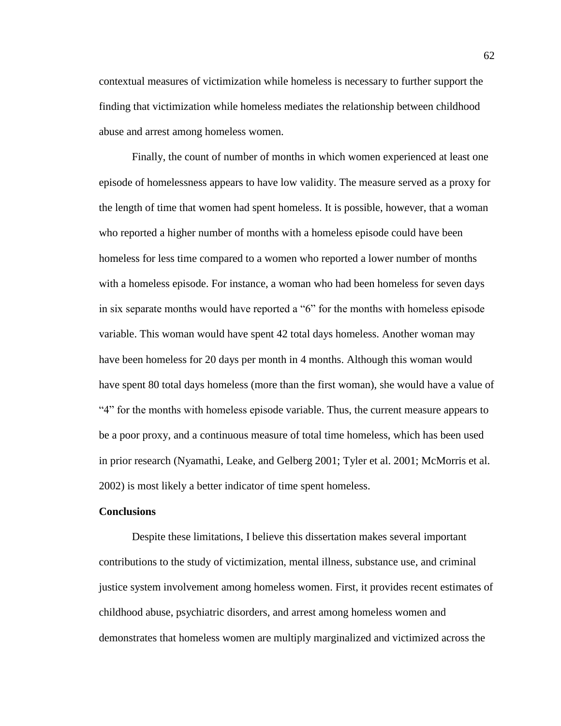contextual measures of victimization while homeless is necessary to further support the finding that victimization while homeless mediates the relationship between childhood abuse and arrest among homeless women.

Finally, the count of number of months in which women experienced at least one episode of homelessness appears to have low validity. The measure served as a proxy for the length of time that women had spent homeless. It is possible, however, that a woman who reported a higher number of months with a homeless episode could have been homeless for less time compared to a women who reported a lower number of months with a homeless episode. For instance, a woman who had been homeless for seven days in six separate months would have reported a "6" for the months with homeless episode variable. This woman would have spent 42 total days homeless. Another woman may have been homeless for 20 days per month in 4 months. Although this woman would have spent 80 total days homeless (more than the first woman), she would have a value of "4" for the months with homeless episode variable. Thus, the current measure appears to be a poor proxy, and a continuous measure of total time homeless, which has been used in prior research (Nyamathi, Leake, and Gelberg 2001; Tyler et al. 2001; McMorris et al. 2002) is most likely a better indicator of time spent homeless.

## **Conclusions**

Despite these limitations, I believe this dissertation makes several important contributions to the study of victimization, mental illness, substance use, and criminal justice system involvement among homeless women. First, it provides recent estimates of childhood abuse, psychiatric disorders, and arrest among homeless women and demonstrates that homeless women are multiply marginalized and victimized across the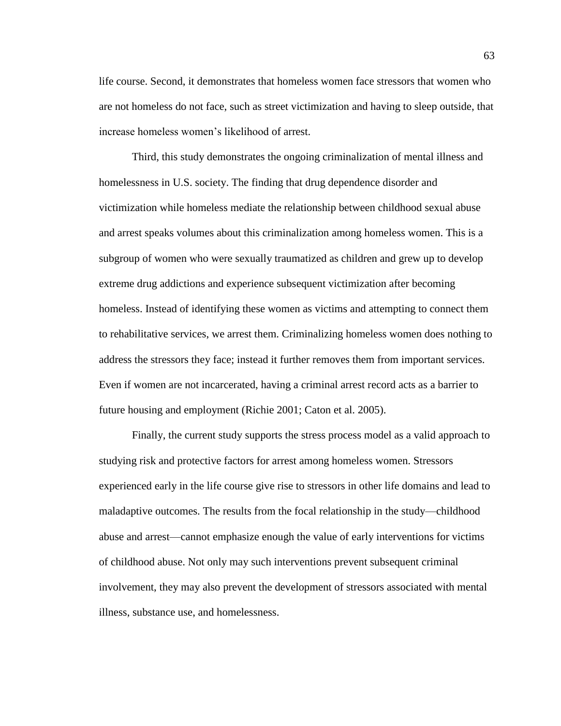life course. Second, it demonstrates that homeless women face stressors that women who are not homeless do not face, such as street victimization and having to sleep outside, that increase homeless women's likelihood of arrest.

Third, this study demonstrates the ongoing criminalization of mental illness and homelessness in U.S. society. The finding that drug dependence disorder and victimization while homeless mediate the relationship between childhood sexual abuse and arrest speaks volumes about this criminalization among homeless women. This is a subgroup of women who were sexually traumatized as children and grew up to develop extreme drug addictions and experience subsequent victimization after becoming homeless. Instead of identifying these women as victims and attempting to connect them to rehabilitative services, we arrest them. Criminalizing homeless women does nothing to address the stressors they face; instead it further removes them from important services. Even if women are not incarcerated, having a criminal arrest record acts as a barrier to future housing and employment (Richie 2001; Caton et al. 2005).

Finally, the current study supports the stress process model as a valid approach to studying risk and protective factors for arrest among homeless women. Stressors experienced early in the life course give rise to stressors in other life domains and lead to maladaptive outcomes. The results from the focal relationship in the study—childhood abuse and arrest—cannot emphasize enough the value of early interventions for victims of childhood abuse. Not only may such interventions prevent subsequent criminal involvement, they may also prevent the development of stressors associated with mental illness, substance use, and homelessness.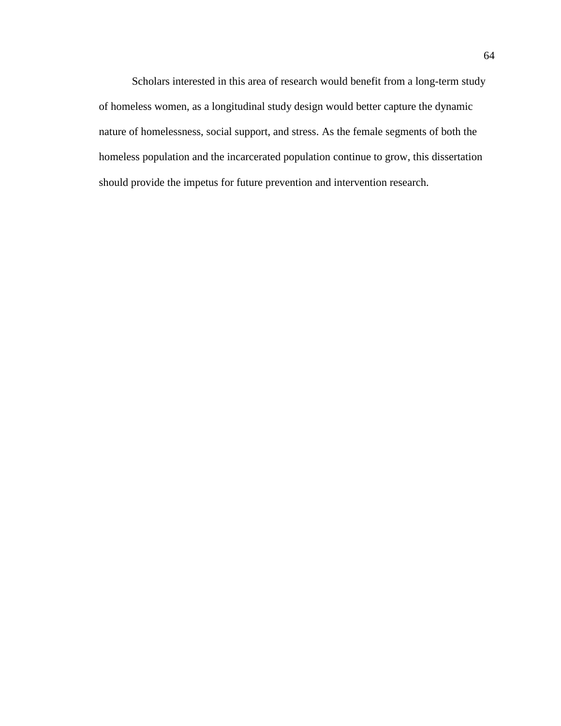Scholars interested in this area of research would benefit from a long-term study of homeless women, as a longitudinal study design would better capture the dynamic nature of homelessness, social support, and stress. As the female segments of both the homeless population and the incarcerated population continue to grow, this dissertation should provide the impetus for future prevention and intervention research.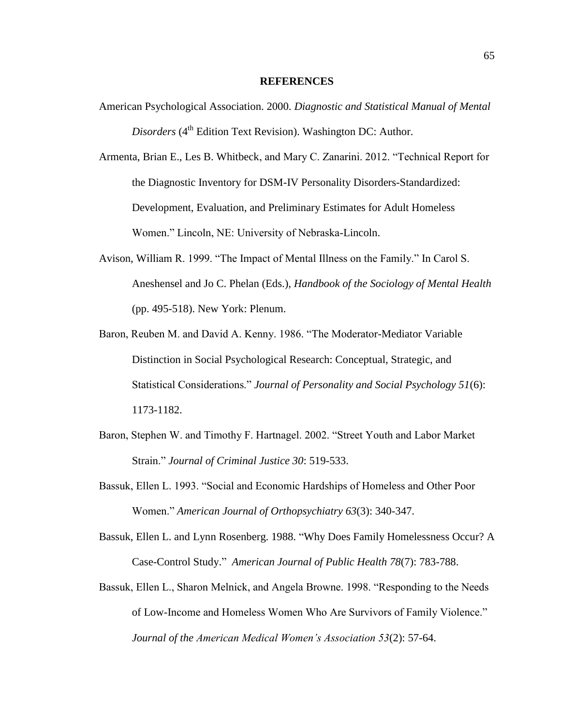#### **REFERENCES**

American Psychological Association. 2000. *Diagnostic and Statistical Manual of Mental Disorders* (4<sup>th</sup> Edition Text Revision). Washington DC: Author.

Armenta, Brian E., Les B. Whitbeck, and Mary C. Zanarini. 2012. "Technical Report for the Diagnostic Inventory for DSM-IV Personality Disorders-Standardized: Development, Evaluation, and Preliminary Estimates for Adult Homeless Women." Lincoln, NE: University of Nebraska-Lincoln.

- Avison, William R. 1999. "The Impact of Mental Illness on the Family." In Carol S. Aneshensel and Jo C. Phelan (Eds.), *Handbook of the Sociology of Mental Health* (pp. 495-518). New York: Plenum.
- Baron, Reuben M. and David A. Kenny. 1986. "The Moderator-Mediator Variable Distinction in Social Psychological Research: Conceptual, Strategic, and Statistical Considerations." *Journal of Personality and Social Psychology 51*(6): 1173-1182.
- Baron, Stephen W. and Timothy F. Hartnagel. 2002. "Street Youth and Labor Market Strain." *Journal of Criminal Justice 30*: 519-533.
- Bassuk, Ellen L. 1993. "Social and Economic Hardships of Homeless and Other Poor Women." *American Journal of Orthopsychiatry 63*(3): 340-347.
- Bassuk, Ellen L. and Lynn Rosenberg. 1988. "Why Does Family Homelessness Occur? A Case-Control Study." *American Journal of Public Health 78*(7): 783-788.
- Bassuk, Ellen L., Sharon Melnick, and Angela Browne. 1998. "Responding to the Needs of Low-Income and Homeless Women Who Are Survivors of Family Violence." *Journal of the American Medical Women's Association 53*(2): 57-64.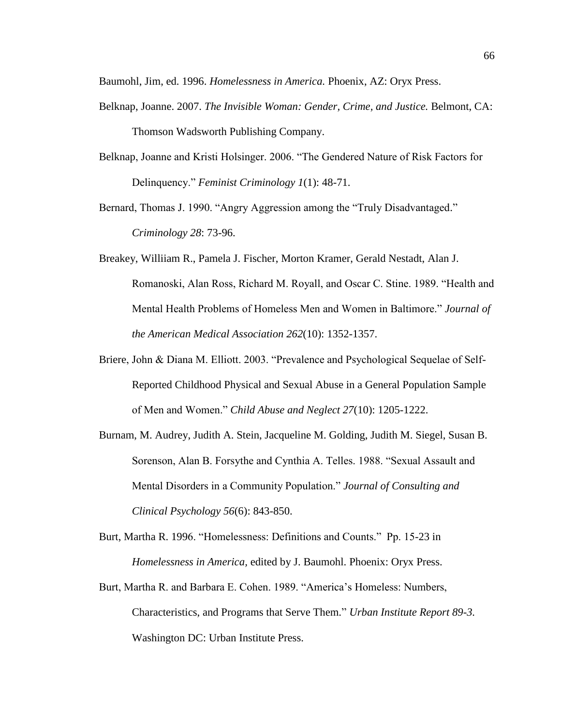Baumohl, Jim, ed. 1996. *Homelessness in America.* Phoenix, AZ: Oryx Press.

- Belknap, Joanne. 2007. *The Invisible Woman: Gender, Crime, and Justice.* Belmont, CA: Thomson Wadsworth Publishing Company.
- Belknap, Joanne and Kristi Holsinger. 2006. "The Gendered Nature of Risk Factors for Delinquency." *Feminist Criminology 1*(1): 48-71.

Bernard, Thomas J. 1990. "Angry Aggression among the "Truly Disadvantaged." *Criminology 28*: 73-96.

- Breakey, Williiam R., Pamela J. Fischer, Morton Kramer, Gerald Nestadt, Alan J. Romanoski, Alan Ross, Richard M. Royall, and Oscar C. Stine. 1989. "Health and Mental Health Problems of Homeless Men and Women in Baltimore." *Journal of the American Medical Association 262*(10): 1352-1357.
- Briere, John & Diana M. Elliott. 2003. "Prevalence and Psychological Sequelae of Self-Reported Childhood Physical and Sexual Abuse in a General Population Sample of Men and Women." *Child Abuse and Neglect 27*(10): 1205-1222.
- Burnam, M. Audrey, Judith A. Stein, Jacqueline M. Golding, Judith M. Siegel, Susan B. Sorenson, Alan B. Forsythe and Cynthia A. Telles. 1988. "Sexual Assault and Mental Disorders in a Community Population." *Journal of Consulting and Clinical Psychology 56*(6): 843-850.
- Burt, Martha R. 1996. "Homelessness: Definitions and Counts." Pp. 15-23 in *Homelessness in America,* edited by J. Baumohl. Phoenix: Oryx Press.
- Burt, Martha R. and Barbara E. Cohen. 1989. "America's Homeless: Numbers, Characteristics, and Programs that Serve Them." *Urban Institute Report 89-3.* Washington DC: Urban Institute Press.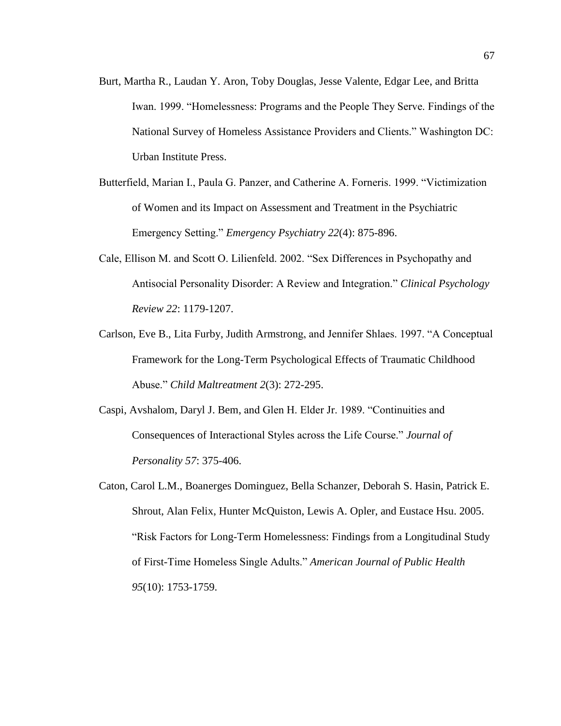- Burt, Martha R., Laudan Y. Aron, Toby Douglas, Jesse Valente, Edgar Lee, and Britta Iwan. 1999. "Homelessness: Programs and the People They Serve. Findings of the National Survey of Homeless Assistance Providers and Clients." Washington DC: Urban Institute Press.
- Butterfield, Marian I., Paula G. Panzer, and Catherine A. Forneris. 1999. "Victimization of Women and its Impact on Assessment and Treatment in the Psychiatric Emergency Setting." *Emergency Psychiatry 22*(4): 875-896.
- Cale, Ellison M. and Scott O. Lilienfeld. 2002. "Sex Differences in Psychopathy and Antisocial Personality Disorder: A Review and Integration." *Clinical Psychology Review 22*: 1179-1207.
- Carlson, Eve B., Lita Furby, Judith Armstrong, and Jennifer Shlaes. 1997. "A Conceptual Framework for the Long-Term Psychological Effects of Traumatic Childhood Abuse." *Child Maltreatment 2*(3): 272-295.
- Caspi, Avshalom, Daryl J. Bem, and Glen H. Elder Jr. 1989. "Continuities and Consequences of Interactional Styles across the Life Course." *Journal of Personality 57*: 375-406.
- Caton, Carol L.M., Boanerges Dominguez, Bella Schanzer, Deborah S. Hasin, Patrick E. Shrout, Alan Felix, Hunter McQuiston, Lewis A. Opler, and Eustace Hsu. 2005. "Risk Factors for Long-Term Homelessness: Findings from a Longitudinal Study of First-Time Homeless Single Adults." *American Journal of Public Health 95*(10): 1753-1759.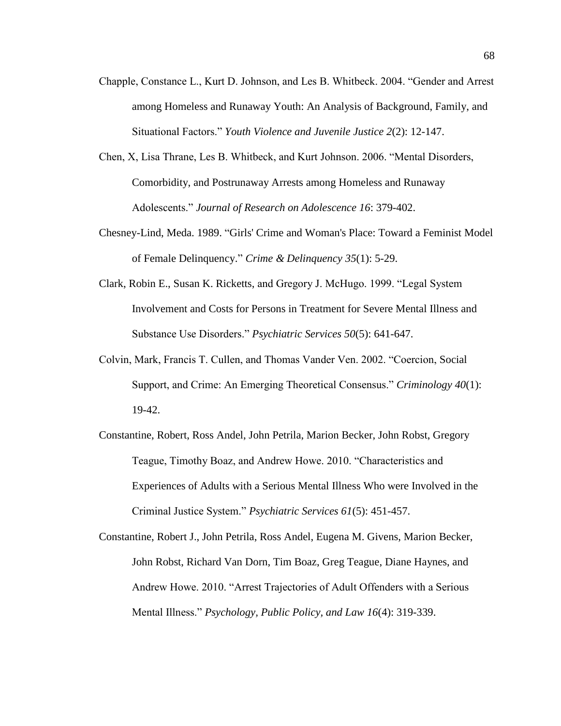- Chapple, Constance L., Kurt D. Johnson, and Les B. Whitbeck. 2004. "Gender and Arrest among Homeless and Runaway Youth: An Analysis of Background, Family, and Situational Factors." *Youth Violence and Juvenile Justice 2*(2): 12-147.
- Chen, X, Lisa Thrane, Les B. Whitbeck, and Kurt Johnson. 2006. "Mental Disorders, Comorbidity, and Postrunaway Arrests among Homeless and Runaway Adolescents." *Journal of Research on Adolescence 16*: 379-402.
- Chesney-Lind, Meda. 1989. "Girls' Crime and Woman's Place: Toward a Feminist Model of Female Delinquency." *Crime & Delinquency 35*(1): 5-29.
- Clark, Robin E., Susan K. Ricketts, and Gregory J. McHugo. 1999. "Legal System Involvement and Costs for Persons in Treatment for Severe Mental Illness and Substance Use Disorders." *Psychiatric Services 50*(5): 641-647.
- Colvin, Mark, Francis T. Cullen, and Thomas Vander Ven. 2002. "Coercion, Social Support, and Crime: An Emerging Theoretical Consensus." *Criminology 40*(1): 19-42.
- Constantine, Robert, Ross Andel, John Petrila, Marion Becker, John Robst, Gregory Teague, Timothy Boaz, and Andrew Howe. 2010. "Characteristics and Experiences of Adults with a Serious Mental Illness Who were Involved in the Criminal Justice System." *Psychiatric Services 61*(5): 451-457.
- Constantine, Robert J., John Petrila, Ross Andel, Eugena M. Givens, Marion Becker, John Robst, Richard Van Dorn, Tim Boaz, Greg Teague, Diane Haynes, and Andrew Howe. 2010. "Arrest Trajectories of Adult Offenders with a Serious Mental Illness." *Psychology, Public Policy, and Law 16*(4): 319-339.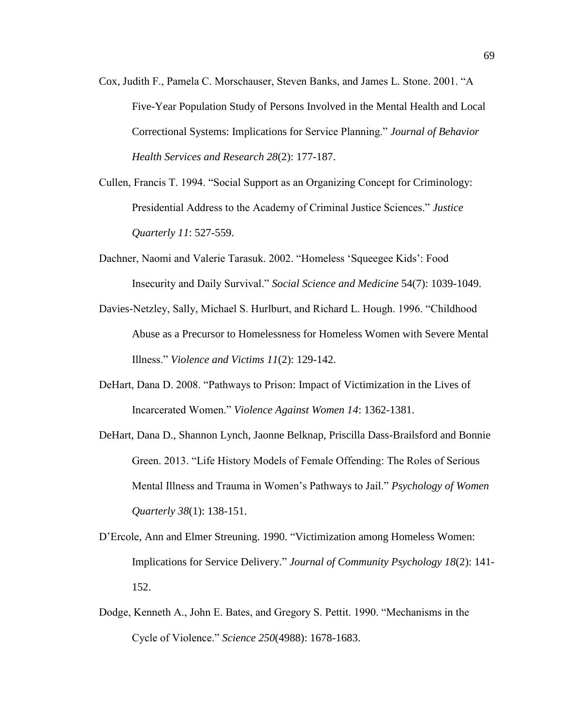- Cox, Judith F., Pamela C. Morschauser, Steven Banks, and James L. Stone. 2001. "A Five-Year Population Study of Persons Involved in the Mental Health and Local Correctional Systems: Implications for Service Planning." *Journal of Behavior Health Services and Research 28*(2): 177-187.
- Cullen, Francis T. 1994. "Social Support as an Organizing Concept for Criminology: Presidential Address to the Academy of Criminal Justice Sciences." *Justice Quarterly 11*: 527-559.
- Dachner, Naomi and Valerie Tarasuk. 2002. "Homeless 'Squeegee Kids': Food Insecurity and Daily Survival." *Social Science and Medicine* 54(7): 1039-1049.
- Davies-Netzley, Sally, Michael S. Hurlburt, and Richard L. Hough. 1996. "Childhood Abuse as a Precursor to Homelessness for Homeless Women with Severe Mental Illness." *Violence and Victims 11*(2): 129-142.
- DeHart, Dana D. 2008. "Pathways to Prison: Impact of Victimization in the Lives of Incarcerated Women." *Violence Against Women 14*: 1362-1381.
- DeHart, Dana D., Shannon Lynch, Jaonne Belknap, Priscilla Dass-Brailsford and Bonnie Green. 2013. "Life History Models of Female Offending: The Roles of Serious Mental Illness and Trauma in Women's Pathways to Jail." *Psychology of Women Quarterly 38*(1): 138-151.
- D'Ercole, Ann and Elmer Streuning. 1990. "Victimization among Homeless Women: Implications for Service Delivery." *Journal of Community Psychology 18*(2): 141- 152.
- Dodge, Kenneth A., John E. Bates, and Gregory S. Pettit. 1990. "Mechanisms in the Cycle of Violence." *Science 250*(4988): 1678-1683.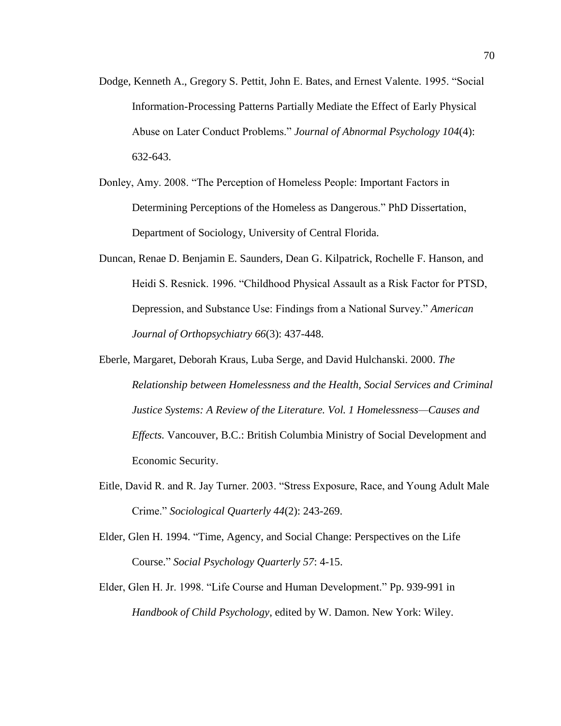- Dodge, Kenneth A., Gregory S. Pettit, John E. Bates, and Ernest Valente. 1995. "Social Information-Processing Patterns Partially Mediate the Effect of Early Physical Abuse on Later Conduct Problems." *Journal of Abnormal Psychology 104*(4): 632-643.
- Donley, Amy. 2008. "The Perception of Homeless People: Important Factors in Determining Perceptions of the Homeless as Dangerous." PhD Dissertation, Department of Sociology, University of Central Florida.
- Duncan, Renae D. Benjamin E. Saunders, Dean G. Kilpatrick, Rochelle F. Hanson, and Heidi S. Resnick. 1996. "Childhood Physical Assault as a Risk Factor for PTSD, Depression, and Substance Use: Findings from a National Survey." *American Journal of Orthopsychiatry 66*(3): 437-448.
- Eberle, Margaret, Deborah Kraus, Luba Serge, and David Hulchanski. 2000. *The Relationship between Homelessness and the Health, Social Services and Criminal Justice Systems: A Review of the Literature. Vol. 1 Homelessness—Causes and Effects.* Vancouver, B.C.: British Columbia Ministry of Social Development and Economic Security.
- Eitle, David R. and R. Jay Turner. 2003. "Stress Exposure, Race, and Young Adult Male Crime." *Sociological Quarterly 44*(2): 243-269.
- Elder, Glen H. 1994. "Time, Agency, and Social Change: Perspectives on the Life Course." *Social Psychology Quarterly 57*: 4-15.
- Elder, Glen H. Jr. 1998. "Life Course and Human Development." Pp. 939-991 in *Handbook of Child Psychology*, edited by W. Damon. New York: Wiley.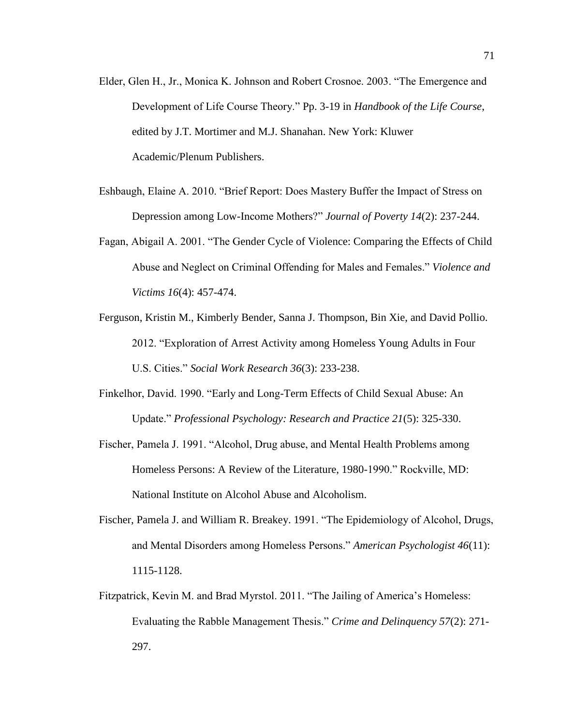- Elder, Glen H., Jr., Monica K. Johnson and Robert Crosnoe. 2003. "The Emergence and Development of Life Course Theory." Pp. 3-19 in *Handbook of the Life Course*, edited by J.T. Mortimer and M.J. Shanahan. New York: Kluwer Academic/Plenum Publishers.
- Eshbaugh, Elaine A. 2010. "Brief Report: Does Mastery Buffer the Impact of Stress on Depression among Low-Income Mothers?" *Journal of Poverty 14*(2): 237-244.
- Fagan, Abigail A. 2001. "The Gender Cycle of Violence: Comparing the Effects of Child Abuse and Neglect on Criminal Offending for Males and Females." *Violence and Victims 16*(4): 457-474.
- Ferguson, Kristin M., Kimberly Bender, Sanna J. Thompson, Bin Xie, and David Pollio. 2012. "Exploration of Arrest Activity among Homeless Young Adults in Four U.S. Cities." *Social Work Research 36*(3): 233-238.
- Finkelhor, David. 1990. "Early and Long-Term Effects of Child Sexual Abuse: An Update." *Professional Psychology: Research and Practice 21*(5): 325-330.
- Fischer, Pamela J. 1991. "Alcohol, Drug abuse, and Mental Health Problems among Homeless Persons: A Review of the Literature, 1980-1990." Rockville, MD: National Institute on Alcohol Abuse and Alcoholism.
- Fischer, Pamela J. and William R. Breakey. 1991. "The Epidemiology of Alcohol, Drugs, and Mental Disorders among Homeless Persons." *American Psychologist 46*(11): 1115-1128.
- Fitzpatrick, Kevin M. and Brad Myrstol. 2011. "The Jailing of America's Homeless: Evaluating the Rabble Management Thesis." *Crime and Delinquency 57*(2): 271- 297.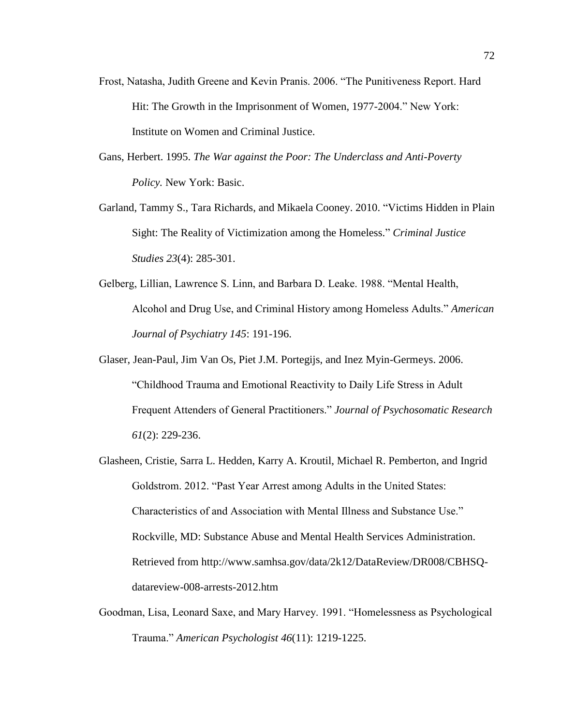- Frost, Natasha, Judith Greene and Kevin Pranis. 2006. "The Punitiveness Report. Hard Hit: The Growth in the Imprisonment of Women, 1977-2004." New York: Institute on Women and Criminal Justice.
- Gans, Herbert. 1995. *The War against the Poor: The Underclass and Anti-Poverty Policy.* New York: Basic.
- Garland, Tammy S., Tara Richards, and Mikaela Cooney. 2010. "Victims Hidden in Plain Sight: The Reality of Victimization among the Homeless." *Criminal Justice Studies 23*(4): 285-301.
- Gelberg, Lillian, Lawrence S. Linn, and Barbara D. Leake. 1988. "Mental Health, Alcohol and Drug Use, and Criminal History among Homeless Adults." *American Journal of Psychiatry 145*: 191-196.
- Glaser, Jean-Paul, Jim Van Os, Piet J.M. Portegijs, and Inez Myin-Germeys. 2006. "Childhood Trauma and Emotional Reactivity to Daily Life Stress in Adult Frequent Attenders of General Practitioners." *Journal of Psychosomatic Research 61*(2): 229-236.
- Glasheen, Cristie, Sarra L. Hedden, Karry A. Kroutil, Michael R. Pemberton, and Ingrid Goldstrom. 2012. "Past Year Arrest among Adults in the United States: Characteristics of and Association with Mental Illness and Substance Use." Rockville, MD: Substance Abuse and Mental Health Services Administration. Retrieved from http://www.samhsa.gov/data/2k12/DataReview/DR008/CBHSQdatareview-008-arrests-2012.htm
- Goodman, Lisa, Leonard Saxe, and Mary Harvey. 1991. "Homelessness as Psychological Trauma." *American Psychologist 46*(11): 1219-1225.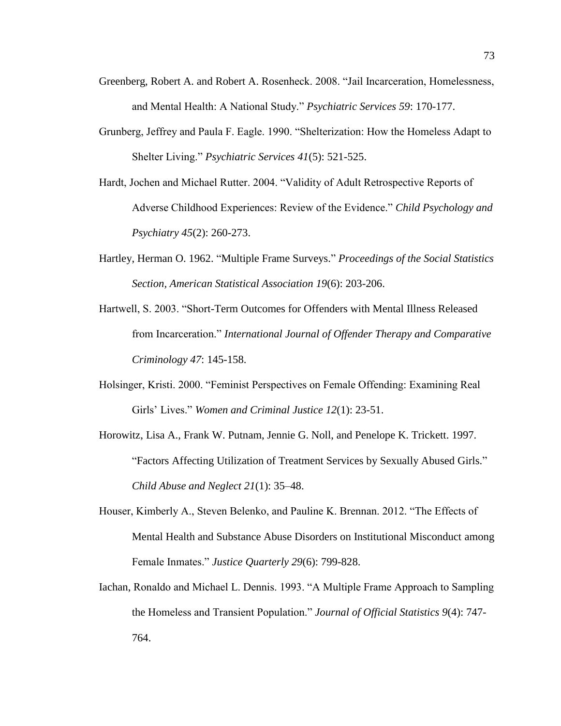- Greenberg, Robert A. and Robert A. Rosenheck. 2008. "Jail Incarceration, Homelessness, and Mental Health: A National Study." *Psychiatric Services 59*: 170-177.
- Grunberg, Jeffrey and Paula F. Eagle. 1990. "Shelterization: How the Homeless Adapt to Shelter Living." *Psychiatric Services 41*(5): 521-525.
- Hardt, Jochen and Michael Rutter. 2004. "Validity of Adult Retrospective Reports of Adverse Childhood Experiences: Review of the Evidence." *Child Psychology and Psychiatry 45*(2): 260-273.
- Hartley, Herman O. 1962. "Multiple Frame Surveys." *Proceedings of the Social Statistics Section, American Statistical Association 19*(6): 203-206.
- Hartwell, S. 2003. "Short-Term Outcomes for Offenders with Mental Illness Released from Incarceration." *International Journal of Offender Therapy and Comparative Criminology 47*: 145-158.
- Holsinger, Kristi. 2000. "Feminist Perspectives on Female Offending: Examining Real Girls' Lives." *Women and Criminal Justice 12*(1): 23-51.
- Horowitz, Lisa A., Frank W. Putnam, Jennie G. Noll, and Penelope K. Trickett. 1997. "Factors Affecting Utilization of Treatment Services by Sexually Abused Girls." *Child Abuse and Neglect 21*(1): 35–48.
- Houser, Kimberly A., Steven Belenko, and Pauline K. Brennan. 2012. "The Effects of Mental Health and Substance Abuse Disorders on Institutional Misconduct among Female Inmates." *Justice Quarterly 29*(6): 799-828.
- Iachan, Ronaldo and Michael L. Dennis. 1993. "A Multiple Frame Approach to Sampling the Homeless and Transient Population." *Journal of Official Statistics 9*(4): 747- 764.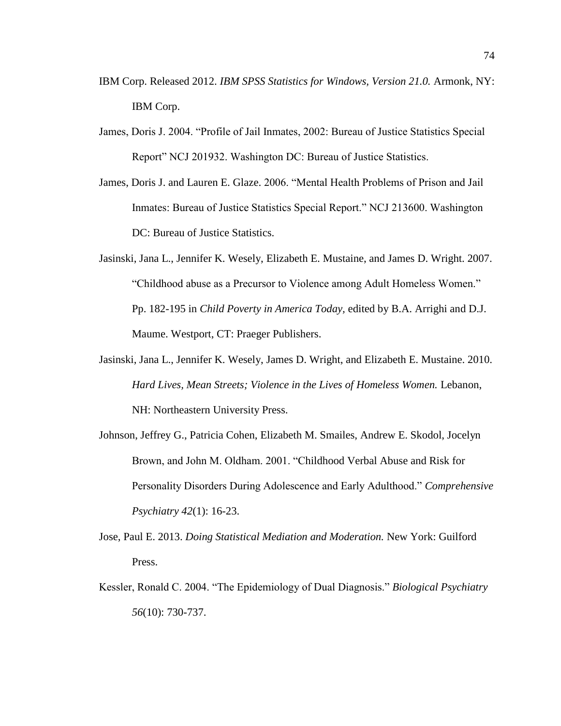- IBM Corp. Released 2012. *IBM SPSS Statistics for Windows, Version 21.0.* Armonk, NY: IBM Corp.
- James, Doris J. 2004. "Profile of Jail Inmates, 2002: Bureau of Justice Statistics Special Report" NCJ 201932. Washington DC: Bureau of Justice Statistics.
- James, Doris J. and Lauren E. Glaze. 2006. "Mental Health Problems of Prison and Jail Inmates: Bureau of Justice Statistics Special Report." NCJ 213600. Washington DC: Bureau of Justice Statistics.
- Jasinski, Jana L., Jennifer K. Wesely, Elizabeth E. Mustaine, and James D. Wright. 2007. "Childhood abuse as a Precursor to Violence among Adult Homeless Women." Pp. 182-195 in *Child Poverty in America Today,* edited by B.A. Arrighi and D.J. Maume. Westport, CT: Praeger Publishers.
- Jasinski, Jana L., Jennifer K. Wesely, James D. Wright, and Elizabeth E. Mustaine. 2010. *Hard Lives, Mean Streets; Violence in the Lives of Homeless Women.* Lebanon, NH: Northeastern University Press.
- Johnson, Jeffrey G., Patricia Cohen, Elizabeth M. Smailes, Andrew E. Skodol, Jocelyn Brown, and John M. Oldham. 2001. "Childhood Verbal Abuse and Risk for Personality Disorders During Adolescence and Early Adulthood." *Comprehensive Psychiatry 42*(1): 16-23.
- Jose, Paul E. 2013. *Doing Statistical Mediation and Moderation.* New York: Guilford Press.
- Kessler, Ronald C. 2004. "The Epidemiology of Dual Diagnosis." *Biological Psychiatry 56*(10): 730-737.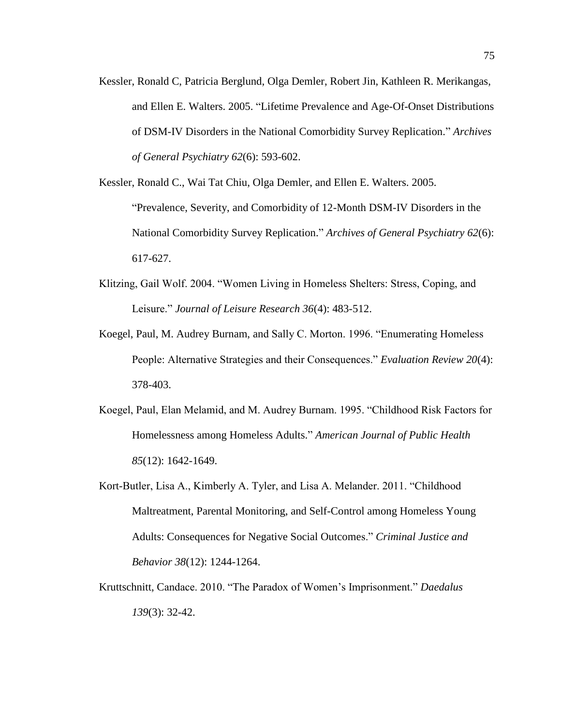Kessler, Ronald C, Patricia Berglund, Olga Demler, Robert Jin, Kathleen R. Merikangas, and Ellen E. Walters. 2005. "Lifetime Prevalence and Age-Of-Onset Distributions of DSM-IV Disorders in the National Comorbidity Survey Replication." *Archives of General Psychiatry 62*(6): 593-602.

Kessler, Ronald C., Wai Tat Chiu, Olga Demler, and Ellen E. Walters. 2005. "Prevalence, Severity, and Comorbidity of 12-Month DSM-IV Disorders in the National Comorbidity Survey Replication." *Archives of General Psychiatry 62*(6): 617-627.

- Klitzing, Gail Wolf. 2004. "Women Living in Homeless Shelters: Stress, Coping, and Leisure." *Journal of Leisure Research 36*(4): 483-512.
- Koegel, Paul, M. Audrey Burnam, and Sally C. Morton. 1996. "Enumerating Homeless People: Alternative Strategies and their Consequences." *Evaluation Review 20*(4): 378-403.
- Koegel, Paul, Elan Melamid, and M. Audrey Burnam. 1995. "Childhood Risk Factors for Homelessness among Homeless Adults." *American Journal of Public Health 85*(12): 1642-1649.
- Kort-Butler, Lisa A., Kimberly A. Tyler, and Lisa A. Melander. 2011. "Childhood Maltreatment, Parental Monitoring, and Self-Control among Homeless Young Adults: Consequences for Negative Social Outcomes." *Criminal Justice and Behavior 38*(12): 1244-1264.
- Kruttschnitt, Candace. 2010. "The Paradox of Women's Imprisonment." *Daedalus 139*(3): 32-42.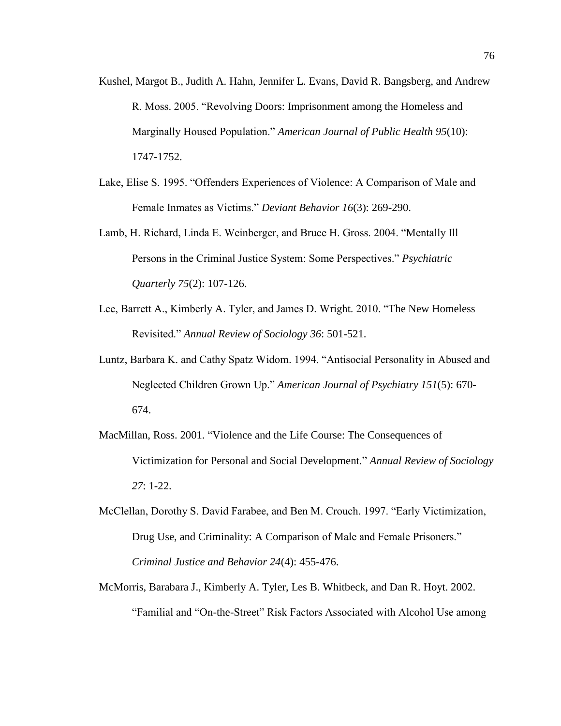- Kushel, Margot B., Judith A. Hahn, Jennifer L. Evans, David R. Bangsberg, and Andrew R. Moss. 2005. "Revolving Doors: Imprisonment among the Homeless and Marginally Housed Population." *American Journal of Public Health 95*(10): 1747-1752.
- Lake, Elise S. 1995. "Offenders Experiences of Violence: A Comparison of Male and Female Inmates as Victims." *Deviant Behavior 16*(3): 269-290.
- Lamb, H. Richard, Linda E. Weinberger, and Bruce H. Gross. 2004. "Mentally Ill Persons in the Criminal Justice System: Some Perspectives." *Psychiatric Quarterly 75*(2): 107-126.
- Lee, Barrett A., Kimberly A. Tyler, and James D. Wright. 2010. "The New Homeless Revisited." *Annual Review of Sociology 36*: 501-521.
- Luntz, Barbara K. and Cathy Spatz Widom. 1994. "Antisocial Personality in Abused and Neglected Children Grown Up." *American Journal of Psychiatry 151*(5): 670- 674.
- MacMillan, Ross. 2001. "Violence and the Life Course: The Consequences of Victimization for Personal and Social Development." *Annual Review of Sociology 27*: 1-22.
- McClellan, Dorothy S. David Farabee, and Ben M. Crouch. 1997. "Early Victimization, Drug Use, and Criminality: A Comparison of Male and Female Prisoners." *Criminal Justice and Behavior 24*(4): 455-476.
- McMorris, Barabara J., Kimberly A. Tyler, Les B. Whitbeck, and Dan R. Hoyt. 2002. "Familial and "On-the-Street" Risk Factors Associated with Alcohol Use among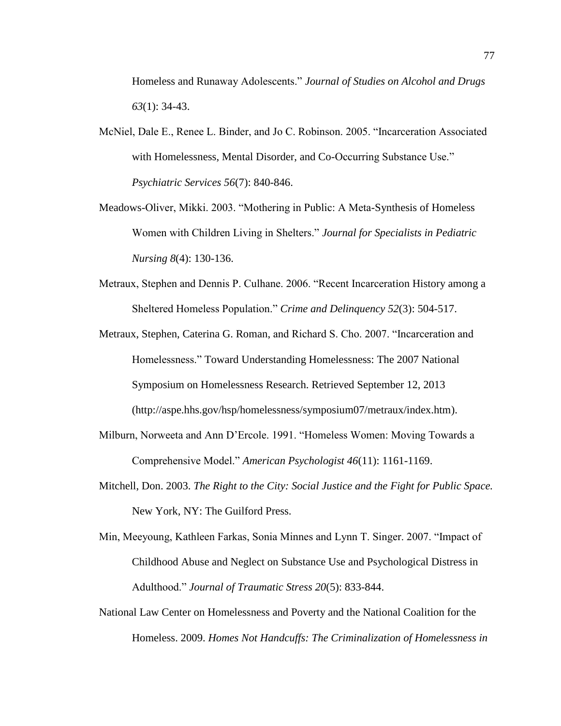Homeless and Runaway Adolescents." *Journal of Studies on Alcohol and Drugs 63*(1): 34-43.

- McNiel, Dale E., Renee L. Binder, and Jo C. Robinson. 2005. "Incarceration Associated with Homelessness, Mental Disorder, and Co-Occurring Substance Use." *Psychiatric Services 56*(7): 840-846.
- Meadows-Oliver, Mikki. 2003. "Mothering in Public: A Meta-Synthesis of Homeless Women with Children Living in Shelters." *Journal for Specialists in Pediatric Nursing 8*(4): 130-136.
- Metraux, Stephen and Dennis P. Culhane. 2006. "Recent Incarceration History among a Sheltered Homeless Population." *Crime and Delinquency 52*(3): 504-517.
- Metraux, Stephen, Caterina G. Roman, and Richard S. Cho. 2007. "Incarceration and Homelessness." Toward Understanding Homelessness: The 2007 National Symposium on Homelessness Research. Retrieved September 12, 2013 (http://aspe.hhs.gov/hsp/homelessness/symposium07/metraux/index.htm).
- Milburn, Norweeta and Ann D'Ercole. 1991. "Homeless Women: Moving Towards a Comprehensive Model." *American Psychologist 46*(11): 1161-1169.
- Mitchell, Don. 2003. *The Right to the City: Social Justice and the Fight for Public Space.*  New York, NY: The Guilford Press.
- Min, Meeyoung, Kathleen Farkas, Sonia Minnes and Lynn T. Singer. 2007. "Impact of Childhood Abuse and Neglect on Substance Use and Psychological Distress in Adulthood." *Journal of Traumatic Stress 20*(5): 833-844.
- National Law Center on Homelessness and Poverty and the National Coalition for the Homeless. 2009. *Homes Not Handcuffs: The Criminalization of Homelessness in*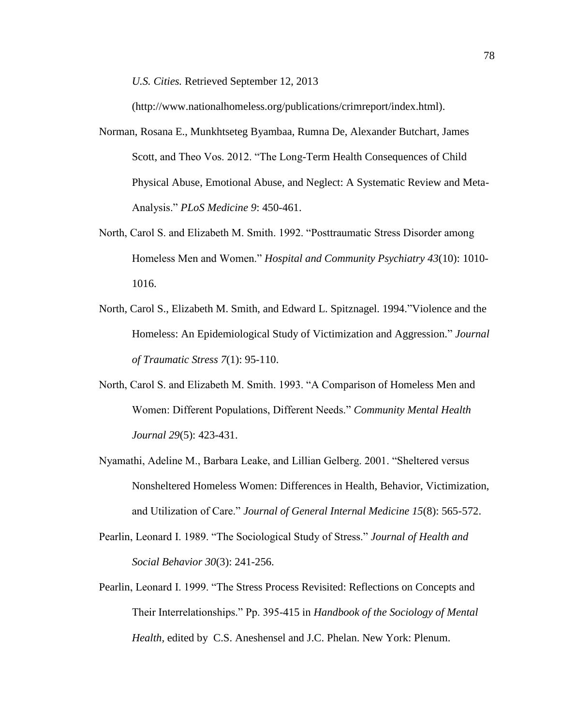*U.S. Cities.* Retrieved September 12, 2013

(http://www.nationalhomeless.org/publications/crimreport/index.html).

- Norman, Rosana E., Munkhtseteg Byambaa, Rumna De, Alexander Butchart, James Scott, and Theo Vos. 2012. "The Long-Term Health Consequences of Child Physical Abuse, Emotional Abuse, and Neglect: A Systematic Review and Meta-Analysis." *PLoS Medicine 9*: 450-461.
- North, Carol S. and Elizabeth M. Smith. 1992. "Posttraumatic Stress Disorder among Homeless Men and Women." *Hospital and Community Psychiatry 43*(10): 1010- 1016.
- North, Carol S., Elizabeth M. Smith, and Edward L. Spitznagel. 1994."Violence and the Homeless: An Epidemiological Study of Victimization and Aggression." *Journal of Traumatic Stress 7*(1): 95-110.
- North, Carol S. and Elizabeth M. Smith. 1993. "A Comparison of Homeless Men and Women: Different Populations, Different Needs." *Community Mental Health Journal 29*(5): 423-431.
- Nyamathi, Adeline M., Barbara Leake, and Lillian Gelberg. 2001. "Sheltered versus Nonsheltered Homeless Women: Differences in Health, Behavior, Victimization, and Utilization of Care." *Journal of General Internal Medicine 15*(8): 565-572.
- Pearlin, Leonard I. 1989. "The Sociological Study of Stress." *Journal of Health and Social Behavior 30*(3): 241-256.
- Pearlin, Leonard I. 1999. "The Stress Process Revisited: Reflections on Concepts and Their Interrelationships." Pp. 395-415 in *Handbook of the Sociology of Mental Health,* edited by C.S. Aneshensel and J.C. Phelan. New York: Plenum.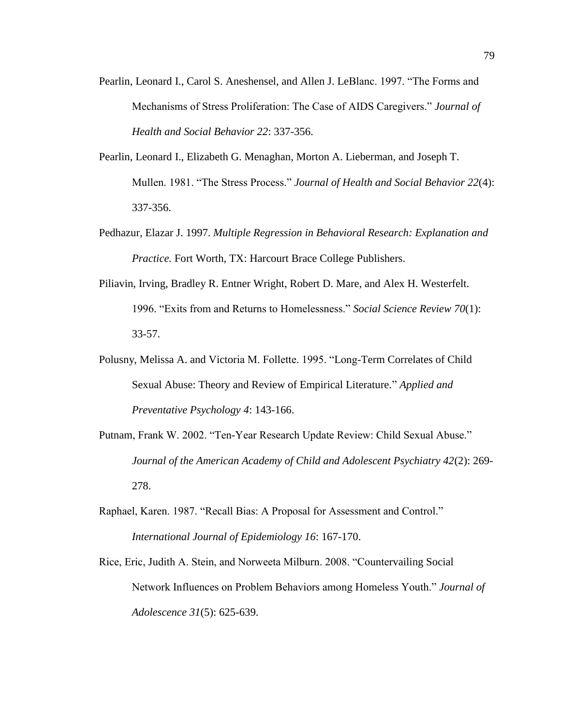- Pearlin, Leonard I., Carol S. Aneshensel, and Allen J. LeBlanc. 1997. "The Forms and Mechanisms of Stress Proliferation: The Case of AIDS Caregivers." *Journal of Health and Social Behavior 22*: 337-356.
- Pearlin, Leonard I., Elizabeth G. Menaghan, Morton A. Lieberman, and Joseph T. Mullen. 1981. "The Stress Process." *Journal of Health and Social Behavior 22*(4): 337-356.
- Pedhazur, Elazar J. 1997. *Multiple Regression in Behavioral Research: Explanation and Practice.* Fort Worth, TX: Harcourt Brace College Publishers.
- Piliavin, Irving, Bradley R. Entner Wright, Robert D. Mare, and Alex H. Westerfelt. 1996. "Exits from and Returns to Homelessness." *Social Science Review 70*(1): 33-57.
- Polusny, Melissa A. and Victoria M. Follette. 1995. "Long-Term Correlates of Child Sexual Abuse: Theory and Review of Empirical Literature." *Applied and Preventative Psychology 4*: 143-166.
- Putnam, Frank W. 2002. "Ten-Year Research Update Review: Child Sexual Abuse." *Journal of the American Academy of Child and Adolescent Psychiatry 42*(2): 269- 278.
- Raphael, Karen. 1987. "Recall Bias: A Proposal for Assessment and Control." *International Journal of Epidemiology 16*: 167-170.
- Rice, Eric, Judith A. Stein, and Norweeta Milburn. 2008. "Countervailing Social Network Influences on Problem Behaviors among Homeless Youth." *Journal of Adolescence 31*(5): 625-639.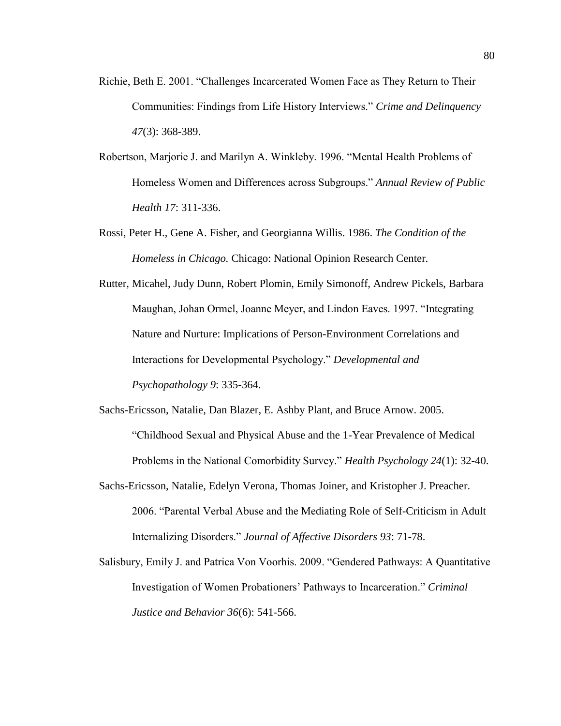- Richie, Beth E. 2001. "Challenges Incarcerated Women Face as They Return to Their Communities: Findings from Life History Interviews." *Crime and Delinquency 47*(3): 368-389.
- Robertson, Marjorie J. and Marilyn A. Winkleby. 1996. "Mental Health Problems of Homeless Women and Differences across Subgroups." *Annual Review of Public Health 17*: 311-336.
- Rossi, Peter H., Gene A. Fisher, and Georgianna Willis. 1986. *The Condition of the Homeless in Chicago.* Chicago: National Opinion Research Center.

Rutter, Micahel, Judy Dunn, Robert Plomin, Emily Simonoff, Andrew Pickels, Barbara Maughan, Johan Ormel, Joanne Meyer, and Lindon Eaves. 1997. "Integrating Nature and Nurture: Implications of Person-Environment Correlations and Interactions for Developmental Psychology." *Developmental and Psychopathology 9*: 335-364.

Sachs-Ericsson, Natalie, Dan Blazer, E. Ashby Plant, and Bruce Arnow. 2005. "Childhood Sexual and Physical Abuse and the 1-Year Prevalence of Medical Problems in the National Comorbidity Survey." *Health Psychology 24*(1): 32-40.

Sachs-Ericsson, Natalie, Edelyn Verona, Thomas Joiner, and Kristopher J. Preacher. 2006. "Parental Verbal Abuse and the Mediating Role of Self-Criticism in Adult Internalizing Disorders." *Journal of Affective Disorders 93*: 71-78.

Salisbury, Emily J. and Patrica Von Voorhis. 2009. "Gendered Pathways: A Quantitative Investigation of Women Probationers' Pathways to Incarceration." *Criminal Justice and Behavior 36*(6): 541-566.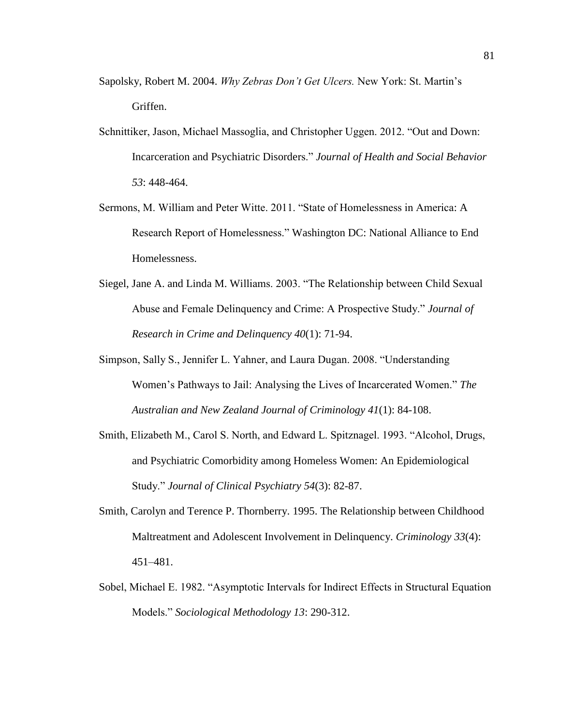- Sapolsky, Robert M. 2004. *Why Zebras Don't Get Ulcers.* New York: St. Martin's Griffen.
- Schnittiker, Jason, Michael Massoglia, and Christopher Uggen. 2012. "Out and Down: Incarceration and Psychiatric Disorders." *Journal of Health and Social Behavior 53*: 448-464.
- Sermons, M. William and Peter Witte. 2011. "State of Homelessness in America: A Research Report of Homelessness." Washington DC: National Alliance to End Homelessness.
- Siegel, Jane A. and Linda M. Williams. 2003. "The Relationship between Child Sexual Abuse and Female Delinquency and Crime: A Prospective Study." *Journal of Research in Crime and Delinquency 40*(1): 71-94.
- Simpson, Sally S., Jennifer L. Yahner, and Laura Dugan. 2008. "Understanding Women's Pathways to Jail: Analysing the Lives of Incarcerated Women." *The Australian and New Zealand Journal of Criminology 41*(1): 84-108.
- Smith, Elizabeth M., Carol S. North, and Edward L. Spitznagel. 1993. "Alcohol, Drugs, and Psychiatric Comorbidity among Homeless Women: An Epidemiological Study." *Journal of Clinical Psychiatry 54*(3): 82-87.
- Smith, Carolyn and Terence P. Thornberry. 1995. The Relationship between Childhood Maltreatment and Adolescent Involvement in Delinquency. *Criminology 33*(4): 451–481.
- Sobel, Michael E. 1982. "Asymptotic Intervals for Indirect Effects in Structural Equation Models." *Sociological Methodology 13*: 290-312.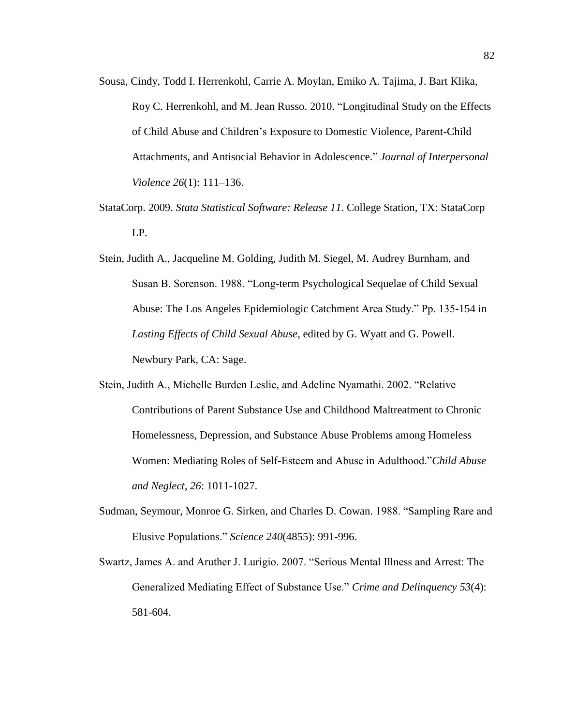- Sousa, Cindy, Todd I. Herrenkohl, Carrie A. Moylan, Emiko A. Tajima, J. Bart Klika, Roy C. Herrenkohl, and M. Jean Russo. 2010. "Longitudinal Study on the Effects of Child Abuse and Children's Exposure to Domestic Violence, Parent-Child Attachments, and Antisocial Behavior in Adolescence." *Journal of Interpersonal Violence 26*(1): 111–136.
- StataCorp. 2009. *Stata Statistical Software: Release 11*. College Station, TX: StataCorp LP.
- Stein, Judith A., Jacqueline M. Golding, Judith M. Siegel, M. Audrey Burnham, and Susan B. Sorenson. 1988. "Long-term Psychological Sequelae of Child Sexual Abuse: The Los Angeles Epidemiologic Catchment Area Study." Pp. 135-154 in *Lasting Effects of Child Sexual Abuse*, edited by G. Wyatt and G. Powell. Newbury Park, CA: Sage.
- Stein, Judith A., Michelle Burden Leslie, and Adeline Nyamathi. 2002. "Relative Contributions of Parent Substance Use and Childhood Maltreatment to Chronic Homelessness, Depression, and Substance Abuse Problems among Homeless Women: Mediating Roles of Self-Esteem and Abuse in Adulthood."*Child Abuse and Neglect, 26*: 1011-1027.
- Sudman, Seymour, Monroe G. Sirken, and Charles D. Cowan. 1988. "Sampling Rare and Elusive Populations." *Science 240*(4855): 991-996.
- Swartz, James A. and Aruther J. Lurigio. 2007. "Serious Mental Illness and Arrest: The Generalized Mediating Effect of Substance Use." *Crime and Delinquency 53*(4): 581-604.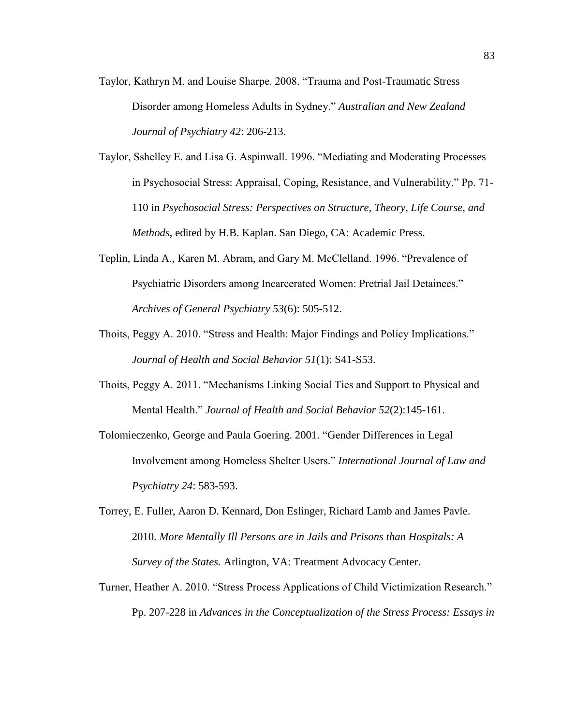- Taylor, Kathryn M. and Louise Sharpe. 2008. "Trauma and Post-Traumatic Stress Disorder among Homeless Adults in Sydney." *Australian and New Zealand Journal of Psychiatry 42*: 206-213.
- Taylor, Sshelley E. and Lisa G. Aspinwall. 1996. "Mediating and Moderating Processes in Psychosocial Stress: Appraisal, Coping, Resistance, and Vulnerability." Pp. 71- 110 in *Psychosocial Stress: Perspectives on Structure, Theory, Life Course, and Methods*, edited by H.B. Kaplan. San Diego, CA: Academic Press.
- Teplin, Linda A., Karen M. Abram, and Gary M. McClelland. 1996. "Prevalence of Psychiatric Disorders among Incarcerated Women: Pretrial Jail Detainees." *Archives of General Psychiatry 53*(6): 505-512.
- Thoits, Peggy A. 2010. "Stress and Health: Major Findings and Policy Implications." *Journal of Health and Social Behavior 51*(1): S41-S53.
- Thoits, Peggy A. 2011. "Mechanisms Linking Social Ties and Support to Physical and Mental Health." *Journal of Health and Social Behavior 52*(2):145-161.
- Tolomieczenko, George and Paula Goering. 2001. "Gender Differences in Legal Involvement among Homeless Shelter Users." *International Journal of Law and Psychiatry 24*: 583-593.
- Torrey, E. Fuller, Aaron D. Kennard, Don Eslinger, Richard Lamb and James Pavle. 2010. *More Mentally Ill Persons are in Jails and Prisons than Hospitals: A Survey of the States.* Arlington, VA: Treatment Advocacy Center.
- Turner, Heather A. 2010. "Stress Process Applications of Child Victimization Research." Pp. 207-228 in *Advances in the Conceptualization of the Stress Process: Essays in*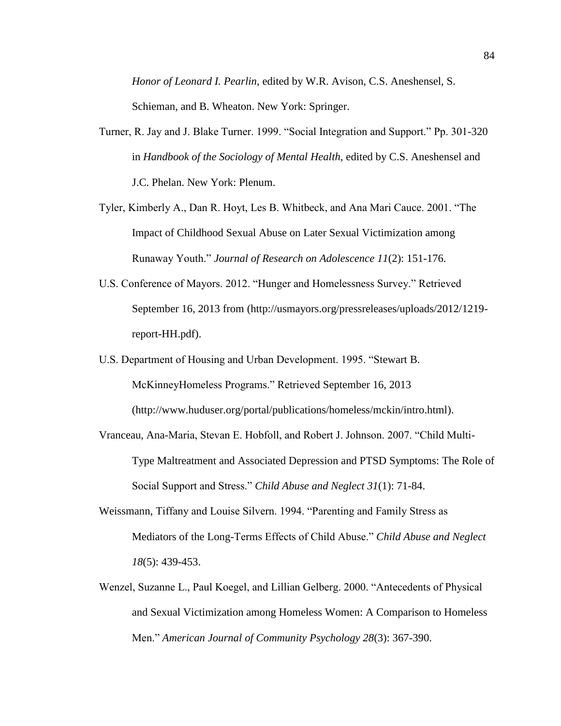*Honor of Leonard I. Pearlin*, edited by W.R. Avison, C.S. Aneshensel, S. Schieman, and B. Wheaton. New York: Springer.

- Turner, R. Jay and J. Blake Turner. 1999. "Social Integration and Support." Pp. 301-320 in *Handbook of the Sociology of Mental Health*, edited by C.S. Aneshensel and J.C. Phelan. New York: Plenum.
- Tyler, Kimberly A., Dan R. Hoyt, Les B. Whitbeck, and Ana Mari Cauce. 2001. "The Impact of Childhood Sexual Abuse on Later Sexual Victimization among Runaway Youth." *Journal of Research on Adolescence 11*(2): 151-176.
- U.S. Conference of Mayors. 2012. "Hunger and Homelessness Survey." Retrieved September 16, 2013 from (http://usmayors.org/pressreleases/uploads/2012/1219 report-HH.pdf).
- U.S. Department of Housing and Urban Development. 1995. "Stewart B. McKinneyHomeless Programs." Retrieved September 16, 2013 (http://www.huduser.org/portal/publications/homeless/mckin/intro.html).
- Vranceau, Ana-Maria, Stevan E. Hobfoll, and Robert J. Johnson. 2007. "Child Multi-Type Maltreatment and Associated Depression and PTSD Symptoms: The Role of Social Support and Stress." *Child Abuse and Neglect 31*(1): 71-84.
- Weissmann, Tiffany and Louise Silvern. 1994. "Parenting and Family Stress as Mediators of the Long-Terms Effects of Child Abuse." *Child Abuse and Neglect 18*(5): 439-453.
- Wenzel, Suzanne L., Paul Koegel, and Lillian Gelberg. 2000. "Antecedents of Physical and Sexual Victimization among Homeless Women: A Comparison to Homeless Men." *American Journal of Community Psychology 28*(3): 367-390.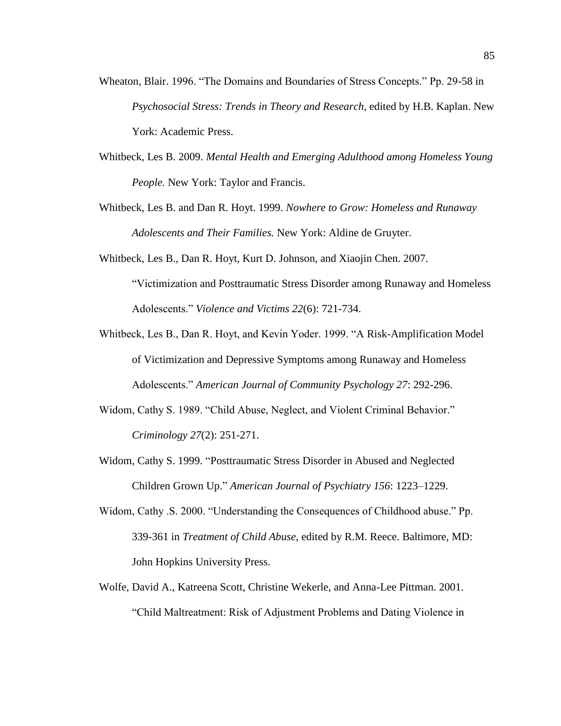- Wheaton, Blair. 1996. "The Domains and Boundaries of Stress Concepts." Pp. 29-58 in *Psychosocial Stress: Trends in Theory and Research*, edited by H.B. Kaplan. New York: Academic Press.
- Whitbeck, Les B. 2009. *Mental Health and Emerging Adulthood among Homeless Young People.* New York: Taylor and Francis.
- Whitbeck, Les B. and Dan R. Hoyt. 1999. *Nowhere to Grow: Homeless and Runaway Adolescents and Their Families.* New York: Aldine de Gruyter.
- Whitbeck, Les B., Dan R. Hoyt, Kurt D. Johnson, and Xiaojin Chen. 2007. "Victimization and Posttraumatic Stress Disorder among Runaway and Homeless Adolescents." *Violence and Victims 22*(6): 721-734.
- Whitbeck, Les B., Dan R. Hoyt, and Kevin Yoder. 1999. "A Risk-Amplification Model of Victimization and Depressive Symptoms among Runaway and Homeless Adolescents." *American Journal of Community Psychology 27*: 292-296.
- Widom, Cathy S. 1989. "Child Abuse, Neglect, and Violent Criminal Behavior." *Criminology 27*(2): 251-271.
- Widom, Cathy S. 1999. "Posttraumatic Stress Disorder in Abused and Neglected Children Grown Up." *American Journal of Psychiatry 156*: 1223–1229.
- Widom, Cathy .S. 2000. "Understanding the Consequences of Childhood abuse." Pp. 339-361 in *Treatment of Child Abuse*, edited by R.M. Reece. Baltimore, MD: John Hopkins University Press.
- Wolfe, David A., Katreena Scott, Christine Wekerle, and Anna-Lee Pittman. 2001. "Child Maltreatment: Risk of Adjustment Problems and Dating Violence in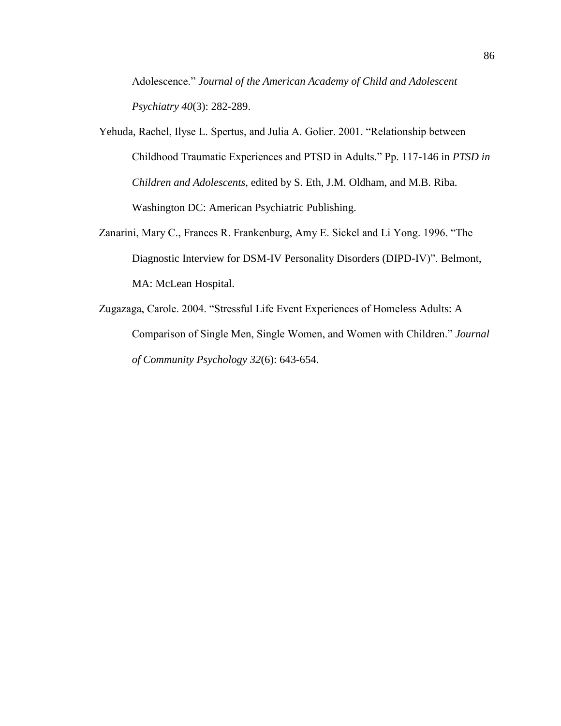Adolescence." *Journal of the American Academy of Child and Adolescent Psychiatry 40*(3): 282-289.

- Yehuda, Rachel, Ilyse L. Spertus, and Julia A. Golier. 2001. "Relationship between Childhood Traumatic Experiences and PTSD in Adults." Pp. 117-146 in *PTSD in Children and Adolescents,* edited by S. Eth, J.M. Oldham, and M.B. Riba. Washington DC: American Psychiatric Publishing.
- Zanarini, Mary C., Frances R. Frankenburg, Amy E. Sickel and Li Yong. 1996. "The Diagnostic Interview for DSM-IV Personality Disorders (DIPD-IV)". Belmont, MA: McLean Hospital.
- Zugazaga, Carole. 2004. "Stressful Life Event Experiences of Homeless Adults: A Comparison of Single Men, Single Women, and Women with Children." *Journal of Community Psychology 32*(6): 643-654.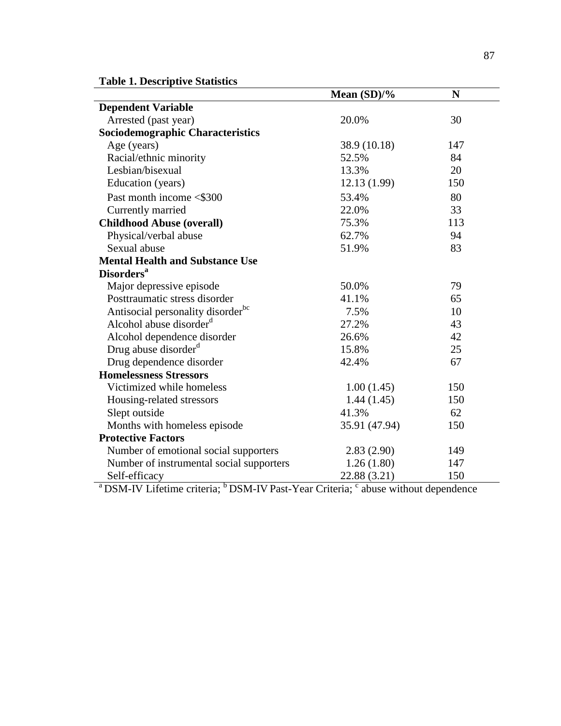**Table 1. Descriptive Statistics**

|                                               | Mean $(SD)/\%$ | N   |
|-----------------------------------------------|----------------|-----|
| <b>Dependent Variable</b>                     |                |     |
| Arrested (past year)                          | 20.0%          | 30  |
| <b>Sociodemographic Characteristics</b>       |                |     |
| Age (years)                                   | 38.9 (10.18)   | 147 |
| Racial/ethnic minority                        | 52.5%          | 84  |
| Lesbian/bisexual                              | 13.3%          | 20  |
| Education (years)                             | 12.13(1.99)    | 150 |
| Past month income <\$300                      | 53.4%          | 80  |
| Currently married                             | 22.0%          | 33  |
| <b>Childhood Abuse (overall)</b>              | 75.3%          | 113 |
| Physical/verbal abuse                         | 62.7%          | 94  |
| Sexual abuse                                  | 51.9%          | 83  |
| <b>Mental Health and Substance Use</b>        |                |     |
| <b>Disorders<sup>a</sup></b>                  |                |     |
| Major depressive episode                      | 50.0%          | 79  |
| Posttraumatic stress disorder                 | 41.1%          | 65  |
| Antisocial personality disorder <sup>bc</sup> | 7.5%           | 10  |
| Alcohol abuse disorder <sup>d</sup>           | 27.2%          | 43  |
| Alcohol dependence disorder                   | 26.6%          | 42  |
| Drug abuse disorder <sup>d</sup>              | 15.8%          | 25  |
| Drug dependence disorder                      | 42.4%          | 67  |
| <b>Homelessness Stressors</b>                 |                |     |
| Victimized while homeless                     | 1.00(1.45)     | 150 |
| Housing-related stressors                     | 1.44(1.45)     | 150 |
| Slept outside                                 | 41.3%          | 62  |
| Months with homeless episode                  | 35.91 (47.94)  | 150 |
| <b>Protective Factors</b>                     |                |     |
| Number of emotional social supporters         | 2.83(2.90)     | 149 |
| Number of instrumental social supporters      | 1.26(1.80)     | 147 |
| Self-efficacy                                 | 22.88 (3.21)   | 150 |

<sup>a</sup> DSM-IV Lifetime criteria; <sup>b</sup> DSM-IV Past-Year Criteria; <sup>c</sup> abuse without dependence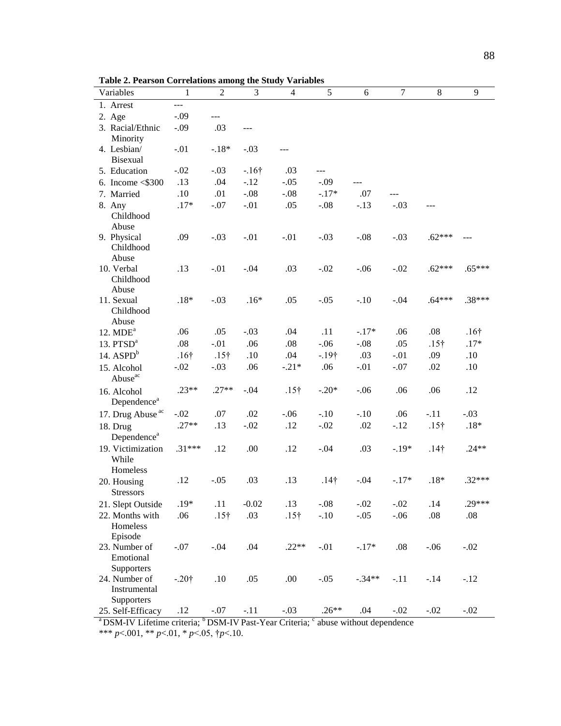**Table 2. Pearson Correlations among the Study Variables**

| Variables                                                      | 1            | $\overline{2}$               | 3       | $\overline{4}$ | 5            | 6        | $\tau$  | $\,8\,$      | 9            |
|----------------------------------------------------------------|--------------|------------------------------|---------|----------------|--------------|----------|---------|--------------|--------------|
| 1. Arrest                                                      | <u></u>      |                              |         |                |              |          |         |              |              |
| 2. Age                                                         | $-.09$       | $\overline{a}$               |         |                |              |          |         |              |              |
| 3. Racial/Ethnic<br>Minority                                   | $-.09$       | .03                          | ---     |                |              |          |         |              |              |
| 4. Lesbian/<br>Bisexual                                        | $-.01$       | $-.18*$                      | $-.03$  |                |              |          |         |              |              |
| 5. Education                                                   | $-.02$       | $-.03$                       | $-16†$  | .03            | ---          |          |         |              |              |
| 6. Income $\leq$ \$300                                         | .13          | .04                          | $-.12$  | $-.05$         | $-.09$       |          |         |              |              |
| 7. Married                                                     | .10          | .01                          | $-.08$  | $-.08$         | $-.17*$      | .07      | ---     |              |              |
| 8. Any<br>Childhood<br>Abuse                                   | $.17*$       | $-.07$                       | $-.01$  | .05            | $-.08$       | $-.13$   | $-.03$  |              |              |
| 9. Physical<br>Childhood<br>Abuse                              | .09          | $-.03$                       | $-.01$  | $-.01$         | $-.03$       | $-.08$   | $-.03$  | $.62***$     |              |
| 10. Verbal<br>Childhood<br>Abuse                               | .13          | $-.01$                       | $-.04$  | .03            | $-.02$       | $-.06$   | $-.02$  | $.62***$     | $.65***$     |
| 11. Sexual<br>Childhood<br>Abuse                               | $.18*$       | $-.03$                       | $.16*$  | .05            | $-.05$       | $-.10$   | $-.04$  | $.64***$     | $.38***$     |
| $12. \text{ MDE}^a$                                            | .06          | .05                          | $-.03$  | .04            | .11          | $-.17*$  | .06     | .08          | $.16\dagger$ |
| 13. PTSD <sup>a</sup>                                          | .08          | $-.01$                       | .06     | .08            | $-.06$       | $-.08$   | .05     | $.15\dagger$ | $.17*$       |
| 14. $ASPDb$                                                    | $.16\dagger$ | $.15\dagger$                 | .10     | .04            | $-19†$       | .03      | $-.01$  | .09          | .10          |
| 15. Alcohol<br>Abuse <sup>ac</sup>                             | $-.02$       | $-.03$                       | .06     | $-.21*$        | .06          | $-.01$   | $-.07$  | .02          | .10          |
| 16. Alcohol<br>Dependence <sup>a</sup>                         | $.23**$      | $.27**$                      | $-.04$  | $.15\dagger$   | $-.20*$      | $-.06$   | .06     | .06          | .12          |
| 17. Drug Abuse <sup>ac</sup>                                   | $-.02$       | .07                          | .02     | $-.06$         | $-.10$       | $-.10$   | .06     | $-.11$       | $-.03$       |
| 18. Drug<br>Dependence <sup>a</sup>                            | $.27**$      | .13                          | $-.02$  | .12            | $-.02$       | .02      | $-.12$  | $.15\dagger$ | $.18*$       |
| 19. Victimization<br>While<br>Homeless                         | $.31***$     | .12                          | .00     | .12            | $-.04$       | .03      | $-.19*$ | $.14\dagger$ | $.24**$      |
| 20. Housing<br><b>Stressors</b>                                | .12          | $-.05$                       | .03     | .13            | $.14\dagger$ | $-.04$   | $-.17*$ | $.18*$       | $.32***$     |
| 21. Slept Outside                                              | $.19*$       | .11                          | $-0.02$ | .13            | $-.08$       | $-.02$   | $-.02$  | .14          | .29***       |
| 22. Months with<br>Homeless<br>Episode                         | .06          | $.15\dagger$                 | .03     | $.15\dagger$   | $-.10$       | $-.05$   | $-.06$  | .08          | .08          |
| 23. Number of<br>Emotional                                     | $-.07$       | $-.04$                       | .04     | $.22**$        | $-.01$       | $-.17*$  | $.08\,$ | $-.06$       | $-.02$       |
| Supporters<br>24. Number of<br>Instrumental                    | $-.20†$      | .10                          | .05     | .00.           | $-.05$       | $-.34**$ | $-.11$  | $-.14$       | $-.12$       |
| Supporters<br>25. Self-Efficacy<br>$3 \text{max}$ $\mathbf{W}$ | .12          | $-.07$<br>$b$ DOM $\epsilon$ | $-.11$  | $-.03$         | $.26**$      | .04      | $-.02$  | $-.02$       | $-.02$       |

 $a<sup>a</sup>$ DSM-IV Lifetime criteria;  $b<sup>b</sup>$ DSM-IV Past-Year Criteria;  $c<sup>c</sup>$  abuse without dependence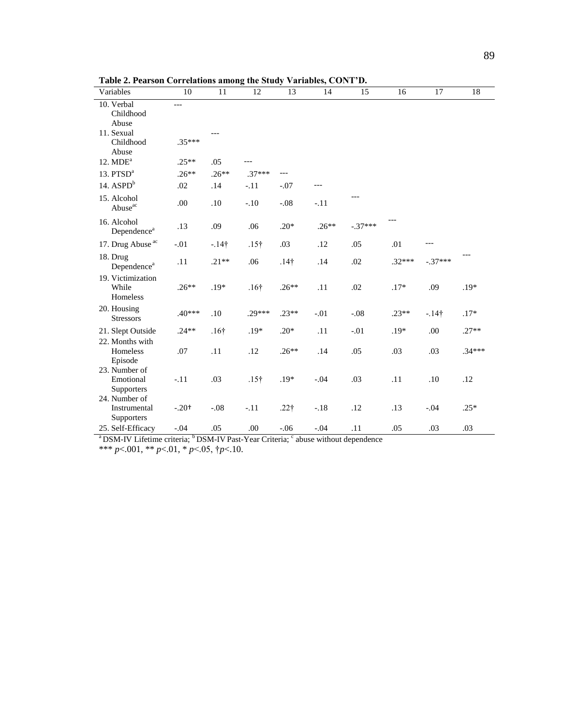| Variables                                   | $10\,$   | $11\,$           | 12           | 13           | 14      | 15        | $\overline{16}$ | $\overline{17}$ | 18       |
|---------------------------------------------|----------|------------------|--------------|--------------|---------|-----------|-----------------|-----------------|----------|
| 10. Verbal<br>Childhood<br>Abuse            |          |                  |              |              |         |           |                 |                 |          |
| 11. Sexual<br>Childhood<br>Abuse            | $.35***$ |                  |              |              |         |           |                 |                 |          |
| $12. \text{ MDE}^a$                         | $.25**$  | .05              |              |              |         |           |                 |                 |          |
| 13. $PTSDa$                                 | $.26**$  | $.26**$          | $.37***$     | ---          |         |           |                 |                 |          |
| 14. $ASPDb$                                 | .02      | .14              | $-.11$       | $-.07$       |         |           |                 |                 |          |
| 15. Alcohol<br>Abuse <sup>ac</sup>          | .00      | .10              | $-.10$       | $-.08$       | $-.11$  |           |                 |                 |          |
| 16. Alcohol<br>Dependence <sup>a</sup>      | .13      | .09              | .06          | $.20*$       | $.26**$ | $-.37***$ |                 |                 |          |
| 17. Drug Abuse <sup>ac</sup>                | $-.01$   | $-14$ †          | $.15\dagger$ | .03          | .12     | .05       | .01             | ---             |          |
| 18. Drug<br>Dependence <sup>a</sup>         | .11      | $.21**$          | .06          | $.14\dagger$ | .14     | .02       | $.32***$        | $-.37***$       |          |
| 19. Victimization<br>While<br>Homeless      | $.26**$  | $.19*$           | $.16\dagger$ | $.26**$      | .11     | .02       | $.17*$          | .09             | $.19*$   |
| 20. Housing<br><b>Stressors</b>             | $.40***$ | .10              | $.29***$     | $.23**$      | $-.01$  | $-.08$    | $.23**$         | $-14$ †         | $.17*$   |
| 21. Slept Outside                           | $.24**$  | .16 <sup>†</sup> | $.19*$       | $.20*$       | .11     | $-.01$    | $.19*$          | .00             | $.27**$  |
| 22. Months with<br>Homeless<br>Episode      | .07      | .11              | .12          | $.26**$      | .14     | .05       | .03             | .03             | $.34***$ |
| 23. Number of<br>Emotional<br>Supporters    | $-.11$   | .03              | $.15\dagger$ | $.19*$       | $-.04$  | .03       | .11             | .10             | .12      |
| 24. Number of<br>Instrumental<br>Supporters | $-.20+$  | $-.08$           | $-.11$       | $.22\dagger$ | $-.18$  | .12       | .13             | $-.04$          | $.25*$   |
| 25. Self-Efficacy                           | $-.04$   | .05              | .00.         | $-.06$       | $-.04$  | .11       | .05             | .03             | .03      |

**Table 2. Pearson Correlations among the Study Variables, CONT'D.**

 $a^{a}$ DSM-IV Lifetime criteria;  $b^{b}$ DSM-IV Past-Year Criteria;  $c^{c}$  abuse without dependence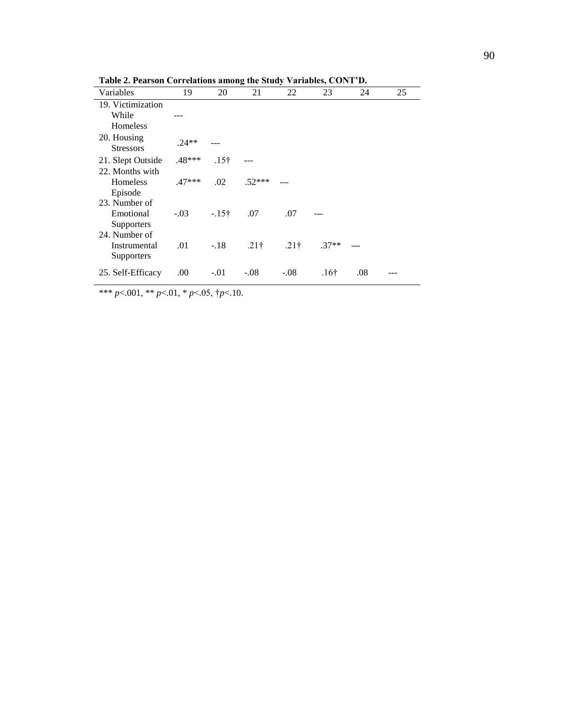| Variables                                     | 19       | 20               | 21           | 22               | 23               | 24  | 25 |
|-----------------------------------------------|----------|------------------|--------------|------------------|------------------|-----|----|
| 19. Victimization<br>While<br>Homeless        |          |                  |              |                  |                  |     |    |
| 20. Housing<br><b>Stressors</b>               | $.24**$  |                  |              |                  |                  |     |    |
| 21. Slept Outside                             | .48***   | .15 <sup>†</sup> |              |                  |                  |     |    |
| 22. Months with<br><b>Homeless</b><br>Episode | $.47***$ | .02              | $.52***$     |                  |                  |     |    |
| 23. Number of<br>Emotional<br>Supporters      | $-0.03$  | $-15$ †          | .07          | .07              |                  |     |    |
| 24. Number of<br>Instrumental<br>Supporters   | .01      | $-.18$           | $.21\dagger$ | .21 <sup>†</sup> | $.37**$          |     |    |
| 25. Self-Efficacy                             | .00.     | $-.01$           | $-.08$       | $-.08$           | .16 <sup>†</sup> | .08 |    |

**Table 2. Pearson Correlations among the Study Variables, CONT'D.**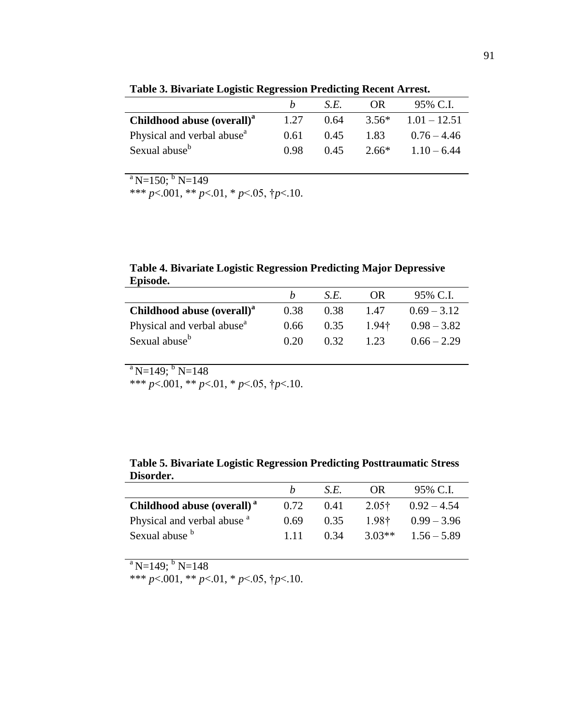|                                        | h    | S.E. | OR.     | 95% C.L        |
|----------------------------------------|------|------|---------|----------------|
| Childhood abuse (overall) <sup>a</sup> | 1.27 | 0.64 | $3.56*$ | $1.01 - 12.51$ |
| Physical and verbal abuse <sup>a</sup> | 0.61 | 0.45 | 1.83    | $0.76 - 4.46$  |
| Sexual abuse <sup>b</sup>              | 0.98 | 0.45 | 2.66*   | $1.10 - 6.44$  |

**Table 3. Bivariate Logistic Regression Predicting Recent Arrest.** 

 $a$  N=150; <sup>b</sup> N=149

\*\*\* *p*<.001, \*\* *p*<.01, \* *p*<.05, †*p*<.10.

**Table 4. Bivariate Logistic Regression Predicting Major Depressive Episode.** 

| <b>Episouc.</b>                        |      |      |                     |               |
|----------------------------------------|------|------|---------------------|---------------|
|                                        |      | S.E. | OR.                 | 95% C.I.      |
| Childhood abuse (overall) <sup>a</sup> | 0.38 | 0.38 | 1.47                | $0.69 - 3.12$ |
| Physical and verbal abuse <sup>a</sup> | 0.66 | 0.35 | $1.94$ <sup>†</sup> | $0.98 - 3.82$ |
| Sexual abuse <sup>b</sup>              | 0.20 | 0.32 | 1.23                | $0.66 - 2.29$ |

 $a^{a}$ N=149; <sup>b</sup> N=148

\*\*\* *p*<.001, \*\* *p*<.01, \* *p*<.05, †*p*<.10.

**Table 5. Bivariate Logistic Regression Predicting Posttraumatic Stress Disorder.**

|                                        |       | S.E. | OR.      | 95% C.I.      |
|----------------------------------------|-------|------|----------|---------------|
| Childhood abuse (overall) <sup>a</sup> | 0.72  | 0.41 | $2.05$ † | $0.92 - 4.54$ |
| Physical and verbal abuse <sup>a</sup> | 0.69  | 0.35 | 198†     | $0.99 - 3.96$ |
| Sexual abuse b                         | 1 1 1 | 0.34 | $3.03**$ | $1.56 - 5.89$ |

 $a$  N=149; <sup>b</sup> N=148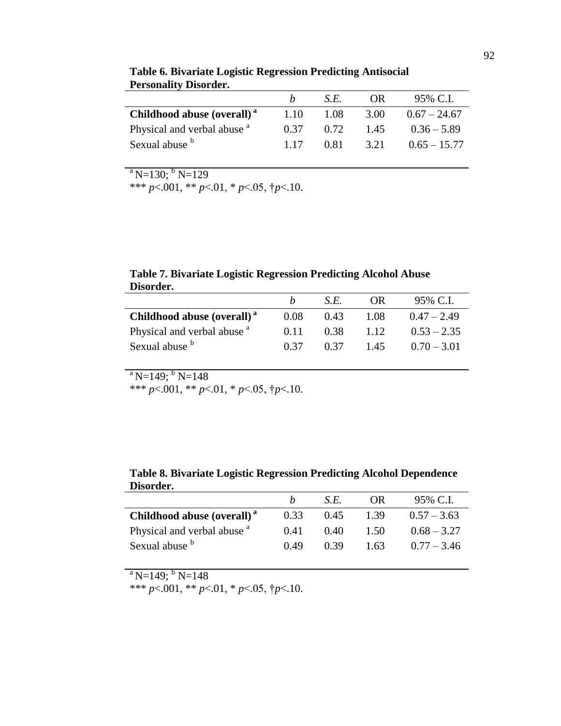|                                        |       | SE.  | OR.  | 95% C.L        |
|----------------------------------------|-------|------|------|----------------|
| Childhood abuse (overall) <sup>a</sup> | 1.10  | 1.08 | 3.00 | $0.67 - 24.67$ |
| Physical and verbal abuse <sup>a</sup> | 0.37  | 0.72 | 1.45 | $0.36 - 5.89$  |
| Sexual abuse b                         | 1 1 7 | 0.81 | 3.21 | $0.65 - 15.77$ |

**Table 6. Bivariate Logistic Regression Predicting Antisocial Personality Disorder.** 

 $a$  N=130;  $b$  N=129

\*\*\* *p*<.001, \*\* *p*<.01, \* *p*<.05, †*p*<.10.

**Table 7. Bivariate Logistic Regression Predicting Alcohol Abuse Disorder.**

|                                        | h    | S.E. | OR.  | 95% C.I.      |
|----------------------------------------|------|------|------|---------------|
| Childhood abuse (overall) <sup>a</sup> | 0.08 | 0.43 | 1.08 | $0.47 - 2.49$ |
| Physical and verbal abuse <sup>a</sup> | 0.11 | 0.38 | 1.12 | $0.53 - 2.35$ |
| Sexual abuse b                         | 0.37 | 0.37 | 1.45 | $0.70 - 3.01$ |

 $a$  N=149; <sup>b</sup> N=148

\*\*\* *p*<.001, \*\* *p*<.01, \* *p*<.05,  $\uparrow$ *p*<.10.

| Table 8. Bivariate Logistic Regression Predicting Alcohol Dependence |  |
|----------------------------------------------------------------------|--|
| Disorder.                                                            |  |

|                                        |      | S.E. | OR.  | 95% C.I.      |
|----------------------------------------|------|------|------|---------------|
| Childhood abuse (overall) <sup>a</sup> | 0.33 | 0.45 | 1.39 | $0.57 - 3.63$ |
| Physical and verbal abuse <sup>a</sup> | 0.41 | 0.40 | 1.50 | $0.68 - 3.27$ |
| Sexual abuse b                         | 0.49 | 0.39 | 1.63 | $0.77 - 3.46$ |

 $a$  N=149; <sup>b</sup> N=148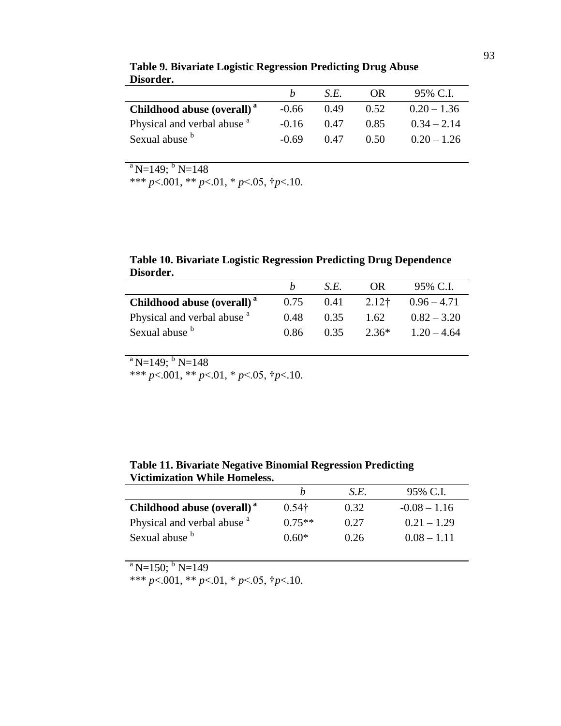|                                        | h       | S.E. | OR.  | 95% C.I.      |
|----------------------------------------|---------|------|------|---------------|
| Childhood abuse (overall) <sup>a</sup> | $-0.66$ | 0.49 | 0.52 | $0.20 - 1.36$ |
| Physical and verbal abuse <sup>a</sup> | $-0.16$ | 0.47 | 0.85 | $0.34 - 2.14$ |
| Sexual abuse b                         | $-0.69$ | 0.47 | 0.50 | $0.20 - 1.26$ |

**Table 9. Bivariate Logistic Regression Predicting Drug Abuse Disorder.**

 $a$  N=149; <sup>b</sup> N=148

\*\*\* *p*<.001, \*\* *p*<.01, \* *p*<.05,  $\uparrow p$ <.10.

**Table 10. Bivariate Logistic Regression Predicting Drug Dependence Disorder.**

|                                        |      | SE.  | OR.   | 95% C.I.      |
|----------------------------------------|------|------|-------|---------------|
| Childhood abuse (overall) <sup>a</sup> | 0.75 | 0.41 | 2.12† | $0.96 - 4.71$ |
| Physical and verbal abuse <sup>a</sup> | 0.48 | 0.35 | 1.62  | $0.82 - 3.20$ |
| Sexual abuse b                         | 0.86 | 0.35 | 2.36* | $1.20 - 4.64$ |

 $a$  N=149; <sup>b</sup> N=148

\*\*\* *p*<.001, \*\* *p*<.01, \* *p*<.05, †*p*<.10.

| Table 11. Bivariate Negative Binomial Regression Predicting |
|-------------------------------------------------------------|
| <b>Victimization While Homeless.</b>                        |

|                                        | h             | S.E. | 95% C.I.       |
|----------------------------------------|---------------|------|----------------|
| Childhood abuse (overall) <sup>a</sup> | $0.54\dagger$ | 0.32 | $-0.08 - 1.16$ |
| Physical and verbal abuse <sup>a</sup> | $0.75**$      | 0.27 | $0.21 - 1.29$  |
| Sexual abuse b                         | $0.60*$       | 0.26 | $0.08 - 1.11$  |

 $a$  N=150; <sup>b</sup> N=149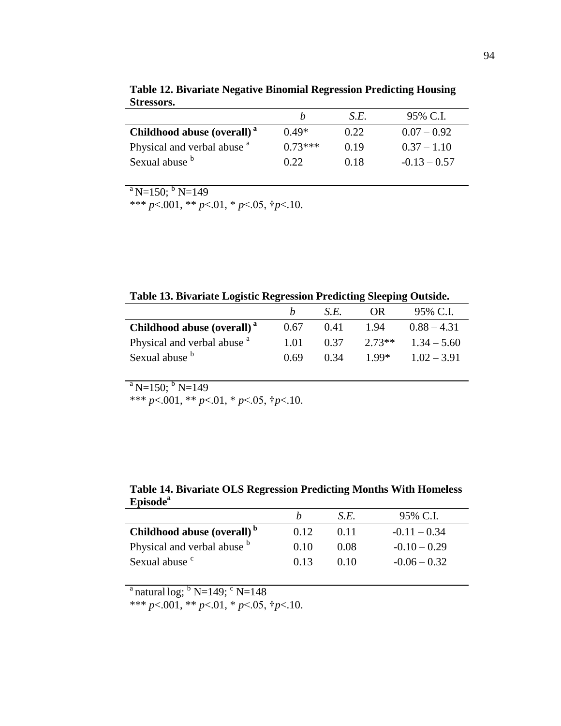|                                        |           | S.E. | 95% C.L        |
|----------------------------------------|-----------|------|----------------|
| Childhood abuse (overall) <sup>a</sup> | $0.49*$   | 0.22 | $0.07 - 0.92$  |
| Physical and verbal abuse <sup>a</sup> | $0.73***$ | 0.19 | $0.37 - 1.10$  |
| Sexual abuse b                         | 0.22.     | 0.18 | $-0.13 - 0.57$ |

**Table 12. Bivariate Negative Binomial Regression Predicting Housing Stressors.** 

 $a^{a}$ N=150; <sup>b</sup> N=149

\*\*\* *p*<.001, \*\* *p*<.01, \* *p*<.05, †*p*<.10.

|  | Table 13. Bivariate Logistic Regression Predicting Sleeping Outside. |  |  |
|--|----------------------------------------------------------------------|--|--|
|  |                                                                      |  |  |

|                                        |      | S.E. | OR.      | 95% C.L       |
|----------------------------------------|------|------|----------|---------------|
| Childhood abuse (overall) <sup>a</sup> | 0.67 | 0.41 | 1.94     | $0.88 - 4.31$ |
| Physical and verbal abuse <sup>a</sup> | 1.01 | 0.37 | $2.73**$ | $1.34 - 5.60$ |
| Sexual abuse b                         | 0.69 | 0.34 | 1.99*    | $1.02 - 3.91$ |

 $a$  N=150; <sup>b</sup> N=149

\*\*\* *p*<.001, \*\* *p*<.01, \* *p*<.05,  $\uparrow$ *p*<.10.

|      | S.E. | 95% C.L        |
|------|------|----------------|
| 0.12 | 0.11 | $-0.11 - 0.34$ |
| 0.10 | 0.08 | $-0.10 - 0.29$ |
| 0.13 | 0.10 | $-0.06 - 0.32$ |
|      |      |                |

**Table 14. Bivariate OLS Regression Predicting Months With Homeless Episode<sup>a</sup>**

<sup>a</sup> natural log;  $^{\rm b}$  N=149;  $^{\rm c}$  N=148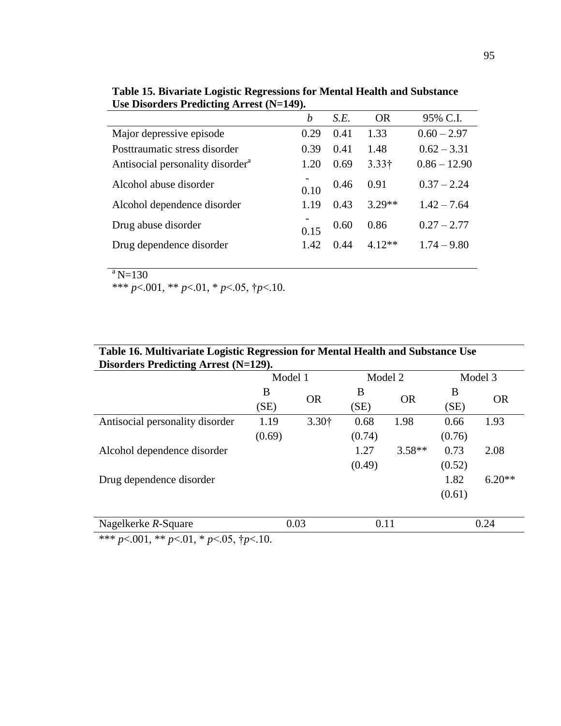|                                              | $\overline{C}$ Disorders I reducting Arrest $(15-142)$ . |      |               |                |  |  |  |
|----------------------------------------------|----------------------------------------------------------|------|---------------|----------------|--|--|--|
|                                              | $\boldsymbol{b}$                                         | S.E. | <b>OR</b>     | 95% C.I.       |  |  |  |
| Major depressive episode                     | 0.29                                                     | 0.41 | 1.33          | $0.60 - 2.97$  |  |  |  |
| Posttraumatic stress disorder                | 0.39                                                     | 0.41 | 1.48          | $0.62 - 3.31$  |  |  |  |
| Antisocial personality disorder <sup>a</sup> | 1.20                                                     | 0.69 | $3.33\dagger$ | $0.86 - 12.90$ |  |  |  |
| Alcohol abuse disorder                       | 0.10                                                     | 0.46 | 0.91          | $0.37 - 2.24$  |  |  |  |
| Alcohol dependence disorder                  | 1.19                                                     | 0.43 | $3.29**$      | $1.42 - 7.64$  |  |  |  |
| Drug abuse disorder                          | 0.15                                                     | 0.60 | 0.86          | $0.27 - 2.77$  |  |  |  |
| Drug dependence disorder                     | 1.42                                                     | 0.44 | $4.12**$      | $1.74 - 9.80$  |  |  |  |
|                                              |                                                          |      |               |                |  |  |  |

**Table 15. Bivariate Logistic Regressions for Mental Health and Substance Use Disorders Predicting Arrest (N=149).**

95

 $a_{N=130}$ 

| Table 16. Multivariate Logistic Regression for Mental Health and Substance Use |         |           |         |           |         |           |  |  |  |
|--------------------------------------------------------------------------------|---------|-----------|---------|-----------|---------|-----------|--|--|--|
| Disorders Predicting Arrest (N=129).                                           |         |           |         |           |         |           |  |  |  |
|                                                                                | Model 1 |           | Model 2 |           | Model 3 |           |  |  |  |
|                                                                                | B       |           | B       |           | B       |           |  |  |  |
|                                                                                | (SE)    | <b>OR</b> | (SE)    | <b>OR</b> | (SE)    | <b>OR</b> |  |  |  |
| Antisocial personality disorder                                                | 1.19    | 3.30†     | 0.68    | 1.98      | 0.66    | 1.93      |  |  |  |
|                                                                                | (0.69)  |           | (0.74)  |           | (0.76)  |           |  |  |  |
| Alcohol dependence disorder                                                    |         |           | 1.27    | $3.58**$  | 0.73    | 2.08      |  |  |  |
|                                                                                |         |           | (0.49)  |           | (0.52)  |           |  |  |  |
| Drug dependence disorder                                                       |         |           |         |           | 1.82    | $6.20**$  |  |  |  |
|                                                                                |         |           |         |           | (0.61)  |           |  |  |  |
| Nagelkerke R-Square                                                            |         | 0.03      | 0.11    |           |         | 0.24      |  |  |  |
| *** $p<.001$ , ** $p<.01$ , * $p<.05$ , $\dagger p<.10$ .                      |         |           |         |           |         |           |  |  |  |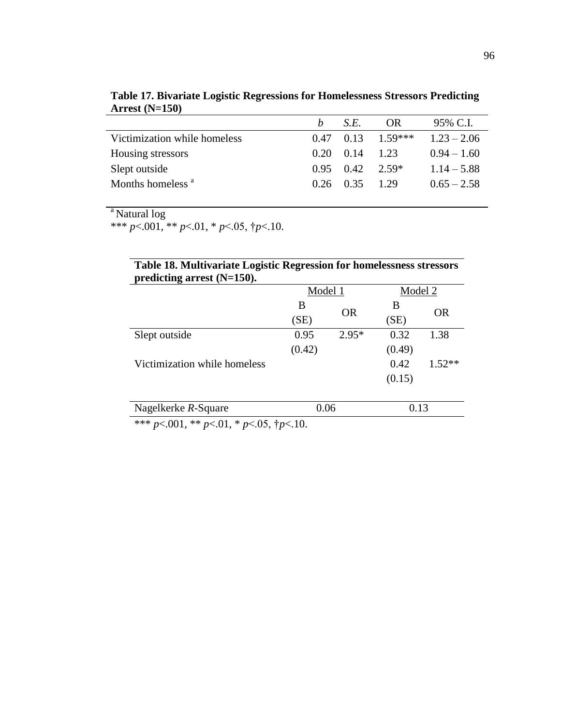| ALLESL $(19-130)$            |      |                    |           |               |
|------------------------------|------|--------------------|-----------|---------------|
|                              |      | S.E.               | OR.       | 95% C.I.      |
| Victimization while homeless | 0.47 | 0.13               | $1.59***$ | $1.23 - 2.06$ |
| Housing stressors            | 0.20 | 0.14               | 1 23      | $0.94 - 1.60$ |
| Slept outside                | 0.95 | $0.42 \quad 2.59*$ |           | $1.14 - 5.88$ |
| Months homeless <sup>a</sup> |      | $0.26 \quad 0.35$  | 1.29      | $0.65 - 2.58$ |
|                              |      |                    |           |               |

**Table 17. Bivariate Logistic Regressions for Homelessness Stressors Predicting Arrest (N=150)**

<sup>a</sup> Natural log

\*\*\*  $p<.001$ , \*\*  $p<.01$ , \*  $p<.05$ ,  $\dagger p<.10$ .

| Table 18. Multivariate Logistic Regression for homelessness stressors |  |
|-----------------------------------------------------------------------|--|
| predicting arrest $(N=150)$ .                                         |  |

|                              | Model 1 |           | Model 2 |           |
|------------------------------|---------|-----------|---------|-----------|
|                              | B       | <b>OR</b> | В       |           |
|                              | (SE)    |           | (SE)    | <b>OR</b> |
| Slept outside                | 0.95    | $2.95*$   | 0.32    | 1.38      |
|                              | (0.42)  |           | (0.49)  |           |
| Victimization while homeless |         |           | 0.42    | $1.52**$  |
|                              |         |           | (0.15)  |           |
|                              |         |           |         |           |
| Nagelkerke R-Square          | 0.06    |           | 0.13    |           |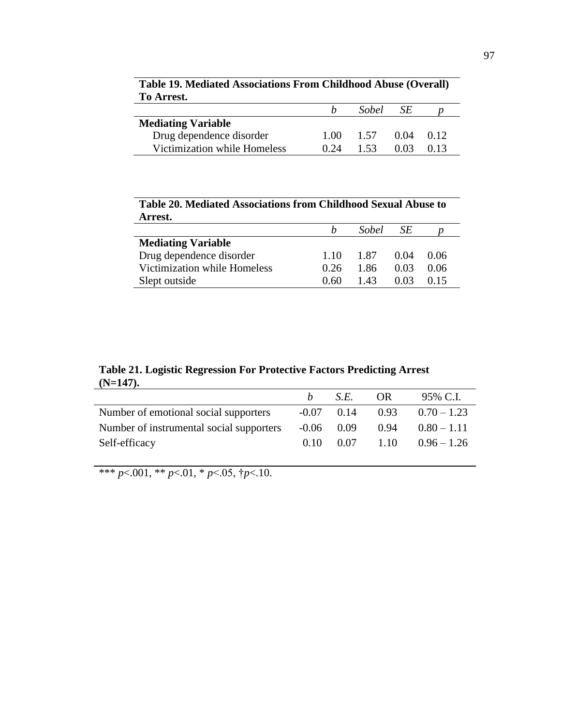|      | <i>Sobel</i> | SE   |      |  |
|------|--------------|------|------|--|
|      |              |      |      |  |
| 1.00 | 1.57         | 0.04 | 0.12 |  |
| 0.24 | 1.53         | 0.03 | 0.13 |  |
|      |              |      |      |  |

**Table 19. Mediated Associations From Childhood Abuse (Overall) To Arrest.**

**Table 20. Mediated Associations from Childhood Sexual Abuse to Arrest.**

| 711 LOL.                     |      |       |      |      |
|------------------------------|------|-------|------|------|
|                              |      | Sobel | SE   |      |
| <b>Mediating Variable</b>    |      |       |      |      |
| Drug dependence disorder     | 1.10 | 1.87  | 0.04 | 0.06 |
| Victimization while Homeless | 0.26 | 1.86  | 0.03 | 0.06 |
| Slept outside                | 0.60 | 1.43  | 0.03 | 0.15 |

**Table 21. Logistic Regression For Protective Factors Predicting Arrest (N=147).**

|                                          | $\mathbf{h}$ | S.E.         | OR. | 95% C.I.                                       |
|------------------------------------------|--------------|--------------|-----|------------------------------------------------|
| Number of emotional social supporters    |              |              |     | $-0.07$ 0.14 0.93 0.70 - 1.23                  |
| Number of instrumental social supporters |              | $-0.06$ 0.09 |     | $0.94$ $0.80 - 1.11$                           |
| Self-efficacy                            |              |              |     | $0.10 \quad 0.07 \quad 1.10 \quad 0.96 - 1.26$ |
|                                          |              |              |     |                                                |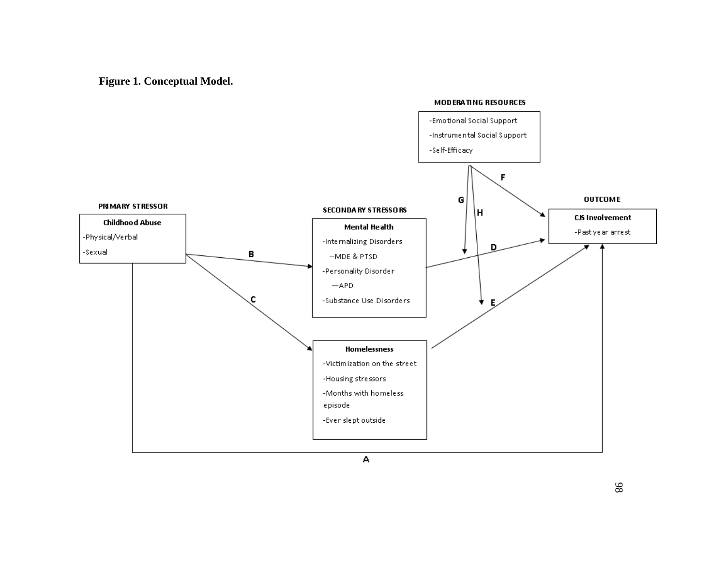**Figure 1. Conceptual Model.**

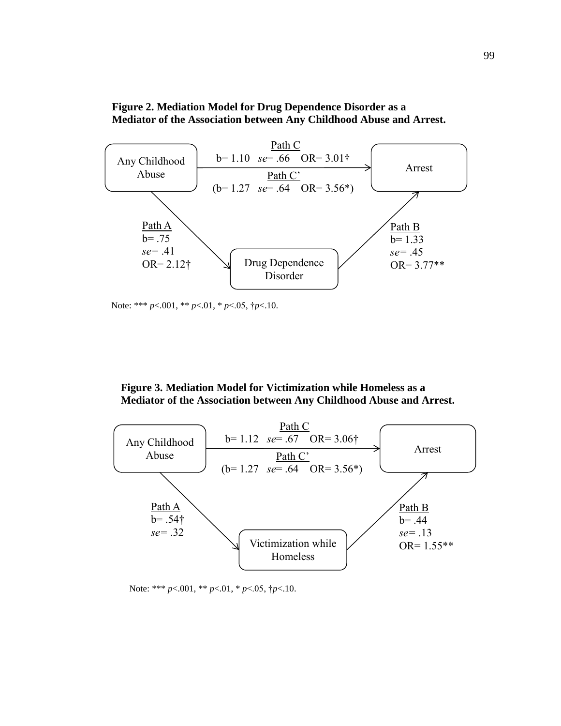



Note: \*\*\* *p*<.001, \*\* *p*<.01, \* *p*<.05, †*p*<.10.

## **Figure 3. Mediation Model for Victimization while Homeless as a Mediator of the Association between Any Childhood Abuse and Arrest.**



Note: \*\*\* *p*<.001, \*\* *p*<.01, \* *p*<.05, †*p*<.10.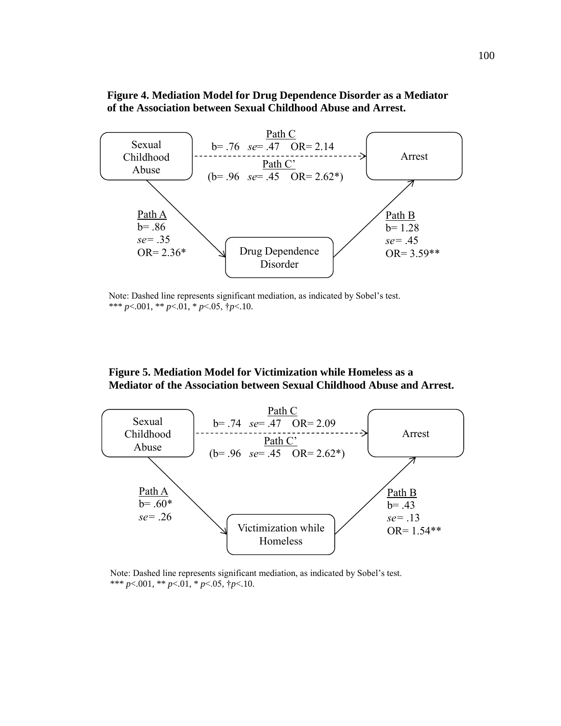## **Figure 4. Mediation Model for Drug Dependence Disorder as a Mediator of the Association between Sexual Childhood Abuse and Arrest.**



Note: Dashed line represents significant mediation, as indicated by Sobel's test. \*\*\* *p*<.001, \*\* *p*<.01, \* *p*<.05, †*p*<.10.

## **Figure 5. Mediation Model for Victimization while Homeless as a Mediator of the Association between Sexual Childhood Abuse and Arrest.**



Note: Dashed line represents significant mediation, as indicated by Sobel's test. \*\*\* *p*<.001, \*\* *p*<.01, \* *p*<.05, †*p*<.10.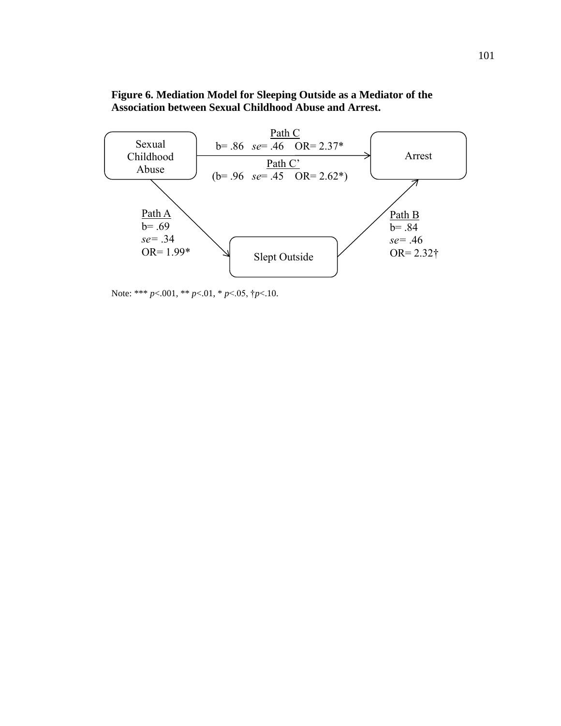## **Figure 6. Mediation Model for Sleeping Outside as a Mediator of the Association between Sexual Childhood Abuse and Arrest.**



Note: \*\*\* *p*<.001, \*\* *p*<.01, \* *p*<.05, †*p*<.10.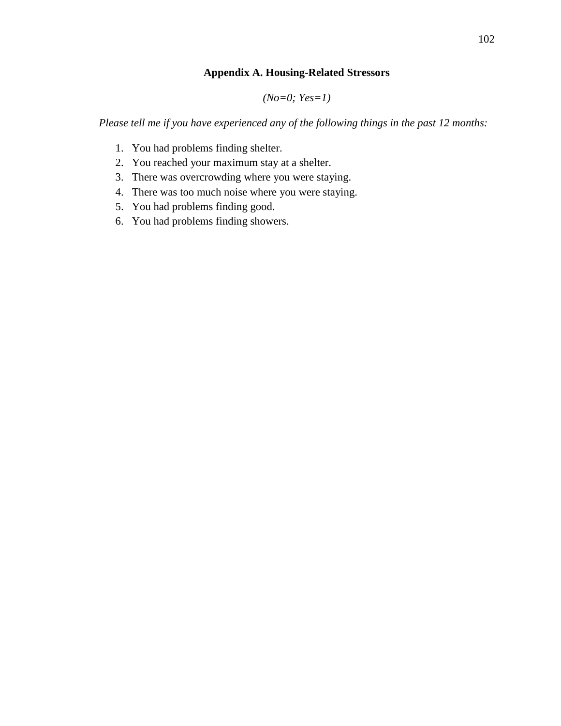## **Appendix A. Housing-Related Stressors**

*(No=0; Yes=1)*

*Please tell me if you have experienced any of the following things in the past 12 months:*

- 1. You had problems finding shelter.
- 2. You reached your maximum stay at a shelter.
- 3. There was overcrowding where you were staying.
- 4. There was too much noise where you were staying.
- 5. You had problems finding good.
- 6. You had problems finding showers.